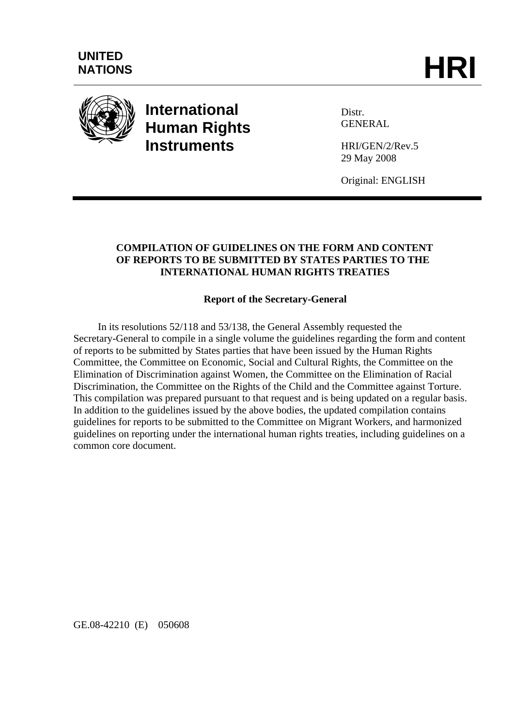

# **International Human Rights Instruments**

Distr. GENERAL

HRI/GEN/2/Rev.5 29 May 2008

Original: ENGLISH

# **COMPILATION OF GUIDELINES ON THE FORM AND CONTENT OF REPORTS TO BE SUBMITTED BY STATES PARTIES TO THE INTERNATIONAL HUMAN RIGHTS TREATIES**

# **Report of the Secretary-General**

 In its resolutions 52/118 and 53/138, the General Assembly requested the Secretary-General to compile in a single volume the guidelines regarding the form and content of reports to be submitted by States parties that have been issued by the Human Rights Committee, the Committee on Economic, Social and Cultural Rights, the Committee on the Elimination of Discrimination against Women, the Committee on the Elimination of Racial Discrimination, the Committee on the Rights of the Child and the Committee against Torture. This compilation was prepared pursuant to that request and is being updated on a regular basis. In addition to the guidelines issued by the above bodies, the updated compilation contains guidelines for reports to be submitted to the Committee on Migrant Workers, and harmonized guidelines on reporting under the international human rights treaties, including guidelines on a common core document.

GE.08-42210 (E) 050608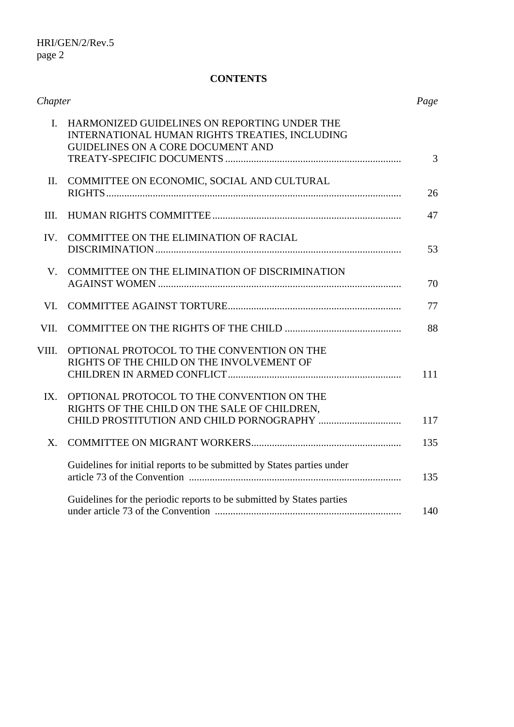# **CONTENTS**

| Chapter        |                                                                                                                                     | Page |
|----------------|-------------------------------------------------------------------------------------------------------------------------------------|------|
| $\mathbf{I}$ . | HARMONIZED GUIDELINES ON REPORTING UNDER THE<br>INTERNATIONAL HUMAN RIGHTS TREATIES, INCLUDING<br>GUIDELINES ON A CORE DOCUMENT AND | 3    |
| II.            | COMMITTEE ON ECONOMIC, SOCIAL AND CULTURAL                                                                                          | 26   |
| III.           |                                                                                                                                     | 47   |
| IV.            | COMMITTEE ON THE ELIMINATION OF RACIAL                                                                                              | 53   |
| V.             | COMMITTEE ON THE ELIMINATION OF DISCRIMINATION                                                                                      | 70   |
| VI.            |                                                                                                                                     | 77   |
| VII.           |                                                                                                                                     | 88   |
| VIII.          | OPTIONAL PROTOCOL TO THE CONVENTION ON THE<br>RIGHTS OF THE CHILD ON THE INVOLVEMENT OF                                             | 111  |
| IX.            | OPTIONAL PROTOCOL TO THE CONVENTION ON THE<br>RIGHTS OF THE CHILD ON THE SALE OF CHILDREN,                                          | 117  |
| $X_{\cdot}$    |                                                                                                                                     | 135  |
|                | Guidelines for initial reports to be submitted by States parties under                                                              | 135  |
|                | Guidelines for the periodic reports to be submitted by States parties                                                               | 140  |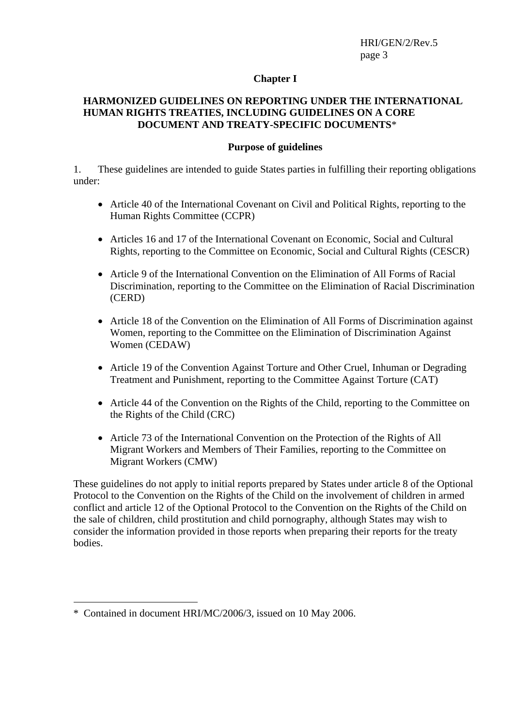#### **Chapter I**

### **HARMONIZED GUIDELINES ON REPORTING UNDER THE INTERNATIONAL HUMAN RIGHTS TREATIES, INCLUDING GUIDELINES ON A CORE DOCUMENT AND TREATY-SPECIFIC DOCUMENTS**\*

#### **Purpose of guidelines**

1. These guidelines are intended to guide States parties in fulfilling their reporting obligations under:

- Article 40 of the International Covenant on Civil and Political Rights, reporting to the Human Rights Committee (CCPR)
- Articles 16 and 17 of the International Covenant on Economic, Social and Cultural Rights, reporting to the Committee on Economic, Social and Cultural Rights (CESCR)
- Article 9 of the International Convention on the Elimination of All Forms of Racial Discrimination, reporting to the Committee on the Elimination of Racial Discrimination (CERD)
- Article 18 of the Convention on the Elimination of All Forms of Discrimination against Women, reporting to the Committee on the Elimination of Discrimination Against Women (CEDAW)
- Article 19 of the Convention Against Torture and Other Cruel, Inhuman or Degrading Treatment and Punishment, reporting to the Committee Against Torture (CAT)
- Article 44 of the Convention on the Rights of the Child, reporting to the Committee on the Rights of the Child (CRC)
- Article 73 of the International Convention on the Protection of the Rights of All Migrant Workers and Members of Their Families, reporting to the Committee on Migrant Workers (CMW)

These guidelines do not apply to initial reports prepared by States under article 8 of the Optional Protocol to the Convention on the Rights of the Child on the involvement of children in armed conflict and article 12 of the Optional Protocol to the Convention on the Rights of the Child on the sale of children, child prostitution and child pornography, although States may wish to consider the information provided in those reports when preparing their reports for the treaty bodies.

1

<sup>\*</sup> Contained in document HRI/MC/2006/3, issued on 10 May 2006.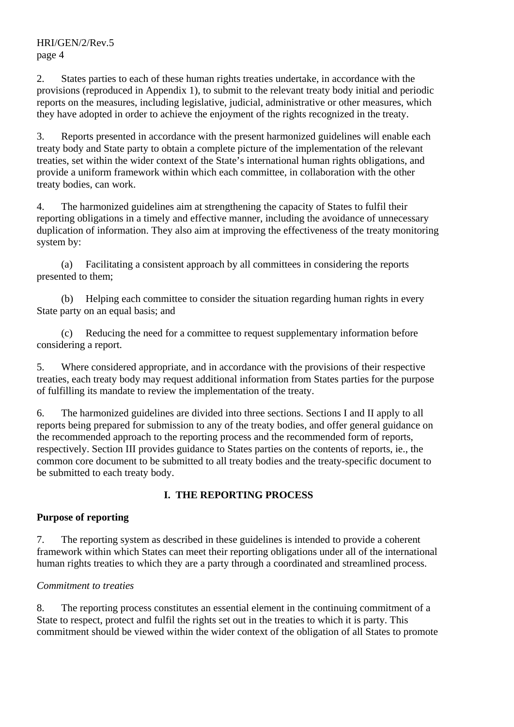2. States parties to each of these human rights treaties undertake, in accordance with the provisions (reproduced in Appendix 1), to submit to the relevant treaty body initial and periodic reports on the measures, including legislative, judicial, administrative or other measures, which they have adopted in order to achieve the enjoyment of the rights recognized in the treaty.

3. Reports presented in accordance with the present harmonized guidelines will enable each treaty body and State party to obtain a complete picture of the implementation of the relevant treaties, set within the wider context of the State's international human rights obligations, and provide a uniform framework within which each committee, in collaboration with the other treaty bodies, can work.

4. The harmonized guidelines aim at strengthening the capacity of States to fulfil their reporting obligations in a timely and effective manner, including the avoidance of unnecessary duplication of information. They also aim at improving the effectiveness of the treaty monitoring system by:

 (a) Facilitating a consistent approach by all committees in considering the reports presented to them;

 (b) Helping each committee to consider the situation regarding human rights in every State party on an equal basis; and

 (c) Reducing the need for a committee to request supplementary information before considering a report.

5. Where considered appropriate, and in accordance with the provisions of their respective treaties, each treaty body may request additional information from States parties for the purpose of fulfilling its mandate to review the implementation of the treaty.

6. The harmonized guidelines are divided into three sections. Sections I and II apply to all reports being prepared for submission to any of the treaty bodies, and offer general guidance on the recommended approach to the reporting process and the recommended form of reports, respectively. Section III provides guidance to States parties on the contents of reports, ie., the common core document to be submitted to all treaty bodies and the treaty-specific document to be submitted to each treaty body.

# **I. THE REPORTING PROCESS**

# **Purpose of reporting**

7. The reporting system as described in these guidelines is intended to provide a coherent framework within which States can meet their reporting obligations under all of the international human rights treaties to which they are a party through a coordinated and streamlined process.

# *Commitment to treaties*

8. The reporting process constitutes an essential element in the continuing commitment of a State to respect, protect and fulfil the rights set out in the treaties to which it is party. This commitment should be viewed within the wider context of the obligation of all States to promote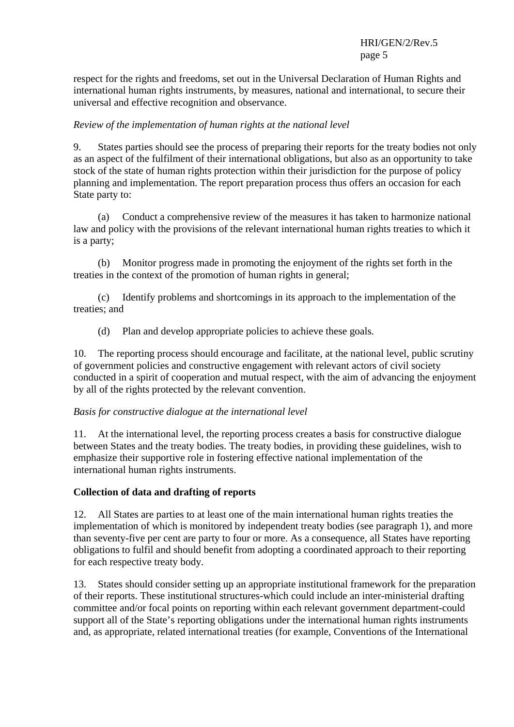respect for the rights and freedoms, set out in the Universal Declaration of Human Rights and international human rights instruments, by measures, national and international, to secure their universal and effective recognition and observance.

### *Review of the implementation of human rights at the national level*

9. States parties should see the process of preparing their reports for the treaty bodies not only as an aspect of the fulfilment of their international obligations, but also as an opportunity to take stock of the state of human rights protection within their jurisdiction for the purpose of policy planning and implementation. The report preparation process thus offers an occasion for each State party to:

 (a) Conduct a comprehensive review of the measures it has taken to harmonize national law and policy with the provisions of the relevant international human rights treaties to which it is a party;

 (b) Monitor progress made in promoting the enjoyment of the rights set forth in the treaties in the context of the promotion of human rights in general;

 (c) Identify problems and shortcomings in its approach to the implementation of the treaties; and

(d) Plan and develop appropriate policies to achieve these goals.

10. The reporting process should encourage and facilitate, at the national level, public scrutiny of government policies and constructive engagement with relevant actors of civil society conducted in a spirit of cooperation and mutual respect, with the aim of advancing the enjoyment by all of the rights protected by the relevant convention.

#### *Basis for constructive dialogue at the international level*

11. At the international level, the reporting process creates a basis for constructive dialogue between States and the treaty bodies. The treaty bodies, in providing these guidelines, wish to emphasize their supportive role in fostering effective national implementation of the international human rights instruments.

#### **Collection of data and drafting of reports**

12. All States are parties to at least one of the main international human rights treaties the implementation of which is monitored by independent treaty bodies (see paragraph 1), and more than seventy-five per cent are party to four or more. As a consequence, all States have reporting obligations to fulfil and should benefit from adopting a coordinated approach to their reporting for each respective treaty body.

13. States should consider setting up an appropriate institutional framework for the preparation of their reports. These institutional structures-which could include an inter-ministerial drafting committee and/or focal points on reporting within each relevant government department-could support all of the State's reporting obligations under the international human rights instruments and, as appropriate, related international treaties (for example, Conventions of the International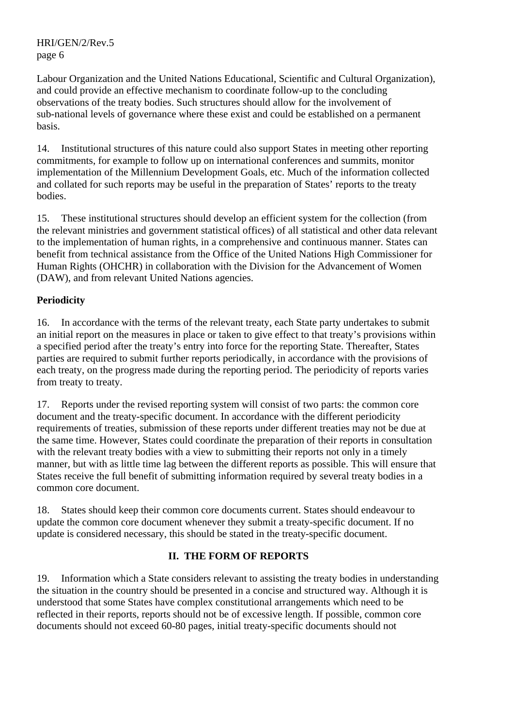Labour Organization and the United Nations Educational, Scientific and Cultural Organization), and could provide an effective mechanism to coordinate follow-up to the concluding observations of the treaty bodies. Such structures should allow for the involvement of sub-national levels of governance where these exist and could be established on a permanent basis.

14. Institutional structures of this nature could also support States in meeting other reporting commitments, for example to follow up on international conferences and summits, monitor implementation of the Millennium Development Goals, etc. Much of the information collected and collated for such reports may be useful in the preparation of States' reports to the treaty bodies.

15. These institutional structures should develop an efficient system for the collection (from the relevant ministries and government statistical offices) of all statistical and other data relevant to the implementation of human rights, in a comprehensive and continuous manner. States can benefit from technical assistance from the Office of the United Nations High Commissioner for Human Rights (OHCHR) in collaboration with the Division for the Advancement of Women (DAW), and from relevant United Nations agencies.

# **Periodicity**

16. In accordance with the terms of the relevant treaty, each State party undertakes to submit an initial report on the measures in place or taken to give effect to that treaty's provisions within a specified period after the treaty's entry into force for the reporting State. Thereafter, States parties are required to submit further reports periodically, in accordance with the provisions of each treaty, on the progress made during the reporting period. The periodicity of reports varies from treaty to treaty.

17. Reports under the revised reporting system will consist of two parts: the common core document and the treaty-specific document. In accordance with the different periodicity requirements of treaties, submission of these reports under different treaties may not be due at the same time. However, States could coordinate the preparation of their reports in consultation with the relevant treaty bodies with a view to submitting their reports not only in a timely manner, but with as little time lag between the different reports as possible. This will ensure that States receive the full benefit of submitting information required by several treaty bodies in a common core document.

18. States should keep their common core documents current. States should endeavour to update the common core document whenever they submit a treaty-specific document. If no update is considered necessary, this should be stated in the treaty-specific document.

# **II. THE FORM OF REPORTS**

19. Information which a State considers relevant to assisting the treaty bodies in understanding the situation in the country should be presented in a concise and structured way. Although it is understood that some States have complex constitutional arrangements which need to be reflected in their reports, reports should not be of excessive length. If possible, common core documents should not exceed 60-80 pages, initial treaty-specific documents should not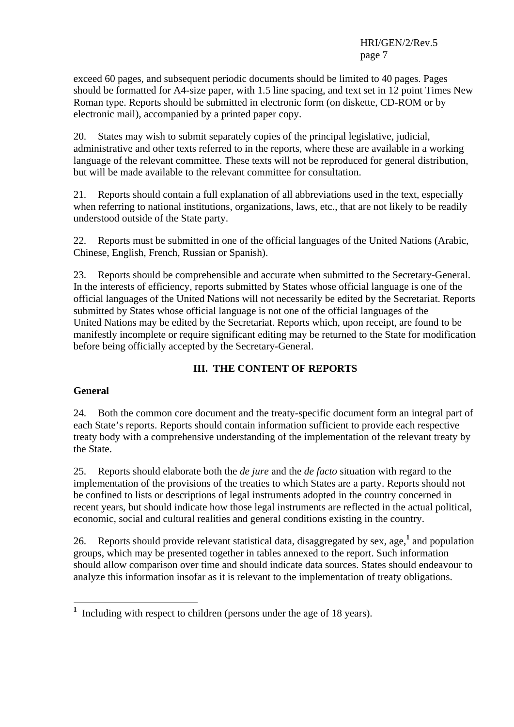exceed 60 pages, and subsequent periodic documents should be limited to 40 pages. Pages should be formatted for A4-size paper, with 1.5 line spacing, and text set in 12 point Times New Roman type. Reports should be submitted in electronic form (on diskette, CD-ROM or by electronic mail), accompanied by a printed paper copy.

20. States may wish to submit separately copies of the principal legislative, judicial, administrative and other texts referred to in the reports, where these are available in a working language of the relevant committee. These texts will not be reproduced for general distribution, but will be made available to the relevant committee for consultation.

21. Reports should contain a full explanation of all abbreviations used in the text, especially when referring to national institutions, organizations, laws, etc., that are not likely to be readily understood outside of the State party.

22. Reports must be submitted in one of the official languages of the United Nations (Arabic, Chinese, English, French, Russian or Spanish).

23. Reports should be comprehensible and accurate when submitted to the Secretary-General. In the interests of efficiency, reports submitted by States whose official language is one of the official languages of the United Nations will not necessarily be edited by the Secretariat. Reports submitted by States whose official language is not one of the official languages of the United Nations may be edited by the Secretariat. Reports which, upon receipt, are found to be manifestly incomplete or require significant editing may be returned to the State for modification before being officially accepted by the Secretary-General.

# **III. THE CONTENT OF REPORTS**

# **General**

1

24. Both the common core document and the treaty-specific document form an integral part of each State's reports. Reports should contain information sufficient to provide each respective treaty body with a comprehensive understanding of the implementation of the relevant treaty by the State.

25. Reports should elaborate both the *de jure* and the *de facto* situation with regard to the implementation of the provisions of the treaties to which States are a party. Reports should not be confined to lists or descriptions of legal instruments adopted in the country concerned in recent years, but should indicate how those legal instruments are reflected in the actual political, economic, social and cultural realities and general conditions existing in the country.

26. Reports should provide relevant statistical data, disaggregated by sex, age,**<sup>1</sup>** and population groups, which may be presented together in tables annexed to the report. Such information should allow comparison over time and should indicate data sources. States should endeavour to analyze this information insofar as it is relevant to the implementation of treaty obligations.

**<sup>1</sup>** Including with respect to children (persons under the age of 18 years).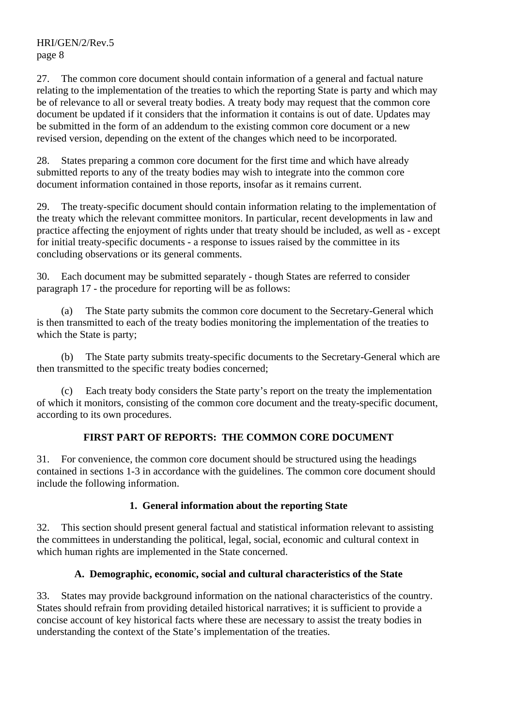27. The common core document should contain information of a general and factual nature relating to the implementation of the treaties to which the reporting State is party and which may be of relevance to all or several treaty bodies. A treaty body may request that the common core document be updated if it considers that the information it contains is out of date. Updates may be submitted in the form of an addendum to the existing common core document or a new revised version, depending on the extent of the changes which need to be incorporated.

28. States preparing a common core document for the first time and which have already submitted reports to any of the treaty bodies may wish to integrate into the common core document information contained in those reports, insofar as it remains current.

29. The treaty-specific document should contain information relating to the implementation of the treaty which the relevant committee monitors. In particular, recent developments in law and practice affecting the enjoyment of rights under that treaty should be included, as well as - except for initial treaty-specific documents - a response to issues raised by the committee in its concluding observations or its general comments.

30. Each document may be submitted separately - though States are referred to consider paragraph 17 - the procedure for reporting will be as follows:

 (a) The State party submits the common core document to the Secretary-General which is then transmitted to each of the treaty bodies monitoring the implementation of the treaties to which the State is party;

 (b) The State party submits treaty-specific documents to the Secretary-General which are then transmitted to the specific treaty bodies concerned;

 (c) Each treaty body considers the State party's report on the treaty the implementation of which it monitors, consisting of the common core document and the treaty-specific document, according to its own procedures.

# **FIRST PART OF REPORTS: THE COMMON CORE DOCUMENT**

31. For convenience, the common core document should be structured using the headings contained in sections 1-3 in accordance with the guidelines. The common core document should include the following information.

# **1. General information about the reporting State**

32. This section should present general factual and statistical information relevant to assisting the committees in understanding the political, legal, social, economic and cultural context in which human rights are implemented in the State concerned.

# **A. Demographic, economic, social and cultural characteristics of the State**

33. States may provide background information on the national characteristics of the country. States should refrain from providing detailed historical narratives; it is sufficient to provide a concise account of key historical facts where these are necessary to assist the treaty bodies in understanding the context of the State's implementation of the treaties.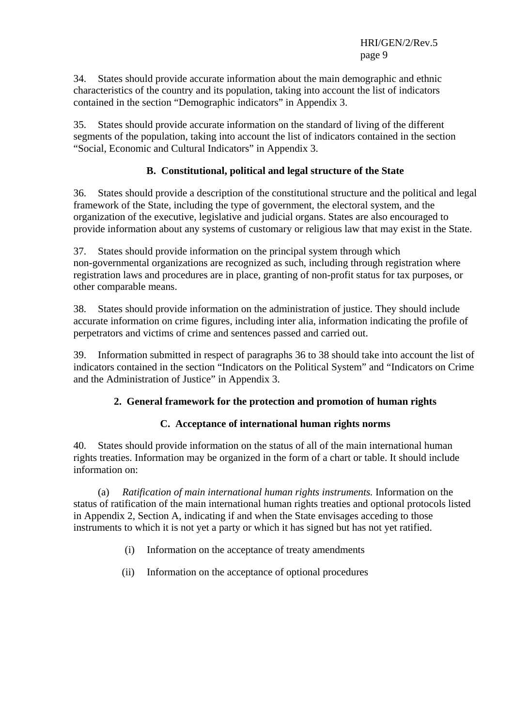34. States should provide accurate information about the main demographic and ethnic characteristics of the country and its population, taking into account the list of indicators contained in the section "Demographic indicators" in Appendix 3.

35. States should provide accurate information on the standard of living of the different segments of the population, taking into account the list of indicators contained in the section "Social, Economic and Cultural Indicators" in Appendix 3.

# **B. Constitutional, political and legal structure of the State**

36. States should provide a description of the constitutional structure and the political and legal framework of the State, including the type of government, the electoral system, and the organization of the executive, legislative and judicial organs. States are also encouraged to provide information about any systems of customary or religious law that may exist in the State.

37. States should provide information on the principal system through which non-governmental organizations are recognized as such, including through registration where registration laws and procedures are in place, granting of non-profit status for tax purposes, or other comparable means.

38. States should provide information on the administration of justice. They should include accurate information on crime figures, including inter alia, information indicating the profile of perpetrators and victims of crime and sentences passed and carried out.

39. Information submitted in respect of paragraphs 36 to 38 should take into account the list of indicators contained in the section "Indicators on the Political System" and "Indicators on Crime and the Administration of Justice" in Appendix 3.

# **2. General framework for the protection and promotion of human rights**

# **C. Acceptance of international human rights norms**

40. States should provide information on the status of all of the main international human rights treaties. Information may be organized in the form of a chart or table. It should include information on:

 (a) *Ratification of main international human rights instruments.* Information on the status of ratification of the main international human rights treaties and optional protocols listed in Appendix 2, Section A, indicating if and when the State envisages acceding to those instruments to which it is not yet a party or which it has signed but has not yet ratified.

- (i) Information on the acceptance of treaty amendments
- (ii) Information on the acceptance of optional procedures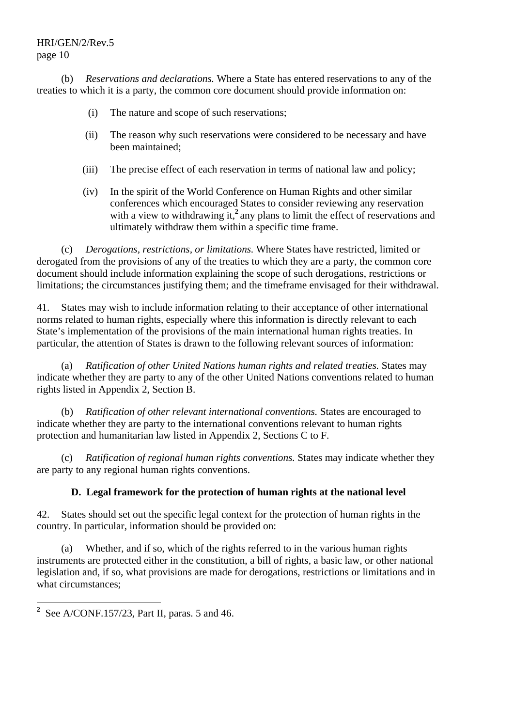(b) *Reservations and declarations.* Where a State has entered reservations to any of the treaties to which it is a party, the common core document should provide information on:

- (i) The nature and scope of such reservations;
- (ii) The reason why such reservations were considered to be necessary and have been maintained;
- (iii) The precise effect of each reservation in terms of national law and policy;
- (iv) In the spirit of the World Conference on Human Rights and other similar conferences which encouraged States to consider reviewing any reservation with a view to withdrawing it,<sup>2</sup> any plans to limit the effect of reservations and ultimately withdraw them within a specific time frame.

 (c) *Derogations, restrictions, or limitations.* Where States have restricted, limited or derogated from the provisions of any of the treaties to which they are a party, the common core document should include information explaining the scope of such derogations, restrictions or limitations; the circumstances justifying them; and the timeframe envisaged for their withdrawal.

41. States may wish to include information relating to their acceptance of other international norms related to human rights, especially where this information is directly relevant to each State's implementation of the provisions of the main international human rights treaties. In particular, the attention of States is drawn to the following relevant sources of information:

(a) *Ratification of other United Nations human rights and related treaties.* States may indicate whether they are party to any of the other United Nations conventions related to human rights listed in Appendix 2, Section B.

 (b) *Ratification of other relevant international conventions.* States are encouraged to indicate whether they are party to the international conventions relevant to human rights protection and humanitarian law listed in Appendix 2, Sections C to F.

 (c) *Ratification of regional human rights conventions.* States may indicate whether they are party to any regional human rights conventions.

# **D. Legal framework for the protection of human rights at the national level**

42. States should set out the specific legal context for the protection of human rights in the country. In particular, information should be provided on:

 (a) Whether, and if so, which of the rights referred to in the various human rights instruments are protected either in the constitution, a bill of rights, a basic law, or other national legislation and, if so, what provisions are made for derogations, restrictions or limitations and in what circumstances;

<sup>&</sup>lt;sup>2</sup> See A/CONF.157/23, Part II, paras. 5 and 46.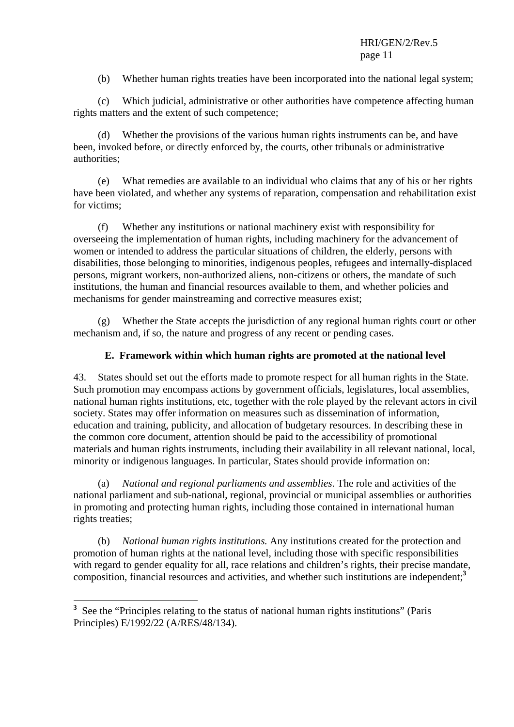(b) Whether human rights treaties have been incorporated into the national legal system;

 (c) Which judicial, administrative or other authorities have competence affecting human rights matters and the extent of such competence;

 (d) Whether the provisions of the various human rights instruments can be, and have been, invoked before, or directly enforced by, the courts, other tribunals or administrative authorities;

 (e) What remedies are available to an individual who claims that any of his or her rights have been violated, and whether any systems of reparation, compensation and rehabilitation exist for victims;

 (f) Whether any institutions or national machinery exist with responsibility for overseeing the implementation of human rights, including machinery for the advancement of women or intended to address the particular situations of children, the elderly, persons with disabilities, those belonging to minorities, indigenous peoples, refugees and internally-displaced persons, migrant workers, non-authorized aliens, non-citizens or others, the mandate of such institutions, the human and financial resources available to them, and whether policies and mechanisms for gender mainstreaming and corrective measures exist;

 (g) Whether the State accepts the jurisdiction of any regional human rights court or other mechanism and, if so, the nature and progress of any recent or pending cases.

# **E. Framework within which human rights are promoted at the national level**

43. States should set out the efforts made to promote respect for all human rights in the State. Such promotion may encompass actions by government officials, legislatures, local assemblies, national human rights institutions, etc, together with the role played by the relevant actors in civil society. States may offer information on measures such as dissemination of information, education and training, publicity, and allocation of budgetary resources. In describing these in the common core document, attention should be paid to the accessibility of promotional materials and human rights instruments, including their availability in all relevant national, local, minority or indigenous languages. In particular, States should provide information on:

 (a) *National and regional parliaments and assemblies*. The role and activities of the national parliament and sub-national, regional, provincial or municipal assemblies or authorities in promoting and protecting human rights, including those contained in international human rights treaties;

 (b) *National human rights institutions.* Any institutions created for the protection and promotion of human rights at the national level, including those with specific responsibilities with regard to gender equality for all, race relations and children's rights, their precise mandate, composition, financial resources and activities, and whether such institutions are independent;**<sup>3</sup>**

<sup>&</sup>lt;sup>3</sup> See the "Principles relating to the status of national human rights institutions" (Paris Principles) E/1992/22 (A/RES/48/134).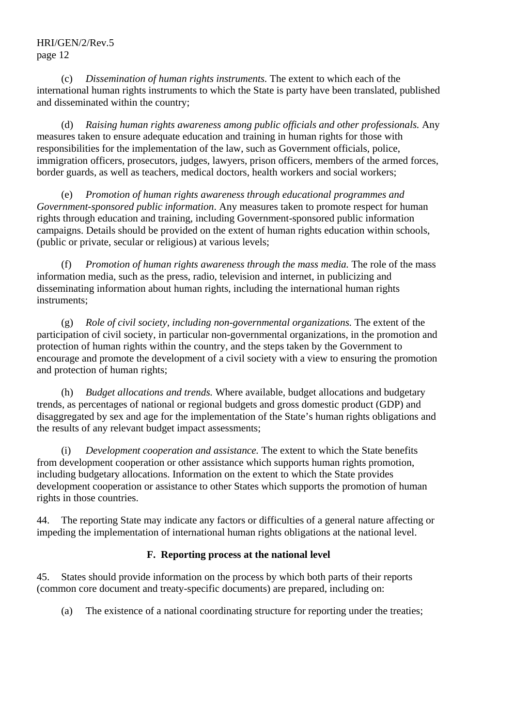(c) *Dissemination of human rights instruments.* The extent to which each of the international human rights instruments to which the State is party have been translated, published and disseminated within the country;

 (d) *Raising human rights awareness among public officials and other professionals.* Any measures taken to ensure adequate education and training in human rights for those with responsibilities for the implementation of the law, such as Government officials, police, immigration officers, prosecutors, judges, lawyers, prison officers, members of the armed forces, border guards, as well as teachers, medical doctors, health workers and social workers;

 (e) *Promotion of human rights awareness through educational programmes and Government-sponsored public information*. Any measures taken to promote respect for human rights through education and training, including Government-sponsored public information campaigns. Details should be provided on the extent of human rights education within schools, (public or private, secular or religious) at various levels;

 (f) *Promotion of human rights awareness through the mass media.* The role of the mass information media, such as the press, radio, television and internet, in publicizing and disseminating information about human rights, including the international human rights instruments;

 (g) *Role of civil society, including non-governmental organizations.* The extent of the participation of civil society, in particular non-governmental organizations, in the promotion and protection of human rights within the country, and the steps taken by the Government to encourage and promote the development of a civil society with a view to ensuring the promotion and protection of human rights;

 (h) *Budget allocations and trends.* Where available, budget allocations and budgetary trends, as percentages of national or regional budgets and gross domestic product (GDP) and disaggregated by sex and age for the implementation of the State's human rights obligations and the results of any relevant budget impact assessments;

 (i) *Development cooperation and assistance.* The extent to which the State benefits from development cooperation or other assistance which supports human rights promotion, including budgetary allocations. Information on the extent to which the State provides development cooperation or assistance to other States which supports the promotion of human rights in those countries.

44. The reporting State may indicate any factors or difficulties of a general nature affecting or impeding the implementation of international human rights obligations at the national level.

# **F. Reporting process at the national level**

45. States should provide information on the process by which both parts of their reports (common core document and treaty-specific documents) are prepared, including on:

(a) The existence of a national coordinating structure for reporting under the treaties;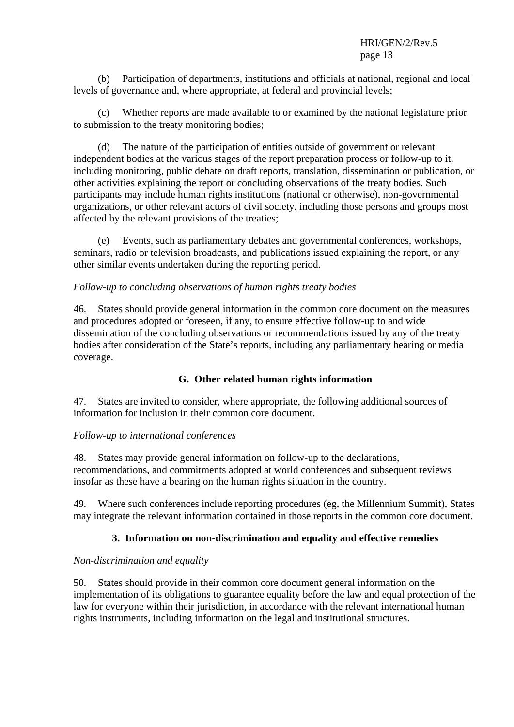(b) Participation of departments, institutions and officials at national, regional and local levels of governance and, where appropriate, at federal and provincial levels;

Whether reports are made available to or examined by the national legislature prior to submission to the treaty monitoring bodies;

 (d) The nature of the participation of entities outside of government or relevant independent bodies at the various stages of the report preparation process or follow-up to it, including monitoring, public debate on draft reports, translation, dissemination or publication, or other activities explaining the report or concluding observations of the treaty bodies. Such participants may include human rights institutions (national or otherwise), non-governmental organizations, or other relevant actors of civil society, including those persons and groups most affected by the relevant provisions of the treaties;

 (e) Events, such as parliamentary debates and governmental conferences, workshops, seminars, radio or television broadcasts, and publications issued explaining the report, or any other similar events undertaken during the reporting period.

# *Follow-up to concluding observations of human rights treaty bodies*

46. States should provide general information in the common core document on the measures and procedures adopted or foreseen, if any, to ensure effective follow-up to and wide dissemination of the concluding observations or recommendations issued by any of the treaty bodies after consideration of the State's reports, including any parliamentary hearing or media coverage.

# **G. Other related human rights information**

47. States are invited to consider, where appropriate, the following additional sources of information for inclusion in their common core document.

# *Follow-up to international conferences*

48. States may provide general information on follow-up to the declarations, recommendations, and commitments adopted at world conferences and subsequent reviews insofar as these have a bearing on the human rights situation in the country.

49. Where such conferences include reporting procedures (eg, the Millennium Summit), States may integrate the relevant information contained in those reports in the common core document.

# **3. Information on non-discrimination and equality and effective remedies**

# *Non-discrimination and equality*

50. States should provide in their common core document general information on the implementation of its obligations to guarantee equality before the law and equal protection of the law for everyone within their jurisdiction, in accordance with the relevant international human rights instruments, including information on the legal and institutional structures.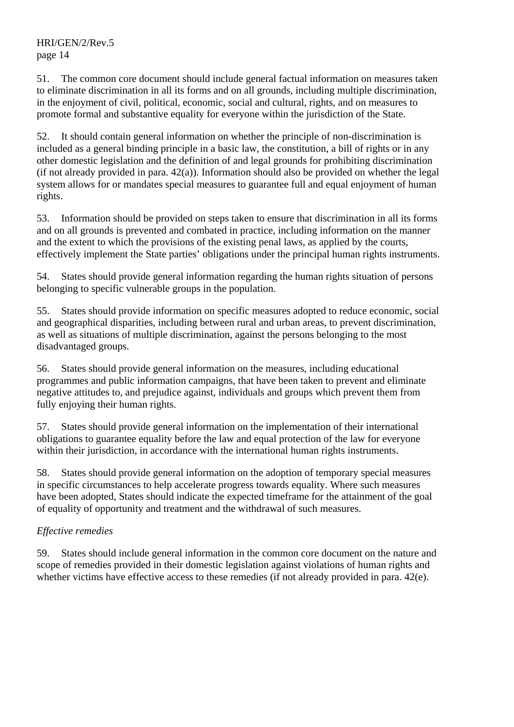51. The common core document should include general factual information on measures taken to eliminate discrimination in all its forms and on all grounds, including multiple discrimination, in the enjoyment of civil, political, economic, social and cultural, rights, and on measures to promote formal and substantive equality for everyone within the jurisdiction of the State.

52. It should contain general information on whether the principle of non-discrimination is included as a general binding principle in a basic law, the constitution, a bill of rights or in any other domestic legislation and the definition of and legal grounds for prohibiting discrimination (if not already provided in para. 42(a)). Information should also be provided on whether the legal system allows for or mandates special measures to guarantee full and equal enjoyment of human rights.

53. Information should be provided on steps taken to ensure that discrimination in all its forms and on all grounds is prevented and combated in practice, including information on the manner and the extent to which the provisions of the existing penal laws, as applied by the courts, effectively implement the State parties' obligations under the principal human rights instruments.

54. States should provide general information regarding the human rights situation of persons belonging to specific vulnerable groups in the population.

55. States should provide information on specific measures adopted to reduce economic, social and geographical disparities, including between rural and urban areas, to prevent discrimination, as well as situations of multiple discrimination, against the persons belonging to the most disadvantaged groups.

56. States should provide general information on the measures, including educational programmes and public information campaigns, that have been taken to prevent and eliminate negative attitudes to, and prejudice against, individuals and groups which prevent them from fully enjoying their human rights.

57. States should provide general information on the implementation of their international obligations to guarantee equality before the law and equal protection of the law for everyone within their jurisdiction, in accordance with the international human rights instruments.

58. States should provide general information on the adoption of temporary special measures in specific circumstances to help accelerate progress towards equality. Where such measures have been adopted, States should indicate the expected timeframe for the attainment of the goal of equality of opportunity and treatment and the withdrawal of such measures.

# *Effective remedies*

59. States should include general information in the common core document on the nature and scope of remedies provided in their domestic legislation against violations of human rights and whether victims have effective access to these remedies (if not already provided in para. 42(e).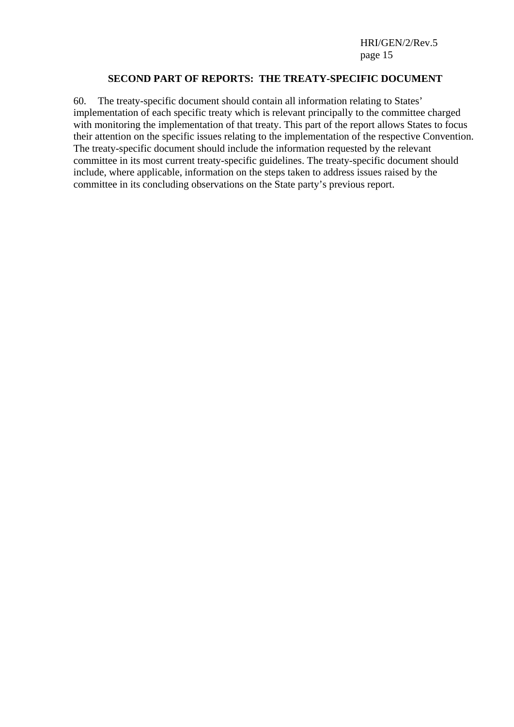#### **SECOND PART OF REPORTS: THE TREATY-SPECIFIC DOCUMENT**

60. The treaty-specific document should contain all information relating to States' implementation of each specific treaty which is relevant principally to the committee charged with monitoring the implementation of that treaty. This part of the report allows States to focus their attention on the specific issues relating to the implementation of the respective Convention. The treaty-specific document should include the information requested by the relevant committee in its most current treaty-specific guidelines. The treaty-specific document should include, where applicable, information on the steps taken to address issues raised by the committee in its concluding observations on the State party's previous report.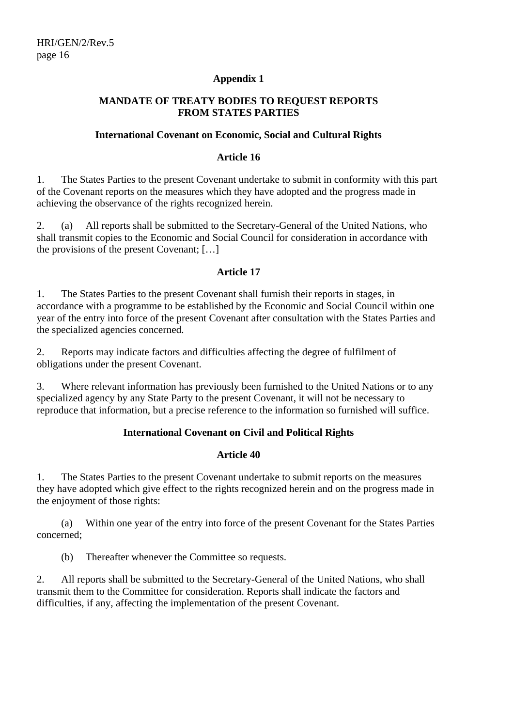#### **Appendix 1**

# **MANDATE OF TREATY BODIES TO REQUEST REPORTS FROM STATES PARTIES**

#### **International Covenant on Economic, Social and Cultural Rights**

#### **Article 16**

1. The States Parties to the present Covenant undertake to submit in conformity with this part of the Covenant reports on the measures which they have adopted and the progress made in achieving the observance of the rights recognized herein.

2. (a) All reports shall be submitted to the Secretary-General of the United Nations, who shall transmit copies to the Economic and Social Council for consideration in accordance with the provisions of the present Covenant; […]

#### **Article 17**

1. The States Parties to the present Covenant shall furnish their reports in stages, in accordance with a programme to be established by the Economic and Social Council within one year of the entry into force of the present Covenant after consultation with the States Parties and the specialized agencies concerned.

2. Reports may indicate factors and difficulties affecting the degree of fulfilment of obligations under the present Covenant.

3. Where relevant information has previously been furnished to the United Nations or to any specialized agency by any State Party to the present Covenant, it will not be necessary to reproduce that information, but a precise reference to the information so furnished will suffice.

#### **International Covenant on Civil and Political Rights**

#### **Article 40**

1. The States Parties to the present Covenant undertake to submit reports on the measures they have adopted which give effect to the rights recognized herein and on the progress made in the enjoyment of those rights:

 (a) Within one year of the entry into force of the present Covenant for the States Parties concerned;

(b) Thereafter whenever the Committee so requests.

2. All reports shall be submitted to the Secretary-General of the United Nations, who shall transmit them to the Committee for consideration. Reports shall indicate the factors and difficulties, if any, affecting the implementation of the present Covenant.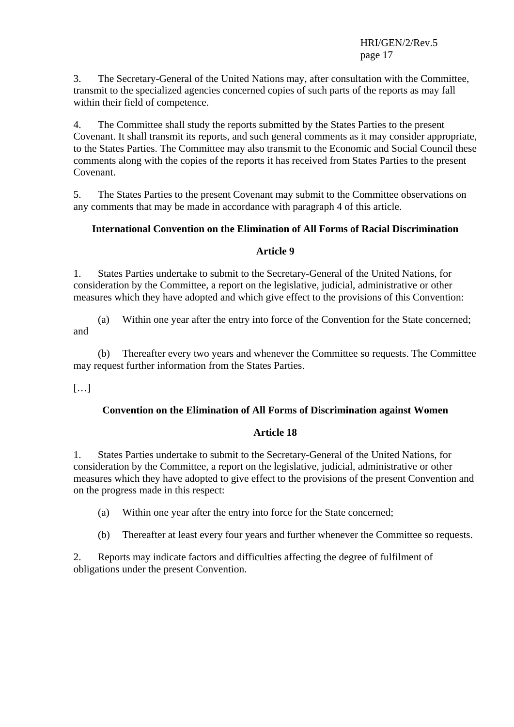3. The Secretary-General of the United Nations may, after consultation with the Committee, transmit to the specialized agencies concerned copies of such parts of the reports as may fall within their field of competence.

4. The Committee shall study the reports submitted by the States Parties to the present Covenant. It shall transmit its reports, and such general comments as it may consider appropriate, to the States Parties. The Committee may also transmit to the Economic and Social Council these comments along with the copies of the reports it has received from States Parties to the present Covenant.

5. The States Parties to the present Covenant may submit to the Committee observations on any comments that may be made in accordance with paragraph 4 of this article.

# **International Convention on the Elimination of All Forms of Racial Discrimination**

### **Article 9**

1. States Parties undertake to submit to the Secretary-General of the United Nations, for consideration by the Committee, a report on the legislative, judicial, administrative or other measures which they have adopted and which give effect to the provisions of this Convention:

 (a) Within one year after the entry into force of the Convention for the State concerned; and

 (b) Thereafter every two years and whenever the Committee so requests. The Committee may request further information from the States Parties.

[…]

#### **Convention on the Elimination of All Forms of Discrimination against Women**

#### **Article 18**

1. States Parties undertake to submit to the Secretary-General of the United Nations, for consideration by the Committee, a report on the legislative, judicial, administrative or other measures which they have adopted to give effect to the provisions of the present Convention and on the progress made in this respect:

(a) Within one year after the entry into force for the State concerned;

(b) Thereafter at least every four years and further whenever the Committee so requests.

2. Reports may indicate factors and difficulties affecting the degree of fulfilment of obligations under the present Convention.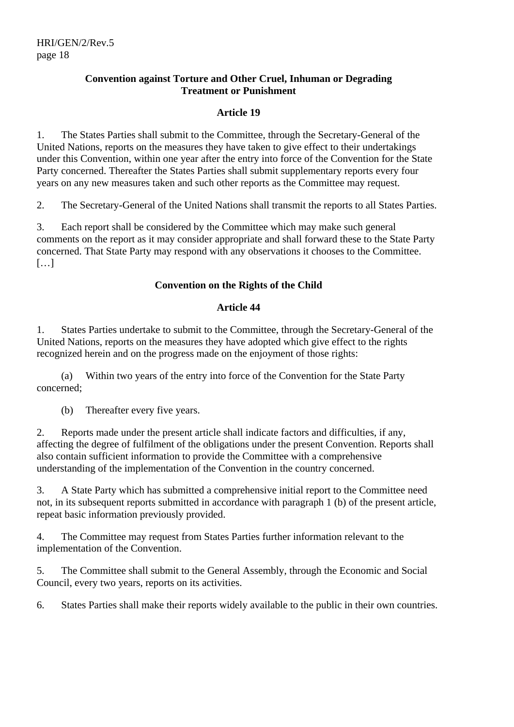### **Convention against Torture and Other Cruel, Inhuman or Degrading Treatment or Punishment**

# **Article 19**

1. The States Parties shall submit to the Committee, through the Secretary-General of the United Nations, reports on the measures they have taken to give effect to their undertakings under this Convention, within one year after the entry into force of the Convention for the State Party concerned. Thereafter the States Parties shall submit supplementary reports every four years on any new measures taken and such other reports as the Committee may request.

2. The Secretary-General of the United Nations shall transmit the reports to all States Parties.

3. Each report shall be considered by the Committee which may make such general comments on the report as it may consider appropriate and shall forward these to the State Party concerned. That State Party may respond with any observations it chooses to the Committee. […]

# **Convention on the Rights of the Child**

# **Article 44**

1. States Parties undertake to submit to the Committee, through the Secretary-General of the United Nations, reports on the measures they have adopted which give effect to the rights recognized herein and on the progress made on the enjoyment of those rights:

 (a) Within two years of the entry into force of the Convention for the State Party concerned;

(b) Thereafter every five years.

2. Reports made under the present article shall indicate factors and difficulties, if any, affecting the degree of fulfilment of the obligations under the present Convention. Reports shall also contain sufficient information to provide the Committee with a comprehensive understanding of the implementation of the Convention in the country concerned.

3. A State Party which has submitted a comprehensive initial report to the Committee need not, in its subsequent reports submitted in accordance with paragraph 1 (b) of the present article, repeat basic information previously provided.

4. The Committee may request from States Parties further information relevant to the implementation of the Convention.

5. The Committee shall submit to the General Assembly, through the Economic and Social Council, every two years, reports on its activities.

6. States Parties shall make their reports widely available to the public in their own countries.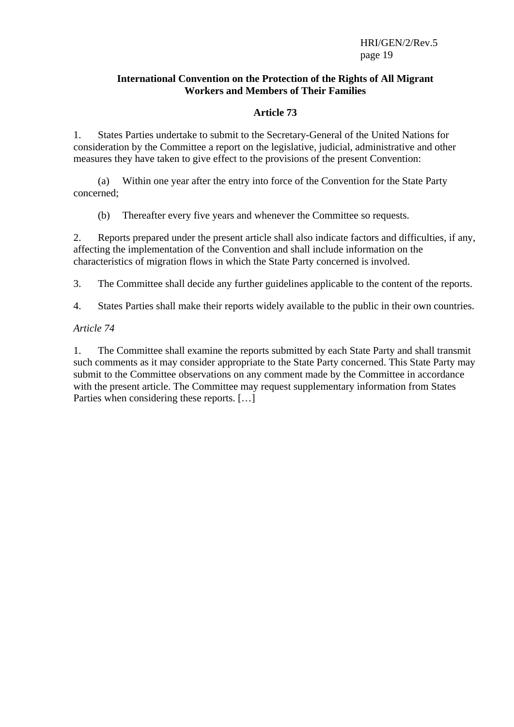### **International Convention on the Protection of the Rights of All Migrant Workers and Members of Their Families**

# **Article 73**

1. States Parties undertake to submit to the Secretary-General of the United Nations for consideration by the Committee a report on the legislative, judicial, administrative and other measures they have taken to give effect to the provisions of the present Convention:

 (a) Within one year after the entry into force of the Convention for the State Party concerned;

(b) Thereafter every five years and whenever the Committee so requests.

2. Reports prepared under the present article shall also indicate factors and difficulties, if any, affecting the implementation of the Convention and shall include information on the characteristics of migration flows in which the State Party concerned is involved.

3. The Committee shall decide any further guidelines applicable to the content of the reports.

4. States Parties shall make their reports widely available to the public in their own countries.

### *Article 74*

1. The Committee shall examine the reports submitted by each State Party and shall transmit such comments as it may consider appropriate to the State Party concerned. This State Party may submit to the Committee observations on any comment made by the Committee in accordance with the present article. The Committee may request supplementary information from States Parties when considering these reports. […]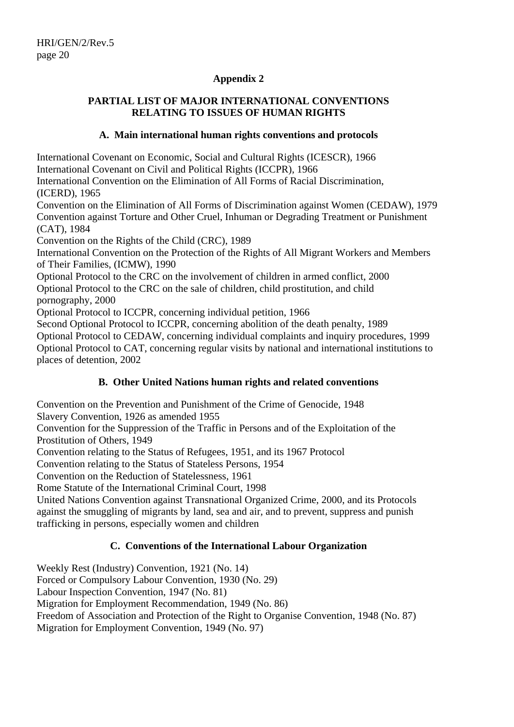# **Appendix 2**

### **PARTIAL LIST OF MAJOR INTERNATIONAL CONVENTIONS RELATING TO ISSUES OF HUMAN RIGHTS**

#### **A. Main international human rights conventions and protocols**

International Covenant on Economic, Social and Cultural Rights (ICESCR), 1966 International Covenant on Civil and Political Rights (ICCPR), 1966 International Convention on the Elimination of All Forms of Racial Discrimination, (ICERD), 1965 Convention on the Elimination of All Forms of Discrimination against Women (CEDAW), 1979 Convention against Torture and Other Cruel, Inhuman or Degrading Treatment or Punishment (CAT), 1984 Convention on the Rights of the Child (CRC), 1989 International Convention on the Protection of the Rights of All Migrant Workers and Members of Their Families, (ICMW), 1990 Optional Protocol to the CRC on the involvement of children in armed conflict, 2000 Optional Protocol to the CRC on the sale of children, child prostitution, and child pornography, 2000 Optional Protocol to ICCPR, concerning individual petition, 1966 Second Optional Protocol to ICCPR, concerning abolition of the death penalty, 1989 Optional Protocol to CEDAW, concerning individual complaints and inquiry procedures, 1999 Optional Protocol to CAT, concerning regular visits by national and international institutions to places of detention, 2002

# **B. Other United Nations human rights and related conventions**

Convention on the Prevention and Punishment of the Crime of Genocide, 1948

Slavery Convention, 1926 as amended 1955

Convention for the Suppression of the Traffic in Persons and of the Exploitation of the Prostitution of Others, 1949

Convention relating to the Status of Refugees, 1951, and its 1967 Protocol

Convention relating to the Status of Stateless Persons, 1954

Convention on the Reduction of Statelessness, 1961

Rome Statute of the International Criminal Court, 1998

United Nations Convention against Transnational Organized Crime, 2000, and its Protocols against the smuggling of migrants by land, sea and air, and to prevent, suppress and punish trafficking in persons, especially women and children

# **C. Conventions of the International Labour Organization**

Weekly Rest (Industry) Convention, 1921 (No. 14)

Forced or Compulsory Labour Convention, 1930 (No. 29)

Labour Inspection Convention, 1947 (No. 81)

Migration for Employment Recommendation, 1949 (No. 86)

Freedom of Association and Protection of the Right to Organise Convention, 1948 (No. 87)

Migration for Employment Convention, 1949 (No. 97)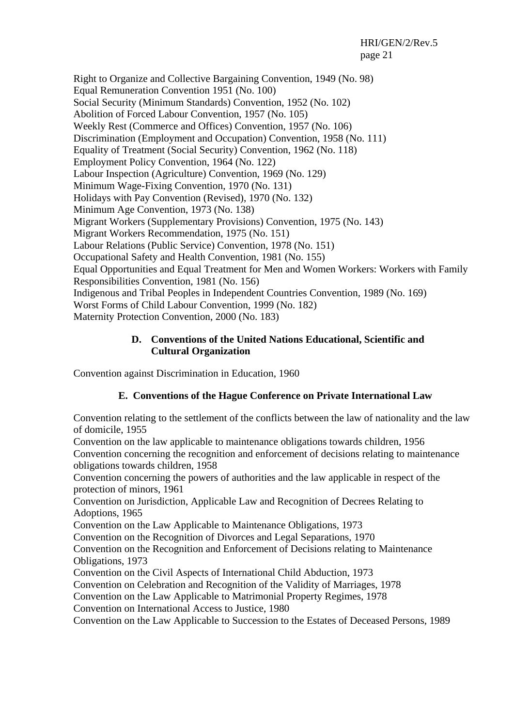Right to Organize and Collective Bargaining Convention, 1949 (No. 98) Equal Remuneration Convention 1951 (No. 100) Social Security (Minimum Standards) Convention, 1952 (No. 102) Abolition of Forced Labour Convention, 1957 (No. 105) Weekly Rest (Commerce and Offices) Convention, 1957 (No. 106) Discrimination (Employment and Occupation) Convention, 1958 (No. 111) Equality of Treatment (Social Security) Convention, 1962 (No. 118) Employment Policy Convention, 1964 (No. 122) Labour Inspection (Agriculture) Convention, 1969 (No. 129) Minimum Wage-Fixing Convention, 1970 (No. 131) Holidays with Pay Convention (Revised), 1970 (No. 132) Minimum Age Convention, 1973 (No. 138) Migrant Workers (Supplementary Provisions) Convention, 1975 (No. 143) Migrant Workers Recommendation, 1975 (No. 151) Labour Relations (Public Service) Convention, 1978 (No. 151) Occupational Safety and Health Convention, 1981 (No. 155) Equal Opportunities and Equal Treatment for Men and Women Workers: Workers with Family Responsibilities Convention, 1981 (No. 156) Indigenous and Tribal Peoples in Independent Countries Convention, 1989 (No. 169) Worst Forms of Child Labour Convention, 1999 (No. 182) Maternity Protection Convention, 2000 (No. 183)

# **D. Conventions of the United Nations Educational, Scientific and Cultural Organization**

Convention against Discrimination in Education, 1960

# **E. Conventions of the Hague Conference on Private International Law**

Convention relating to the settlement of the conflicts between the law of nationality and the law of domicile, 1955

Convention on the law applicable to maintenance obligations towards children, 1956 Convention concerning the recognition and enforcement of decisions relating to maintenance obligations towards children, 1958

Convention concerning the powers of authorities and the law applicable in respect of the protection of minors, 1961

Convention on Jurisdiction, Applicable Law and Recognition of Decrees Relating to Adoptions, 1965

Convention on the Law Applicable to Maintenance Obligations, 1973

Convention on the Recognition of Divorces and Legal Separations, 1970

Convention on the Recognition and Enforcement of Decisions relating to Maintenance Obligations, 1973

Convention on the Civil Aspects of International Child Abduction, 1973

Convention on Celebration and Recognition of the Validity of Marriages, 1978

Convention on the Law Applicable to Matrimonial Property Regimes, 1978

Convention on International Access to Justice, 1980

Convention on the Law Applicable to Succession to the Estates of Deceased Persons, 1989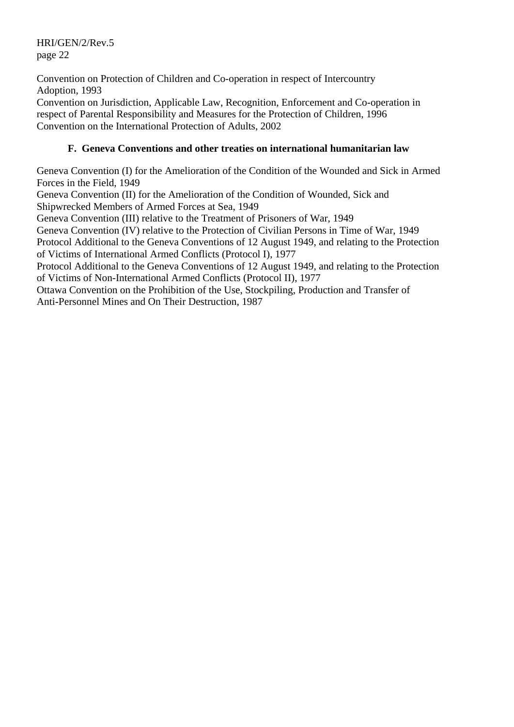Convention on Protection of Children and Co-operation in respect of Intercountry Adoption, 1993

Convention on Jurisdiction, Applicable Law, Recognition, Enforcement and Co-operation in respect of Parental Responsibility and Measures for the Protection of Children, 1996 Convention on the International Protection of Adults, 2002

# **F. Geneva Conventions and other treaties on international humanitarian law**

Geneva Convention (I) for the Amelioration of the Condition of the Wounded and Sick in Armed Forces in the Field, 1949

Geneva Convention (II) for the Amelioration of the Condition of Wounded, Sick and Shipwrecked Members of Armed Forces at Sea, 1949

Geneva Convention (III) relative to the Treatment of Prisoners of War, 1949

Geneva Convention (IV) relative to the Protection of Civilian Persons in Time of War, 1949 Protocol Additional to the Geneva Conventions of 12 August 1949, and relating to the Protection

of Victims of International Armed Conflicts (Protocol I), 1977

Protocol Additional to the Geneva Conventions of 12 August 1949, and relating to the Protection of Victims of Non-International Armed Conflicts (Protocol II), 1977

Ottawa Convention on the Prohibition of the Use, Stockpiling, Production and Transfer of Anti-Personnel Mines and On Their Destruction, 1987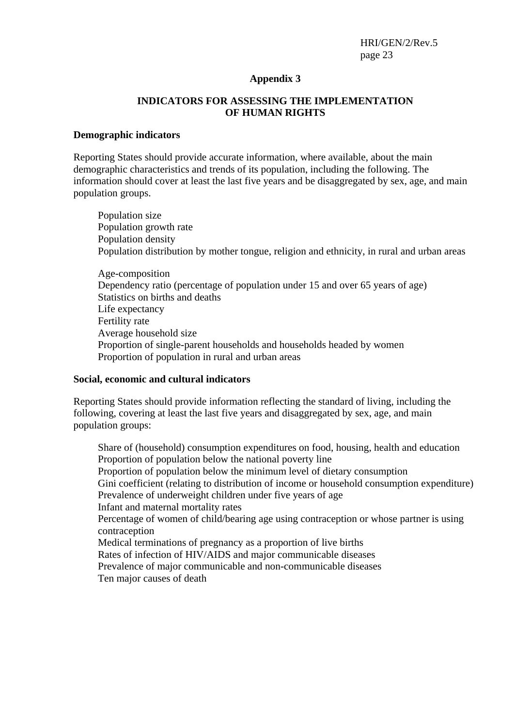#### **Appendix 3**

# **INDICATORS FOR ASSESSING THE IMPLEMENTATION OF HUMAN RIGHTS**

#### **Demographic indicators**

Reporting States should provide accurate information, where available, about the main demographic characteristics and trends of its population, including the following. The information should cover at least the last five years and be disaggregated by sex, age, and main population groups.

Population size Population growth rate Population density Population distribution by mother tongue, religion and ethnicity, in rural and urban areas Age-composition Dependency ratio (percentage of population under 15 and over 65 years of age) Statistics on births and deaths Life expectancy Fertility rate Average household size Proportion of single-parent households and households headed by women

Proportion of population in rural and urban areas

#### **Social, economic and cultural indicators**

Reporting States should provide information reflecting the standard of living, including the following, covering at least the last five years and disaggregated by sex, age, and main population groups:

Share of (household) consumption expenditures on food, housing, health and education Proportion of population below the national poverty line Proportion of population below the minimum level of dietary consumption Gini coefficient (relating to distribution of income or household consumption expenditure) Prevalence of underweight children under five years of age Infant and maternal mortality rates Percentage of women of child/bearing age using contraception or whose partner is using contraception Medical terminations of pregnancy as a proportion of live births Rates of infection of HIV/AIDS and major communicable diseases Prevalence of major communicable and non-communicable diseases Ten major causes of death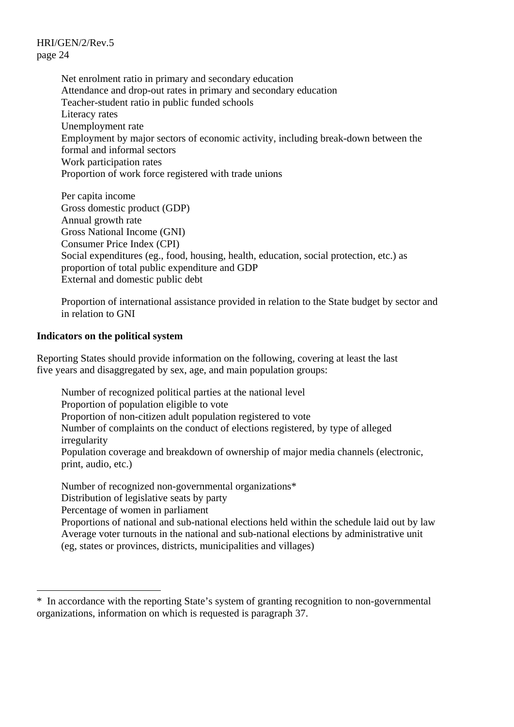> Net enrolment ratio in primary and secondary education Attendance and drop-out rates in primary and secondary education Teacher-student ratio in public funded schools Literacy rates Unemployment rate Employment by major sectors of economic activity, including break-down between the formal and informal sectors Work participation rates Proportion of work force registered with trade unions

Per capita income Gross domestic product (GDP) Annual growth rate Gross National Income (GNI) Consumer Price Index (CPI) Social expenditures (eg., food, housing, health, education, social protection, etc.) as proportion of total public expenditure and GDP External and domestic public debt

Proportion of international assistance provided in relation to the State budget by sector and in relation to GNI

#### **Indicators on the political system**

Reporting States should provide information on the following, covering at least the last five years and disaggregated by sex, age, and main population groups:

Number of recognized political parties at the national level Proportion of population eligible to vote Proportion of non-citizen adult population registered to vote Number of complaints on the conduct of elections registered, by type of alleged irregularity Population coverage and breakdown of ownership of major media channels (electronic, print, audio, etc.)

Number of recognized non-governmental organizations\*

Distribution of legislative seats by party

Percentage of women in parliament

 $\overline{a}$ 

Proportions of national and sub-national elections held within the schedule laid out by law Average voter turnouts in the national and sub-national elections by administrative unit (eg, states or provinces, districts, municipalities and villages)

<sup>\*</sup> In accordance with the reporting State's system of granting recognition to non-governmental organizations, information on which is requested is paragraph 37.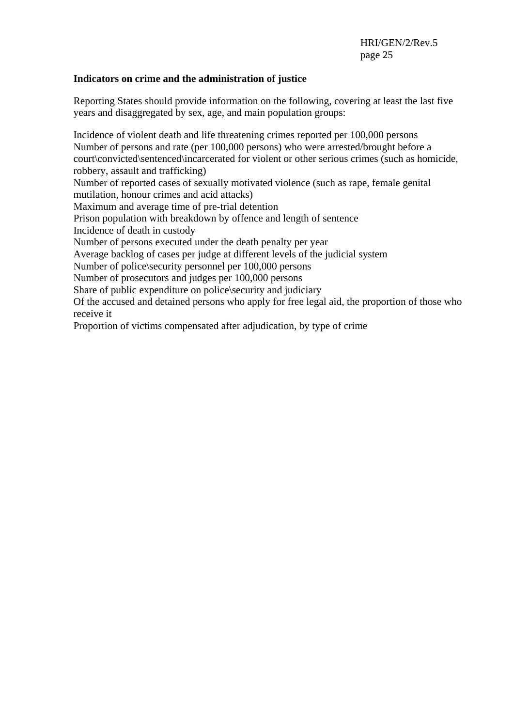### **Indicators on crime and the administration of justice**

Reporting States should provide information on the following, covering at least the last five years and disaggregated by sex, age, and main population groups:

Incidence of violent death and life threatening crimes reported per 100,000 persons Number of persons and rate (per 100,000 persons) who were arrested/brought before a court\convicted\sentenced\incarcerated for violent or other serious crimes (such as homicide, robbery, assault and trafficking) Number of reported cases of sexually motivated violence (such as rape, female genital mutilation, honour crimes and acid attacks) Maximum and average time of pre-trial detention Prison population with breakdown by offence and length of sentence Incidence of death in custody Number of persons executed under the death penalty per year Average backlog of cases per judge at different levels of the judicial system Number of police\security personnel per 100,000 persons Number of prosecutors and judges per 100,000 persons Share of public expenditure on police\security and judiciary Of the accused and detained persons who apply for free legal aid, the proportion of those who receive it

Proportion of victims compensated after adjudication, by type of crime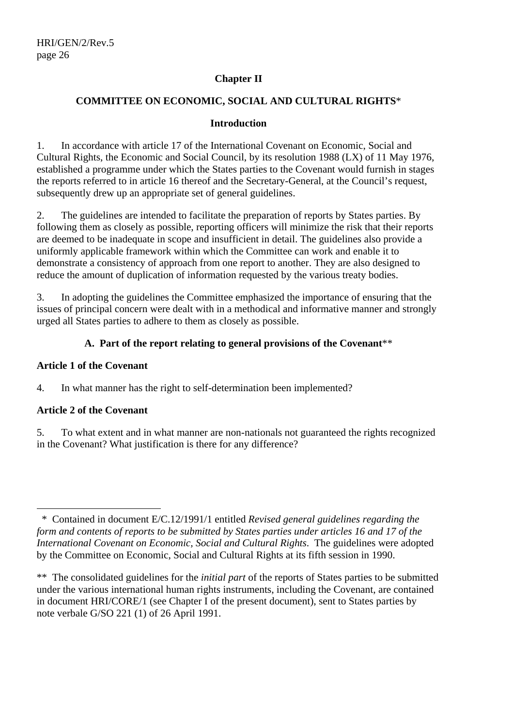# **Chapter II**

# **COMMITTEE ON ECONOMIC, SOCIAL AND CULTURAL RIGHTS**\*

#### **Introduction**

1. In accordance with article 17 of the International Covenant on Economic, Social and Cultural Rights, the Economic and Social Council, by its resolution 1988 (LX) of 11 May 1976, established a programme under which the States parties to the Covenant would furnish in stages the reports referred to in article 16 thereof and the Secretary-General, at the Council's request, subsequently drew up an appropriate set of general guidelines.

2. The guidelines are intended to facilitate the preparation of reports by States parties. By following them as closely as possible, reporting officers will minimize the risk that their reports are deemed to be inadequate in scope and insufficient in detail. The guidelines also provide a uniformly applicable framework within which the Committee can work and enable it to demonstrate a consistency of approach from one report to another. They are also designed to reduce the amount of duplication of information requested by the various treaty bodies.

3. In adopting the guidelines the Committee emphasized the importance of ensuring that the issues of principal concern were dealt with in a methodical and informative manner and strongly urged all States parties to adhere to them as closely as possible.

### **A. Part of the report relating to general provisions of the Covenant**\*\*

### **Article 1 of the Covenant**

4. In what manner has the right to self-determination been implemented?

#### **Article 2 of the Covenant**

 $\overline{a}$ 

5. To what extent and in what manner are non-nationals not guaranteed the rights recognized in the Covenant? What justification is there for any difference?

 <sup>\*</sup> Contained in document E/C.12/1991/1 entitled *Revised general guidelines regarding the form and contents of reports to be submitted by States parties under articles 16 and 17 of the International Covenant on Economic, Social and Cultural Rights*. The guidelines were adopted by the Committee on Economic, Social and Cultural Rights at its fifth session in 1990.

<sup>\*\*</sup> The consolidated guidelines for the *initial part* of the reports of States parties to be submitted under the various international human rights instruments, including the Covenant, are contained in document HRI/CORE/1 (see Chapter I of the present document), sent to States parties by note verbale G/SO 221 (1) of 26 April 1991.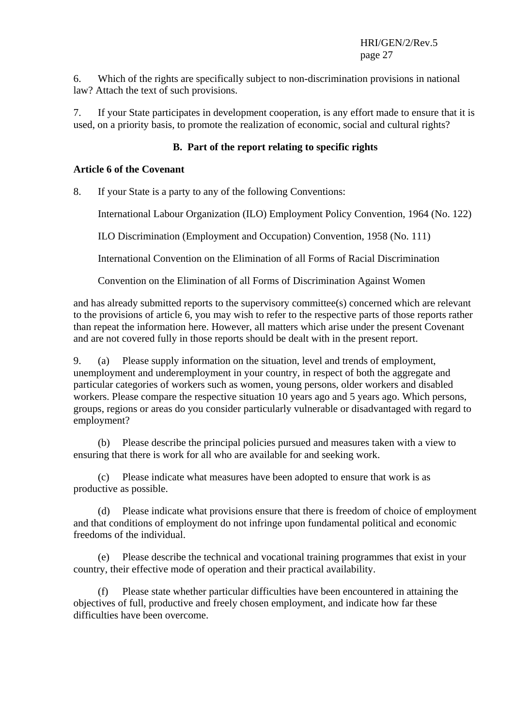6. Which of the rights are specifically subject to non-discrimination provisions in national law? Attach the text of such provisions.

7. If your State participates in development cooperation, is any effort made to ensure that it is used, on a priority basis, to promote the realization of economic, social and cultural rights?

# **B. Part of the report relating to specific rights**

# **Article 6 of the Covenant**

8. If your State is a party to any of the following Conventions:

International Labour Organization (ILO) Employment Policy Convention, 1964 (No. 122)

ILO Discrimination (Employment and Occupation) Convention, 1958 (No. 111)

International Convention on the Elimination of all Forms of Racial Discrimination

Convention on the Elimination of all Forms of Discrimination Against Women

and has already submitted reports to the supervisory committee(s) concerned which are relevant to the provisions of article 6, you may wish to refer to the respective parts of those reports rather than repeat the information here. However, all matters which arise under the present Covenant and are not covered fully in those reports should be dealt with in the present report.

9. (a) Please supply information on the situation, level and trends of employment, unemployment and underemployment in your country, in respect of both the aggregate and particular categories of workers such as women, young persons, older workers and disabled workers. Please compare the respective situation 10 years ago and 5 years ago. Which persons, groups, regions or areas do you consider particularly vulnerable or disadvantaged with regard to employment?

 (b) Please describe the principal policies pursued and measures taken with a view to ensuring that there is work for all who are available for and seeking work.

 (c) Please indicate what measures have been adopted to ensure that work is as productive as possible.

 (d) Please indicate what provisions ensure that there is freedom of choice of employment and that conditions of employment do not infringe upon fundamental political and economic freedoms of the individual.

 (e) Please describe the technical and vocational training programmes that exist in your country, their effective mode of operation and their practical availability.

 (f) Please state whether particular difficulties have been encountered in attaining the objectives of full, productive and freely chosen employment, and indicate how far these difficulties have been overcome.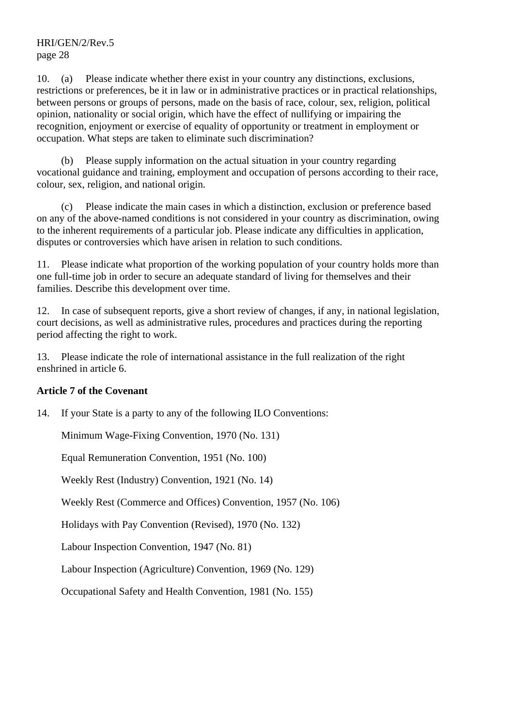10. (a) Please indicate whether there exist in your country any distinctions, exclusions, restrictions or preferences, be it in law or in administrative practices or in practical relationships, between persons or groups of persons, made on the basis of race, colour, sex, religion, political opinion, nationality or social origin, which have the effect of nullifying or impairing the recognition, enjoyment or exercise of equality of opportunity or treatment in employment or occupation. What steps are taken to eliminate such discrimination?

 (b) Please supply information on the actual situation in your country regarding vocational guidance and training, employment and occupation of persons according to their race, colour, sex, religion, and national origin.

 (c) Please indicate the main cases in which a distinction, exclusion or preference based on any of the above-named conditions is not considered in your country as discrimination, owing to the inherent requirements of a particular job. Please indicate any difficulties in application, disputes or controversies which have arisen in relation to such conditions.

11. Please indicate what proportion of the working population of your country holds more than one full-time job in order to secure an adequate standard of living for themselves and their families. Describe this development over time.

12. In case of subsequent reports, give a short review of changes, if any, in national legislation, court decisions, as well as administrative rules, procedures and practices during the reporting period affecting the right to work.

13. Please indicate the role of international assistance in the full realization of the right enshrined in article 6.

# **Article 7 of the Covenant**

14. If your State is a party to any of the following ILO Conventions:

Minimum Wage-Fixing Convention, 1970 (No. 131)

Equal Remuneration Convention, 1951 (No. 100)

Weekly Rest (Industry) Convention, 1921 (No. 14)

Weekly Rest (Commerce and Offices) Convention, 1957 (No. 106)

Holidays with Pay Convention (Revised), 1970 (No. 132)

Labour Inspection Convention, 1947 (No. 81)

Labour Inspection (Agriculture) Convention, 1969 (No. 129)

Occupational Safety and Health Convention, 1981 (No. 155)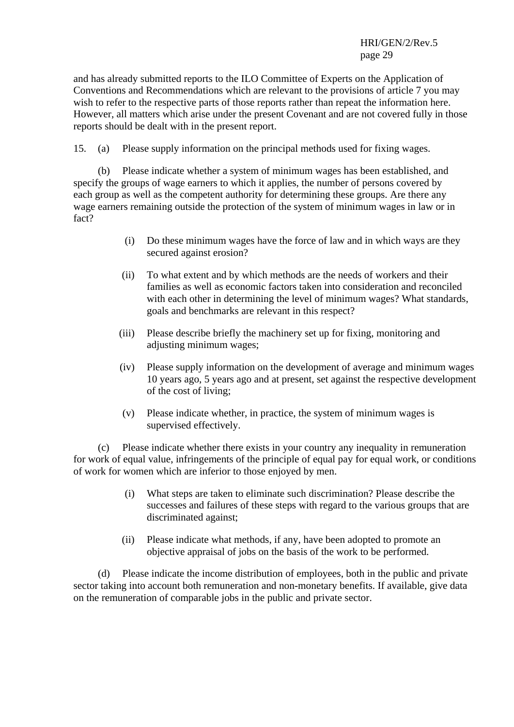and has already submitted reports to the ILO Committee of Experts on the Application of Conventions and Recommendations which are relevant to the provisions of article 7 you may wish to refer to the respective parts of those reports rather than repeat the information here. However, all matters which arise under the present Covenant and are not covered fully in those reports should be dealt with in the present report.

15. (a) Please supply information on the principal methods used for fixing wages.

 (b) Please indicate whether a system of minimum wages has been established, and specify the groups of wage earners to which it applies, the number of persons covered by each group as well as the competent authority for determining these groups. Are there any wage earners remaining outside the protection of the system of minimum wages in law or in fact?

- (i) Do these minimum wages have the force of law and in which ways are they secured against erosion?
- (ii) To what extent and by which methods are the needs of workers and their families as well as economic factors taken into consideration and reconciled with each other in determining the level of minimum wages? What standards, goals and benchmarks are relevant in this respect?
- (iii) Please describe briefly the machinery set up for fixing, monitoring and adjusting minimum wages;
- (iv) Please supply information on the development of average and minimum wages 10 years ago, 5 years ago and at present, set against the respective development of the cost of living;
- (v) Please indicate whether, in practice, the system of minimum wages is supervised effectively.

 (c) Please indicate whether there exists in your country any inequality in remuneration for work of equal value, infringements of the principle of equal pay for equal work, or conditions of work for women which are inferior to those enjoyed by men.

- (i) What steps are taken to eliminate such discrimination? Please describe the successes and failures of these steps with regard to the various groups that are discriminated against;
- (ii) Please indicate what methods, if any, have been adopted to promote an objective appraisal of jobs on the basis of the work to be performed.

 (d) Please indicate the income distribution of employees, both in the public and private sector taking into account both remuneration and non-monetary benefits. If available, give data on the remuneration of comparable jobs in the public and private sector.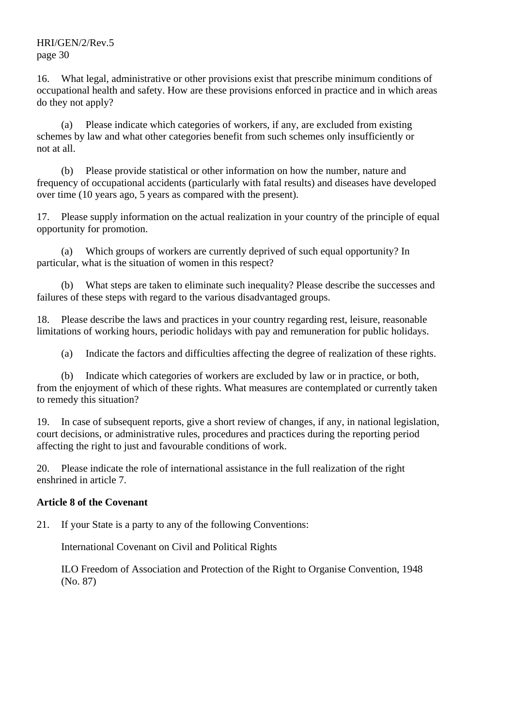16. What legal, administrative or other provisions exist that prescribe minimum conditions of occupational health and safety. How are these provisions enforced in practice and in which areas do they not apply?

 (a) Please indicate which categories of workers, if any, are excluded from existing schemes by law and what other categories benefit from such schemes only insufficiently or not at all.

 (b) Please provide statistical or other information on how the number, nature and frequency of occupational accidents (particularly with fatal results) and diseases have developed over time (10 years ago, 5 years as compared with the present).

17. Please supply information on the actual realization in your country of the principle of equal opportunity for promotion.

 (a) Which groups of workers are currently deprived of such equal opportunity? In particular, what is the situation of women in this respect?

 (b) What steps are taken to eliminate such inequality? Please describe the successes and failures of these steps with regard to the various disadvantaged groups.

18. Please describe the laws and practices in your country regarding rest, leisure, reasonable limitations of working hours, periodic holidays with pay and remuneration for public holidays.

(a) Indicate the factors and difficulties affecting the degree of realization of these rights.

 (b) Indicate which categories of workers are excluded by law or in practice, or both, from the enjoyment of which of these rights. What measures are contemplated or currently taken to remedy this situation?

19. In case of subsequent reports, give a short review of changes, if any, in national legislation, court decisions, or administrative rules, procedures and practices during the reporting period affecting the right to just and favourable conditions of work.

20. Please indicate the role of international assistance in the full realization of the right enshrined in article 7.

# **Article 8 of the Covenant**

21. If your State is a party to any of the following Conventions:

International Covenant on Civil and Political Rights

ILO Freedom of Association and Protection of the Right to Organise Convention, 1948 (No. 87)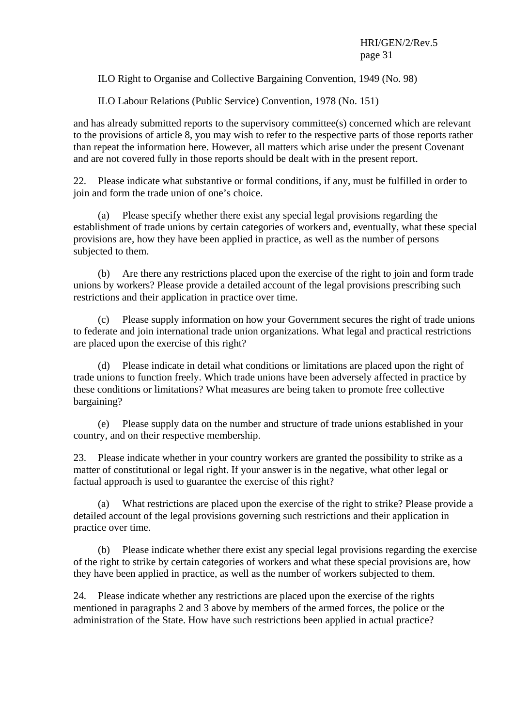ILO Right to Organise and Collective Bargaining Convention, 1949 (No. 98)

ILO Labour Relations (Public Service) Convention, 1978 (No. 151)

and has already submitted reports to the supervisory committee(s) concerned which are relevant to the provisions of article 8, you may wish to refer to the respective parts of those reports rather than repeat the information here. However, all matters which arise under the present Covenant and are not covered fully in those reports should be dealt with in the present report.

22. Please indicate what substantive or formal conditions, if any, must be fulfilled in order to join and form the trade union of one's choice.

 (a) Please specify whether there exist any special legal provisions regarding the establishment of trade unions by certain categories of workers and, eventually, what these special provisions are, how they have been applied in practice, as well as the number of persons subjected to them.

 (b) Are there any restrictions placed upon the exercise of the right to join and form trade unions by workers? Please provide a detailed account of the legal provisions prescribing such restrictions and their application in practice over time.

 (c) Please supply information on how your Government secures the right of trade unions to federate and join international trade union organizations. What legal and practical restrictions are placed upon the exercise of this right?

Please indicate in detail what conditions or limitations are placed upon the right of trade unions to function freely. Which trade unions have been adversely affected in practice by these conditions or limitations? What measures are being taken to promote free collective bargaining?

 (e) Please supply data on the number and structure of trade unions established in your country, and on their respective membership.

23. Please indicate whether in your country workers are granted the possibility to strike as a matter of constitutional or legal right. If your answer is in the negative, what other legal or factual approach is used to guarantee the exercise of this right?

 (a) What restrictions are placed upon the exercise of the right to strike? Please provide a detailed account of the legal provisions governing such restrictions and their application in practice over time.

 (b) Please indicate whether there exist any special legal provisions regarding the exercise of the right to strike by certain categories of workers and what these special provisions are, how they have been applied in practice, as well as the number of workers subjected to them.

24. Please indicate whether any restrictions are placed upon the exercise of the rights mentioned in paragraphs 2 and 3 above by members of the armed forces, the police or the administration of the State. How have such restrictions been applied in actual practice?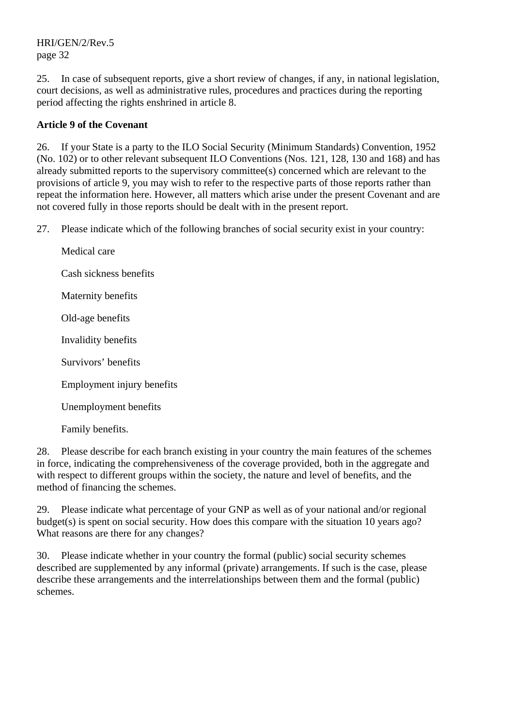25. In case of subsequent reports, give a short review of changes, if any, in national legislation, court decisions, as well as administrative rules, procedures and practices during the reporting period affecting the rights enshrined in article 8.

# **Article 9 of the Covenant**

26. If your State is a party to the ILO Social Security (Minimum Standards) Convention, 1952 (No. 102) or to other relevant subsequent ILO Conventions (Nos. 121, 128, 130 and 168) and has already submitted reports to the supervisory committee(s) concerned which are relevant to the provisions of article 9, you may wish to refer to the respective parts of those reports rather than repeat the information here. However, all matters which arise under the present Covenant and are not covered fully in those reports should be dealt with in the present report.

- 27. Please indicate which of the following branches of social security exist in your country:
	- Medical care Cash sickness benefits Maternity benefits Old-age benefits Invalidity benefits Survivors' benefits Employment injury benefits Unemployment benefits Family benefits.

28. Please describe for each branch existing in your country the main features of the schemes in force, indicating the comprehensiveness of the coverage provided, both in the aggregate and with respect to different groups within the society, the nature and level of benefits, and the method of financing the schemes.

29. Please indicate what percentage of your GNP as well as of your national and/or regional budget(s) is spent on social security. How does this compare with the situation 10 years ago? What reasons are there for any changes?

30. Please indicate whether in your country the formal (public) social security schemes described are supplemented by any informal (private) arrangements. If such is the case, please describe these arrangements and the interrelationships between them and the formal (public) schemes.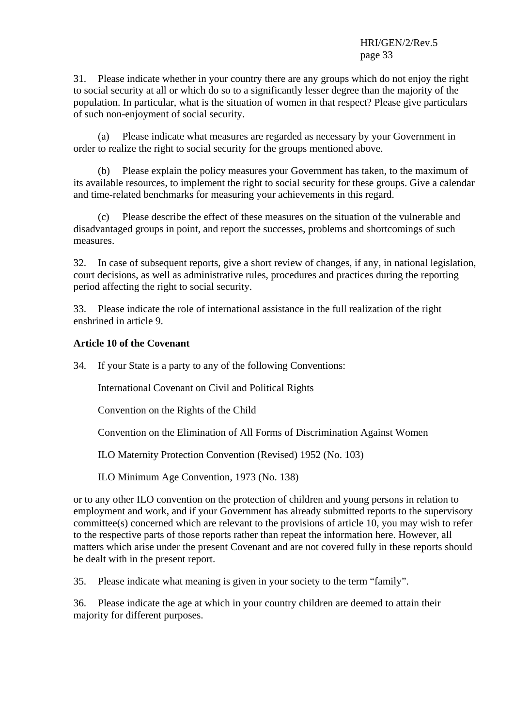31. Please indicate whether in your country there are any groups which do not enjoy the right to social security at all or which do so to a significantly lesser degree than the majority of the population. In particular, what is the situation of women in that respect? Please give particulars of such non-enjoyment of social security.

 (a) Please indicate what measures are regarded as necessary by your Government in order to realize the right to social security for the groups mentioned above.

Please explain the policy measures your Government has taken, to the maximum of its available resources, to implement the right to social security for these groups. Give a calendar and time-related benchmarks for measuring your achievements in this regard.

 (c) Please describe the effect of these measures on the situation of the vulnerable and disadvantaged groups in point, and report the successes, problems and shortcomings of such measures.

32. In case of subsequent reports, give a short review of changes, if any, in national legislation, court decisions, as well as administrative rules, procedures and practices during the reporting period affecting the right to social security.

33. Please indicate the role of international assistance in the full realization of the right enshrined in article 9.

# **Article 10 of the Covenant**

34. If your State is a party to any of the following Conventions:

International Covenant on Civil and Political Rights

Convention on the Rights of the Child

Convention on the Elimination of All Forms of Discrimination Against Women

ILO Maternity Protection Convention (Revised) 1952 (No. 103)

ILO Minimum Age Convention, 1973 (No. 138)

or to any other ILO convention on the protection of children and young persons in relation to employment and work, and if your Government has already submitted reports to the supervisory committee(s) concerned which are relevant to the provisions of article 10, you may wish to refer to the respective parts of those reports rather than repeat the information here. However, all matters which arise under the present Covenant and are not covered fully in these reports should be dealt with in the present report.

35. Please indicate what meaning is given in your society to the term "family".

36. Please indicate the age at which in your country children are deemed to attain their majority for different purposes.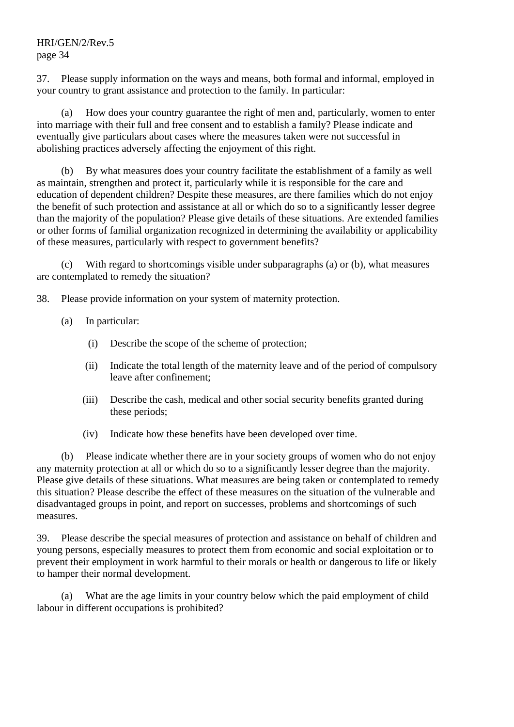37. Please supply information on the ways and means, both formal and informal, employed in your country to grant assistance and protection to the family. In particular:

 (a) How does your country guarantee the right of men and, particularly, women to enter into marriage with their full and free consent and to establish a family? Please indicate and eventually give particulars about cases where the measures taken were not successful in abolishing practices adversely affecting the enjoyment of this right.

 (b) By what measures does your country facilitate the establishment of a family as well as maintain, strengthen and protect it, particularly while it is responsible for the care and education of dependent children? Despite these measures, are there families which do not enjoy the benefit of such protection and assistance at all or which do so to a significantly lesser degree than the majority of the population? Please give details of these situations. Are extended families or other forms of familial organization recognized in determining the availability or applicability of these measures, particularly with respect to government benefits?

 (c) With regard to shortcomings visible under subparagraphs (a) or (b), what measures are contemplated to remedy the situation?

38. Please provide information on your system of maternity protection.

- (a) In particular:
	- (i) Describe the scope of the scheme of protection;
	- (ii) Indicate the total length of the maternity leave and of the period of compulsory leave after confinement;
	- (iii) Describe the cash, medical and other social security benefits granted during these periods;
	- (iv) Indicate how these benefits have been developed over time.

 (b) Please indicate whether there are in your society groups of women who do not enjoy any maternity protection at all or which do so to a significantly lesser degree than the majority. Please give details of these situations. What measures are being taken or contemplated to remedy this situation? Please describe the effect of these measures on the situation of the vulnerable and disadvantaged groups in point, and report on successes, problems and shortcomings of such measures.

39. Please describe the special measures of protection and assistance on behalf of children and young persons, especially measures to protect them from economic and social exploitation or to prevent their employment in work harmful to their morals or health or dangerous to life or likely to hamper their normal development.

 (a) What are the age limits in your country below which the paid employment of child labour in different occupations is prohibited?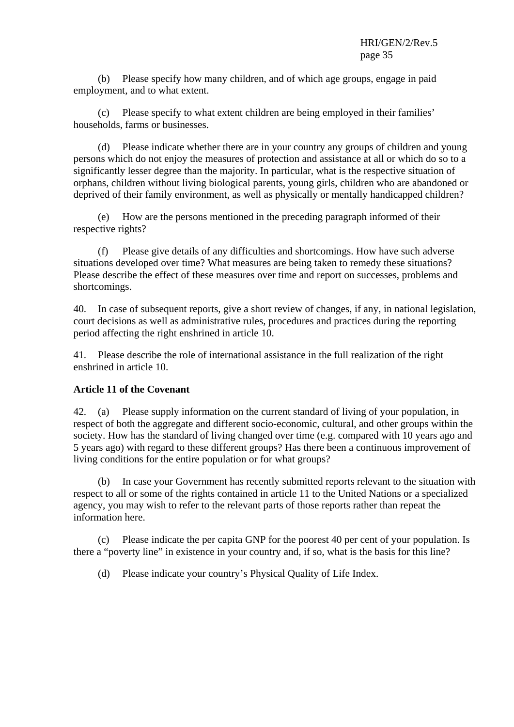(b) Please specify how many children, and of which age groups, engage in paid employment, and to what extent.

 (c) Please specify to what extent children are being employed in their families' households, farms or businesses.

 (d) Please indicate whether there are in your country any groups of children and young persons which do not enjoy the measures of protection and assistance at all or which do so to a significantly lesser degree than the majority. In particular, what is the respective situation of orphans, children without living biological parents, young girls, children who are abandoned or deprived of their family environment, as well as physically or mentally handicapped children?

 (e) How are the persons mentioned in the preceding paragraph informed of their respective rights?

 (f) Please give details of any difficulties and shortcomings. How have such adverse situations developed over time? What measures are being taken to remedy these situations? Please describe the effect of these measures over time and report on successes, problems and shortcomings.

40. In case of subsequent reports, give a short review of changes, if any, in national legislation, court decisions as well as administrative rules, procedures and practices during the reporting period affecting the right enshrined in article 10.

41. Please describe the role of international assistance in the full realization of the right enshrined in article 10.

# **Article 11 of the Covenant**

42. (a) Please supply information on the current standard of living of your population, in respect of both the aggregate and different socio-economic, cultural, and other groups within the society. How has the standard of living changed over time (e.g. compared with 10 years ago and 5 years ago) with regard to these different groups? Has there been a continuous improvement of living conditions for the entire population or for what groups?

In case your Government has recently submitted reports relevant to the situation with respect to all or some of the rights contained in article 11 to the United Nations or a specialized agency, you may wish to refer to the relevant parts of those reports rather than repeat the information here.

 (c) Please indicate the per capita GNP for the poorest 40 per cent of your population. Is there a "poverty line" in existence in your country and, if so, what is the basis for this line?

(d) Please indicate your country's Physical Quality of Life Index.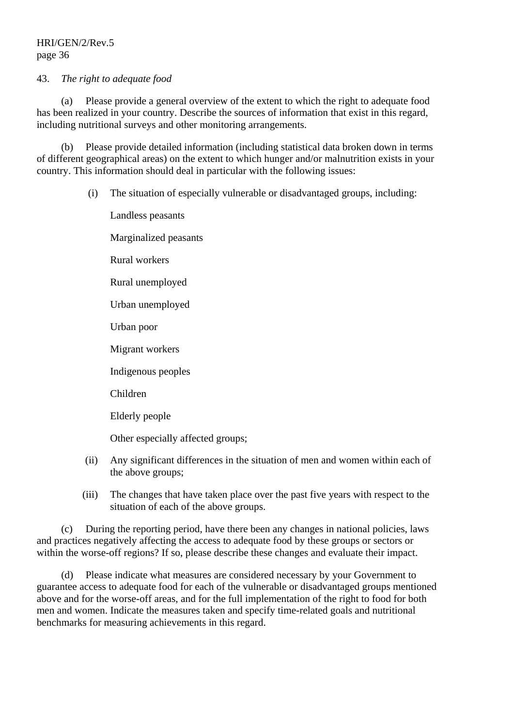#### 43. *The right to adequate food*

 (a) Please provide a general overview of the extent to which the right to adequate food has been realized in your country. Describe the sources of information that exist in this regard, including nutritional surveys and other monitoring arrangements.

 (b) Please provide detailed information (including statistical data broken down in terms of different geographical areas) on the extent to which hunger and/or malnutrition exists in your country. This information should deal in particular with the following issues:

(i) The situation of especially vulnerable or disadvantaged groups, including:

 Landless peasants Marginalized peasants Rural workers Rural unemployed Urban unemployed Urban poor Migrant workers Indigenous peoples Children Elderly people Other especially affected groups;

- (ii) Any significant differences in the situation of men and women within each of the above groups;
- (iii) The changes that have taken place over the past five years with respect to the situation of each of the above groups.

 (c) During the reporting period, have there been any changes in national policies, laws and practices negatively affecting the access to adequate food by these groups or sectors or within the worse-off regions? If so, please describe these changes and evaluate their impact.

 (d) Please indicate what measures are considered necessary by your Government to guarantee access to adequate food for each of the vulnerable or disadvantaged groups mentioned above and for the worse-off areas, and for the full implementation of the right to food for both men and women. Indicate the measures taken and specify time-related goals and nutritional benchmarks for measuring achievements in this regard.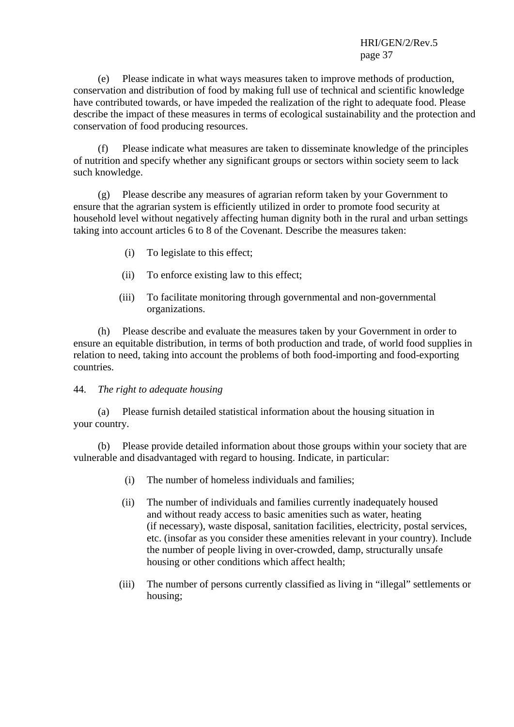(e) Please indicate in what ways measures taken to improve methods of production, conservation and distribution of food by making full use of technical and scientific knowledge have contributed towards, or have impeded the realization of the right to adequate food. Please describe the impact of these measures in terms of ecological sustainability and the protection and conservation of food producing resources.

 (f) Please indicate what measures are taken to disseminate knowledge of the principles of nutrition and specify whether any significant groups or sectors within society seem to lack such knowledge.

 (g) Please describe any measures of agrarian reform taken by your Government to ensure that the agrarian system is efficiently utilized in order to promote food security at household level without negatively affecting human dignity both in the rural and urban settings taking into account articles 6 to 8 of the Covenant. Describe the measures taken:

- (i) To legislate to this effect;
- (ii) To enforce existing law to this effect;
- (iii) To facilitate monitoring through governmental and non-governmental organizations.

 (h) Please describe and evaluate the measures taken by your Government in order to ensure an equitable distribution, in terms of both production and trade, of world food supplies in relation to need, taking into account the problems of both food-importing and food-exporting countries.

#### 44. *The right to adequate housing*

 (a) Please furnish detailed statistical information about the housing situation in your country.

 (b) Please provide detailed information about those groups within your society that are vulnerable and disadvantaged with regard to housing. Indicate, in particular:

- (i) The number of homeless individuals and families;
- (ii) The number of individuals and families currently inadequately housed and without ready access to basic amenities such as water, heating (if necessary), waste disposal, sanitation facilities, electricity, postal services, etc. (insofar as you consider these amenities relevant in your country). Include the number of people living in over-crowded, damp, structurally unsafe housing or other conditions which affect health;
- (iii) The number of persons currently classified as living in "illegal" settlements or housing;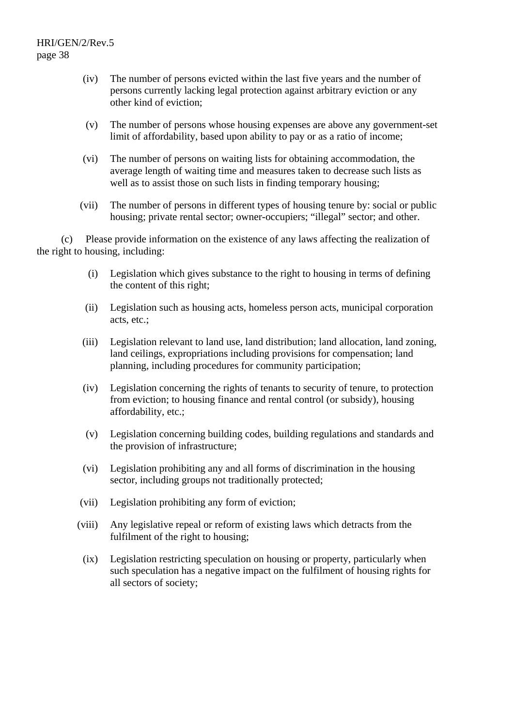- (iv) The number of persons evicted within the last five years and the number of persons currently lacking legal protection against arbitrary eviction or any other kind of eviction;
- (v) The number of persons whose housing expenses are above any government-set limit of affordability, based upon ability to pay or as a ratio of income;
- (vi) The number of persons on waiting lists for obtaining accommodation, the average length of waiting time and measures taken to decrease such lists as well as to assist those on such lists in finding temporary housing;
- (vii) The number of persons in different types of housing tenure by: social or public housing; private rental sector; owner-occupiers; "illegal" sector; and other.

 (c) Please provide information on the existence of any laws affecting the realization of the right to housing, including:

- (i) Legislation which gives substance to the right to housing in terms of defining the content of this right;
- (ii) Legislation such as housing acts, homeless person acts, municipal corporation acts, etc.;
- (iii) Legislation relevant to land use, land distribution; land allocation, land zoning, land ceilings, expropriations including provisions for compensation; land planning, including procedures for community participation;
- (iv) Legislation concerning the rights of tenants to security of tenure, to protection from eviction; to housing finance and rental control (or subsidy), housing affordability, etc.;
- (v) Legislation concerning building codes, building regulations and standards and the provision of infrastructure;
- (vi) Legislation prohibiting any and all forms of discrimination in the housing sector, including groups not traditionally protected;
- (vii) Legislation prohibiting any form of eviction;
- (viii) Any legislative repeal or reform of existing laws which detracts from the fulfilment of the right to housing;
- (ix) Legislation restricting speculation on housing or property, particularly when such speculation has a negative impact on the fulfilment of housing rights for all sectors of society;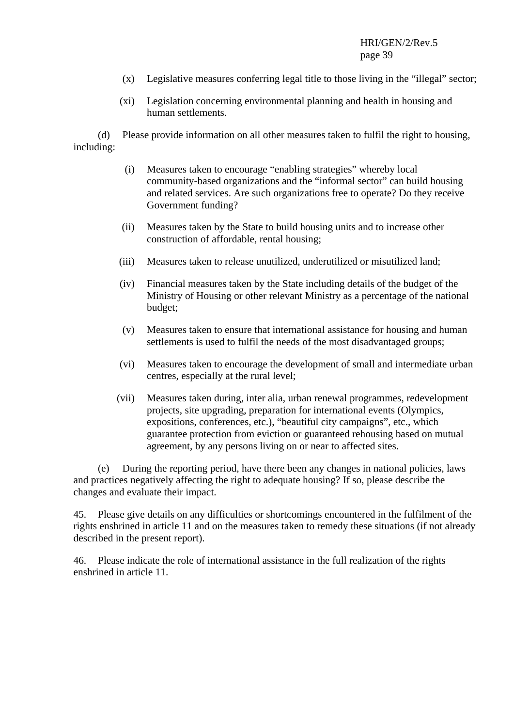- (x) Legislative measures conferring legal title to those living in the "illegal" sector;
- (xi) Legislation concerning environmental planning and health in housing and human settlements.

 (d) Please provide information on all other measures taken to fulfil the right to housing, including:

- (i) Measures taken to encourage "enabling strategies" whereby local community-based organizations and the "informal sector" can build housing and related services. Are such organizations free to operate? Do they receive Government funding?
- (ii) Measures taken by the State to build housing units and to increase other construction of affordable, rental housing;
- (iii) Measures taken to release unutilized, underutilized or misutilized land;
- (iv) Financial measures taken by the State including details of the budget of the Ministry of Housing or other relevant Ministry as a percentage of the national budget;
- (v) Measures taken to ensure that international assistance for housing and human settlements is used to fulfil the needs of the most disadvantaged groups;
- (vi) Measures taken to encourage the development of small and intermediate urban centres, especially at the rural level;
- (vii) Measures taken during, inter alia, urban renewal programmes, redevelopment projects, site upgrading, preparation for international events (Olympics, expositions, conferences, etc.), "beautiful city campaigns", etc., which guarantee protection from eviction or guaranteed rehousing based on mutual agreement, by any persons living on or near to affected sites.

 (e) During the reporting period, have there been any changes in national policies, laws and practices negatively affecting the right to adequate housing? If so, please describe the changes and evaluate their impact.

45. Please give details on any difficulties or shortcomings encountered in the fulfilment of the rights enshrined in article 11 and on the measures taken to remedy these situations (if not already described in the present report).

46. Please indicate the role of international assistance in the full realization of the rights enshrined in article 11.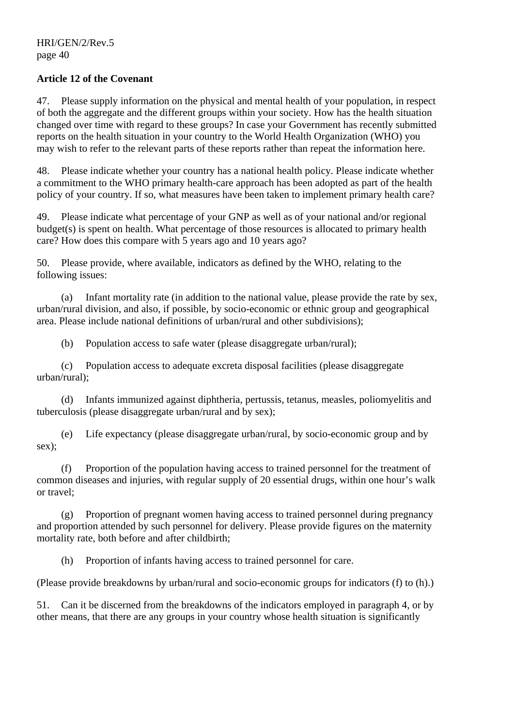## **Article 12 of the Covenant**

47. Please supply information on the physical and mental health of your population, in respect of both the aggregate and the different groups within your society. How has the health situation changed over time with regard to these groups? In case your Government has recently submitted reports on the health situation in your country to the World Health Organization (WHO) you may wish to refer to the relevant parts of these reports rather than repeat the information here.

48. Please indicate whether your country has a national health policy. Please indicate whether a commitment to the WHO primary health-care approach has been adopted as part of the health policy of your country. If so, what measures have been taken to implement primary health care?

49. Please indicate what percentage of your GNP as well as of your national and/or regional budget(s) is spent on health. What percentage of those resources is allocated to primary health care? How does this compare with 5 years ago and 10 years ago?

50. Please provide, where available, indicators as defined by the WHO, relating to the following issues:

 (a) Infant mortality rate (in addition to the national value, please provide the rate by sex, urban/rural division, and also, if possible, by socio-economic or ethnic group and geographical area. Please include national definitions of urban/rural and other subdivisions);

(b) Population access to safe water (please disaggregate urban/rural);

 (c) Population access to adequate excreta disposal facilities (please disaggregate urban/rural);

 (d) Infants immunized against diphtheria, pertussis, tetanus, measles, poliomyelitis and tuberculosis (please disaggregate urban/rural and by sex);

 (e) Life expectancy (please disaggregate urban/rural, by socio-economic group and by sex);

 (f) Proportion of the population having access to trained personnel for the treatment of common diseases and injuries, with regular supply of 20 essential drugs, within one hour's walk or travel;

 (g) Proportion of pregnant women having access to trained personnel during pregnancy and proportion attended by such personnel for delivery. Please provide figures on the maternity mortality rate, both before and after childbirth;

(h) Proportion of infants having access to trained personnel for care.

(Please provide breakdowns by urban/rural and socio-economic groups for indicators (f) to (h).)

51. Can it be discerned from the breakdowns of the indicators employed in paragraph 4, or by other means, that there are any groups in your country whose health situation is significantly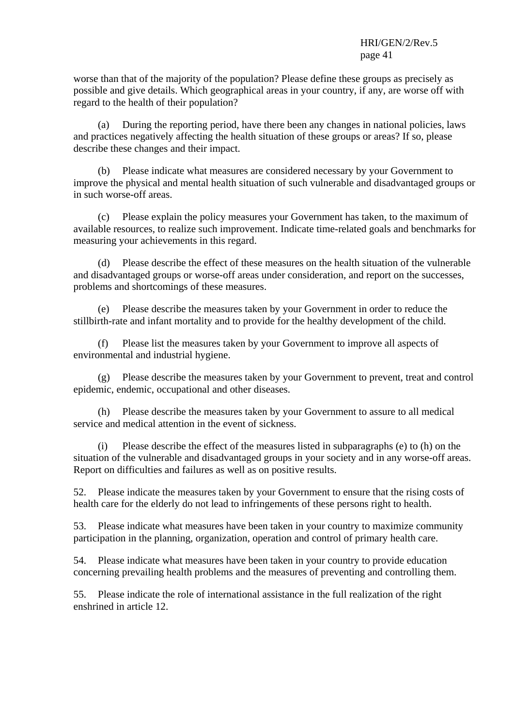worse than that of the majority of the population? Please define these groups as precisely as possible and give details. Which geographical areas in your country, if any, are worse off with regard to the health of their population?

 (a) During the reporting period, have there been any changes in national policies, laws and practices negatively affecting the health situation of these groups or areas? If so, please describe these changes and their impact.

 (b) Please indicate what measures are considered necessary by your Government to improve the physical and mental health situation of such vulnerable and disadvantaged groups or in such worse-off areas.

 (c) Please explain the policy measures your Government has taken, to the maximum of available resources, to realize such improvement. Indicate time-related goals and benchmarks for measuring your achievements in this regard.

 (d) Please describe the effect of these measures on the health situation of the vulnerable and disadvantaged groups or worse-off areas under consideration, and report on the successes, problems and shortcomings of these measures.

 (e) Please describe the measures taken by your Government in order to reduce the stillbirth-rate and infant mortality and to provide for the healthy development of the child.

 (f) Please list the measures taken by your Government to improve all aspects of environmental and industrial hygiene.

 (g) Please describe the measures taken by your Government to prevent, treat and control epidemic, endemic, occupational and other diseases.

 (h) Please describe the measures taken by your Government to assure to all medical service and medical attention in the event of sickness.

 (i) Please describe the effect of the measures listed in subparagraphs (e) to (h) on the situation of the vulnerable and disadvantaged groups in your society and in any worse-off areas. Report on difficulties and failures as well as on positive results.

52. Please indicate the measures taken by your Government to ensure that the rising costs of health care for the elderly do not lead to infringements of these persons right to health.

53. Please indicate what measures have been taken in your country to maximize community participation in the planning, organization, operation and control of primary health care.

54. Please indicate what measures have been taken in your country to provide education concerning prevailing health problems and the measures of preventing and controlling them.

55. Please indicate the role of international assistance in the full realization of the right enshrined in article 12.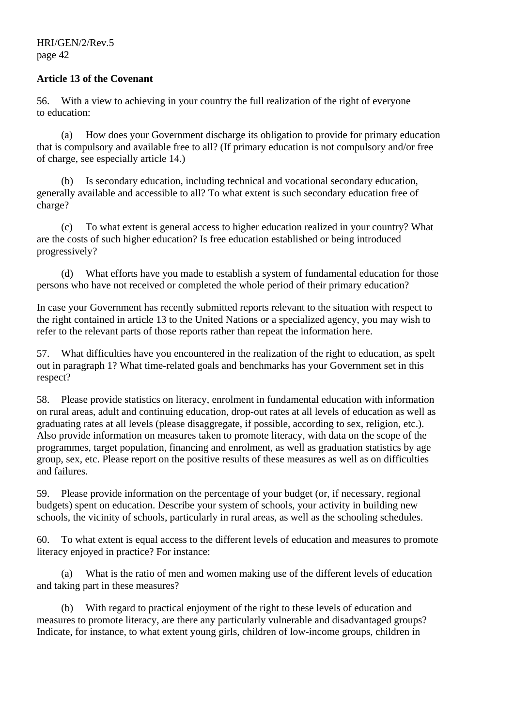# **Article 13 of the Covenant**

56. With a view to achieving in your country the full realization of the right of everyone to education:

 (a) How does your Government discharge its obligation to provide for primary education that is compulsory and available free to all? (If primary education is not compulsory and/or free of charge, see especially article 14.)

 (b) Is secondary education, including technical and vocational secondary education, generally available and accessible to all? To what extent is such secondary education free of charge?

 (c) To what extent is general access to higher education realized in your country? What are the costs of such higher education? Is free education established or being introduced progressively?

 (d) What efforts have you made to establish a system of fundamental education for those persons who have not received or completed the whole period of their primary education?

In case your Government has recently submitted reports relevant to the situation with respect to the right contained in article 13 to the United Nations or a specialized agency, you may wish to refer to the relevant parts of those reports rather than repeat the information here.

57. What difficulties have you encountered in the realization of the right to education, as spelt out in paragraph 1? What time-related goals and benchmarks has your Government set in this respect?

58. Please provide statistics on literacy, enrolment in fundamental education with information on rural areas, adult and continuing education, drop-out rates at all levels of education as well as graduating rates at all levels (please disaggregate, if possible, according to sex, religion, etc.). Also provide information on measures taken to promote literacy, with data on the scope of the programmes, target population, financing and enrolment, as well as graduation statistics by age group, sex, etc. Please report on the positive results of these measures as well as on difficulties and failures.

59. Please provide information on the percentage of your budget (or, if necessary, regional budgets) spent on education. Describe your system of schools, your activity in building new schools, the vicinity of schools, particularly in rural areas, as well as the schooling schedules.

60. To what extent is equal access to the different levels of education and measures to promote literacy enjoyed in practice? For instance:

 (a) What is the ratio of men and women making use of the different levels of education and taking part in these measures?

 (b) With regard to practical enjoyment of the right to these levels of education and measures to promote literacy, are there any particularly vulnerable and disadvantaged groups? Indicate, for instance, to what extent young girls, children of low-income groups, children in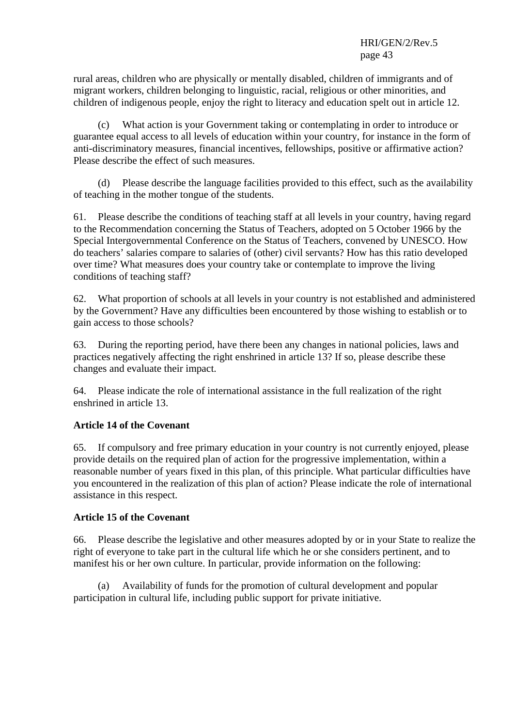rural areas, children who are physically or mentally disabled, children of immigrants and of migrant workers, children belonging to linguistic, racial, religious or other minorities, and children of indigenous people, enjoy the right to literacy and education spelt out in article 12.

 (c) What action is your Government taking or contemplating in order to introduce or guarantee equal access to all levels of education within your country, for instance in the form of anti-discriminatory measures, financial incentives, fellowships, positive or affirmative action? Please describe the effect of such measures.

 (d) Please describe the language facilities provided to this effect, such as the availability of teaching in the mother tongue of the students.

61. Please describe the conditions of teaching staff at all levels in your country, having regard to the Recommendation concerning the Status of Teachers, adopted on 5 October 1966 by the Special Intergovernmental Conference on the Status of Teachers, convened by UNESCO. How do teachers' salaries compare to salaries of (other) civil servants? How has this ratio developed over time? What measures does your country take or contemplate to improve the living conditions of teaching staff?

62. What proportion of schools at all levels in your country is not established and administered by the Government? Have any difficulties been encountered by those wishing to establish or to gain access to those schools?

63. During the reporting period, have there been any changes in national policies, laws and practices negatively affecting the right enshrined in article 13? If so, please describe these changes and evaluate their impact.

64. Please indicate the role of international assistance in the full realization of the right enshrined in article 13.

# **Article 14 of the Covenant**

65. If compulsory and free primary education in your country is not currently enjoyed, please provide details on the required plan of action for the progressive implementation, within a reasonable number of years fixed in this plan, of this principle. What particular difficulties have you encountered in the realization of this plan of action? Please indicate the role of international assistance in this respect.

## **Article 15 of the Covenant**

66. Please describe the legislative and other measures adopted by or in your State to realize the right of everyone to take part in the cultural life which he or she considers pertinent, and to manifest his or her own culture. In particular, provide information on the following:

 (a) Availability of funds for the promotion of cultural development and popular participation in cultural life, including public support for private initiative.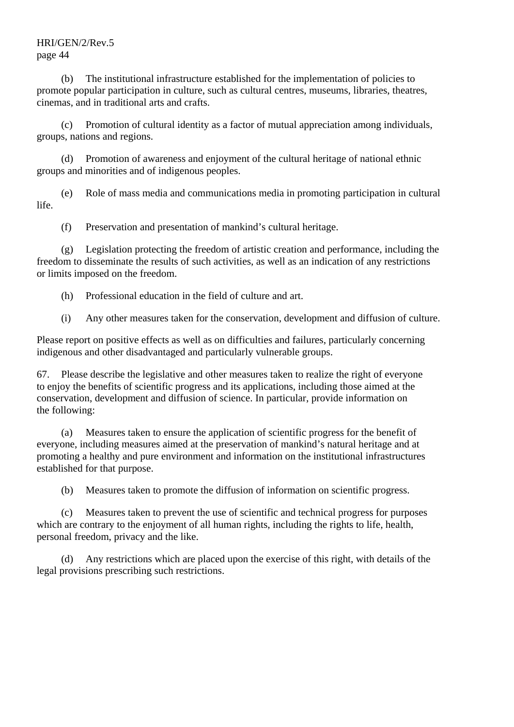(b) The institutional infrastructure established for the implementation of policies to promote popular participation in culture, such as cultural centres, museums, libraries, theatres, cinemas, and in traditional arts and crafts.

 (c) Promotion of cultural identity as a factor of mutual appreciation among individuals, groups, nations and regions.

 (d) Promotion of awareness and enjoyment of the cultural heritage of national ethnic groups and minorities and of indigenous peoples.

 (e) Role of mass media and communications media in promoting participation in cultural life.

(f) Preservation and presentation of mankind's cultural heritage.

 (g) Legislation protecting the freedom of artistic creation and performance, including the freedom to disseminate the results of such activities, as well as an indication of any restrictions or limits imposed on the freedom.

(h) Professional education in the field of culture and art.

(i) Any other measures taken for the conservation, development and diffusion of culture.

Please report on positive effects as well as on difficulties and failures, particularly concerning indigenous and other disadvantaged and particularly vulnerable groups.

67. Please describe the legislative and other measures taken to realize the right of everyone to enjoy the benefits of scientific progress and its applications, including those aimed at the conservation, development and diffusion of science. In particular, provide information on the following:

 (a) Measures taken to ensure the application of scientific progress for the benefit of everyone, including measures aimed at the preservation of mankind's natural heritage and at promoting a healthy and pure environment and information on the institutional infrastructures established for that purpose.

(b) Measures taken to promote the diffusion of information on scientific progress.

 (c) Measures taken to prevent the use of scientific and technical progress for purposes which are contrary to the enjoyment of all human rights, including the rights to life, health, personal freedom, privacy and the like.

 (d) Any restrictions which are placed upon the exercise of this right, with details of the legal provisions prescribing such restrictions.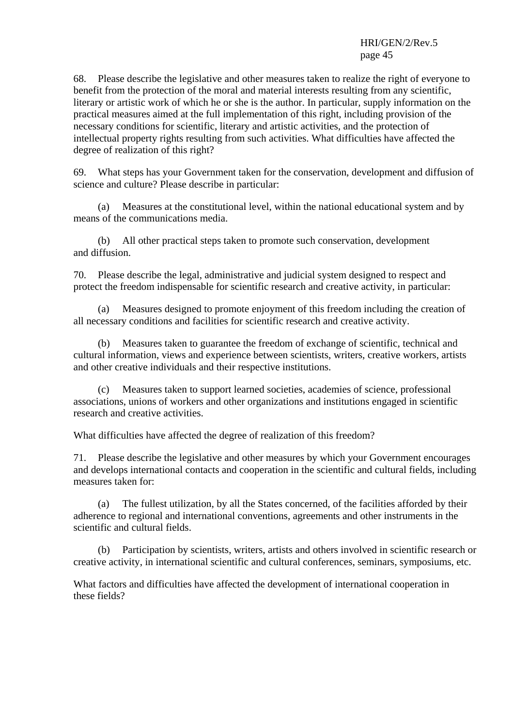68. Please describe the legislative and other measures taken to realize the right of everyone to benefit from the protection of the moral and material interests resulting from any scientific, literary or artistic work of which he or she is the author. In particular, supply information on the practical measures aimed at the full implementation of this right, including provision of the necessary conditions for scientific, literary and artistic activities, and the protection of intellectual property rights resulting from such activities. What difficulties have affected the degree of realization of this right?

69. What steps has your Government taken for the conservation, development and diffusion of science and culture? Please describe in particular:

 (a) Measures at the constitutional level, within the national educational system and by means of the communications media.

 (b) All other practical steps taken to promote such conservation, development and diffusion.

70. Please describe the legal, administrative and judicial system designed to respect and protect the freedom indispensable for scientific research and creative activity, in particular:

 (a) Measures designed to promote enjoyment of this freedom including the creation of all necessary conditions and facilities for scientific research and creative activity.

Measures taken to guarantee the freedom of exchange of scientific, technical and cultural information, views and experience between scientists, writers, creative workers, artists and other creative individuals and their respective institutions.

Measures taken to support learned societies, academies of science, professional associations, unions of workers and other organizations and institutions engaged in scientific research and creative activities.

What difficulties have affected the degree of realization of this freedom?

71. Please describe the legislative and other measures by which your Government encourages and develops international contacts and cooperation in the scientific and cultural fields, including measures taken for:

 (a) The fullest utilization, by all the States concerned, of the facilities afforded by their adherence to regional and international conventions, agreements and other instruments in the scientific and cultural fields.

 (b) Participation by scientists, writers, artists and others involved in scientific research or creative activity, in international scientific and cultural conferences, seminars, symposiums, etc.

What factors and difficulties have affected the development of international cooperation in these fields?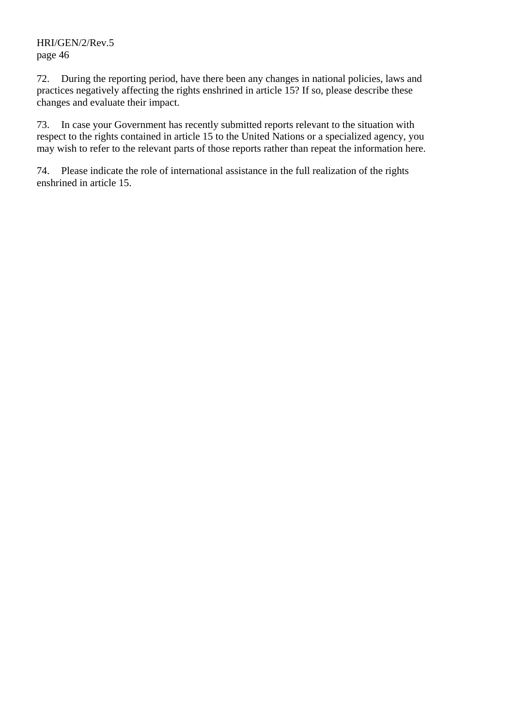72. During the reporting period, have there been any changes in national policies, laws and practices negatively affecting the rights enshrined in article 15? If so, please describe these changes and evaluate their impact.

73. In case your Government has recently submitted reports relevant to the situation with respect to the rights contained in article 15 to the United Nations or a specialized agency, you may wish to refer to the relevant parts of those reports rather than repeat the information here.

74. Please indicate the role of international assistance in the full realization of the rights enshrined in article 15.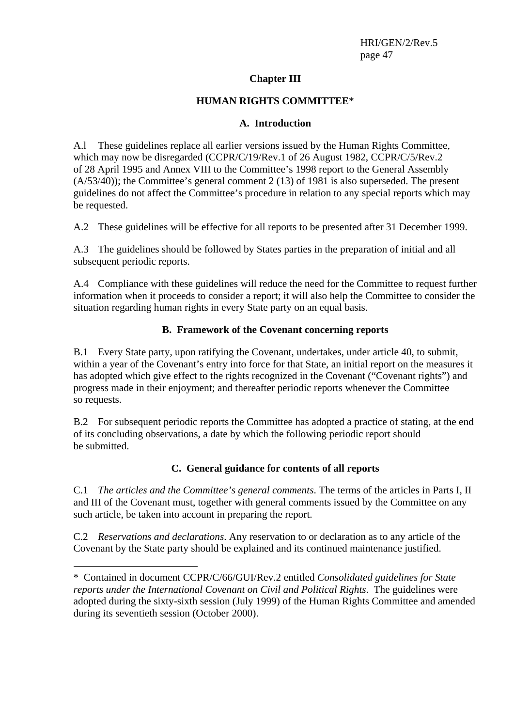# **Chapter III**

# **HUMAN RIGHTS COMMITTEE**\*

### **A. Introduction**

A.l These guidelines replace all earlier versions issued by the Human Rights Committee, which may now be disregarded (CCPR/C/19/Rev.1 of 26 August 1982, CCPR/C/5/Rev.2) of 28 April 1995 and Annex VIII to the Committee's 1998 report to the General Assembly (A/53/40)); the Committee's general comment 2 (13) of 1981 is also superseded. The present guidelines do not affect the Committee's procedure in relation to any special reports which may be requested.

A.2 These guidelines will be effective for all reports to be presented after 31 December 1999.

A.3 The guidelines should be followed by States parties in the preparation of initial and all subsequent periodic reports.

A.4 Compliance with these guidelines will reduce the need for the Committee to request further information when it proceeds to consider a report; it will also help the Committee to consider the situation regarding human rights in every State party on an equal basis.

# **B. Framework of the Covenant concerning reports**

B.1 Every State party, upon ratifying the Covenant, undertakes, under article 40, to submit, within a year of the Covenant's entry into force for that State, an initial report on the measures it has adopted which give effect to the rights recognized in the Covenant ("Covenant rights") and progress made in their enjoyment; and thereafter periodic reports whenever the Committee so requests.

B.2 For subsequent periodic reports the Committee has adopted a practice of stating, at the end of its concluding observations, a date by which the following periodic report should be submitted.

# **C. General guidance for contents of all reports**

C.1 *The articles and the Committee's general comments*. The terms of the articles in Parts I, II and III of the Covenant must, together with general comments issued by the Committee on any such article, be taken into account in preparing the report.

C.2 *Reservations and declarations*. Any reservation to or declaration as to any article of the Covenant by the State party should be explained and its continued maintenance justified.

<u>.</u>

<sup>\*</sup> Contained in document CCPR/C/66/GUI/Rev.2 entitled *Consolidated guidelines for State reports under the International Covenant on Civil and Political Rights*. The guidelines were adopted during the sixty-sixth session (July 1999) of the Human Rights Committee and amended during its seventieth session (October 2000).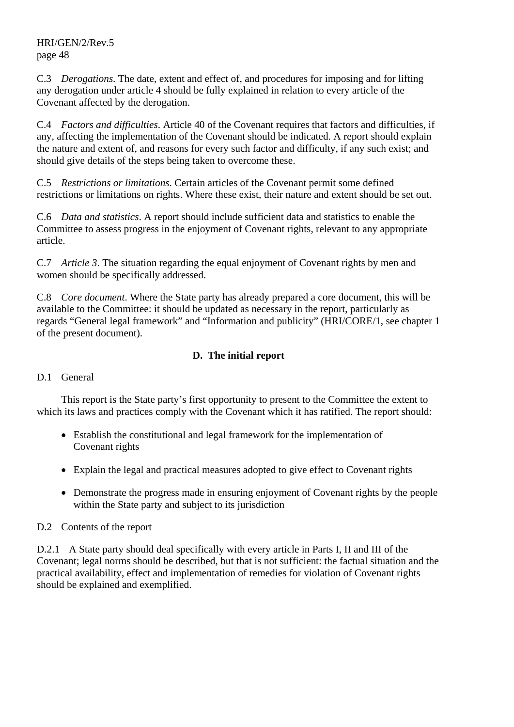C.3 *Derogations*. The date, extent and effect of, and procedures for imposing and for lifting any derogation under article 4 should be fully explained in relation to every article of the Covenant affected by the derogation.

C.4 *Factors and difficulties*. Article 40 of the Covenant requires that factors and difficulties, if any, affecting the implementation of the Covenant should be indicated. A report should explain the nature and extent of, and reasons for every such factor and difficulty, if any such exist; and should give details of the steps being taken to overcome these.

C.5 *Restrictions or limitations*. Certain articles of the Covenant permit some defined restrictions or limitations on rights. Where these exist, their nature and extent should be set out.

C.6 *Data and statistics*. A report should include sufficient data and statistics to enable the Committee to assess progress in the enjoyment of Covenant rights, relevant to any appropriate article.

C.7 *Article 3*. The situation regarding the equal enjoyment of Covenant rights by men and women should be specifically addressed.

C.8 *Core document*. Where the State party has already prepared a core document, this will be available to the Committee: it should be updated as necessary in the report, particularly as regards "General legal framework" and "Information and publicity" (HRI/CORE/1, see chapter 1 of the present document).

# **D. The initial report**

## D.1 General

 This report is the State party's first opportunity to present to the Committee the extent to which its laws and practices comply with the Covenant which it has ratified. The report should:

- Establish the constitutional and legal framework for the implementation of Covenant rights
- Explain the legal and practical measures adopted to give effect to Covenant rights
- Demonstrate the progress made in ensuring enjoyment of Covenant rights by the people within the State party and subject to its jurisdiction

D.2 Contents of the report

D.2.1 A State party should deal specifically with every article in Parts I, II and III of the Covenant; legal norms should be described, but that is not sufficient: the factual situation and the practical availability, effect and implementation of remedies for violation of Covenant rights should be explained and exemplified.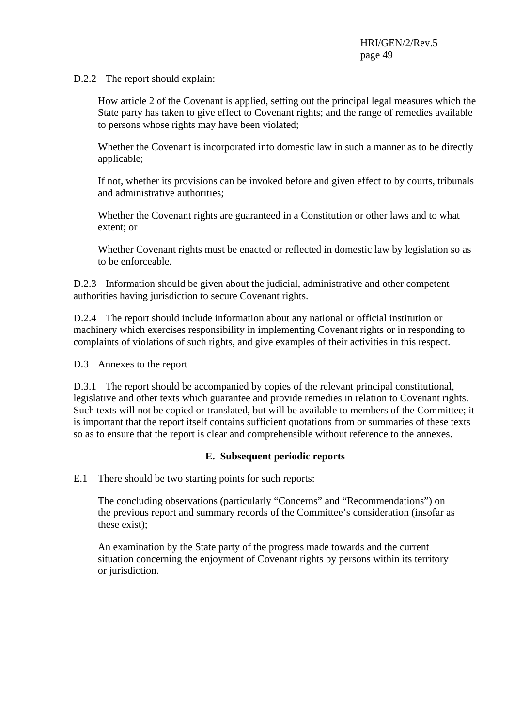## D.2.2 The report should explain:

How article 2 of the Covenant is applied, setting out the principal legal measures which the State party has taken to give effect to Covenant rights; and the range of remedies available to persons whose rights may have been violated;

Whether the Covenant is incorporated into domestic law in such a manner as to be directly applicable;

If not, whether its provisions can be invoked before and given effect to by courts, tribunals and administrative authorities;

Whether the Covenant rights are guaranteed in a Constitution or other laws and to what extent; or

Whether Covenant rights must be enacted or reflected in domestic law by legislation so as to be enforceable.

D.2.3 Information should be given about the judicial, administrative and other competent authorities having jurisdiction to secure Covenant rights.

D.2.4 The report should include information about any national or official institution or machinery which exercises responsibility in implementing Covenant rights or in responding to complaints of violations of such rights, and give examples of their activities in this respect.

D.3 Annexes to the report

D.3.1 The report should be accompanied by copies of the relevant principal constitutional, legislative and other texts which guarantee and provide remedies in relation to Covenant rights. Such texts will not be copied or translated, but will be available to members of the Committee; it is important that the report itself contains sufficient quotations from or summaries of these texts so as to ensure that the report is clear and comprehensible without reference to the annexes.

#### **E. Subsequent periodic reports**

E.1 There should be two starting points for such reports:

The concluding observations (particularly "Concerns" and "Recommendations") on the previous report and summary records of the Committee's consideration (insofar as these exist);

An examination by the State party of the progress made towards and the current situation concerning the enjoyment of Covenant rights by persons within its territory or jurisdiction.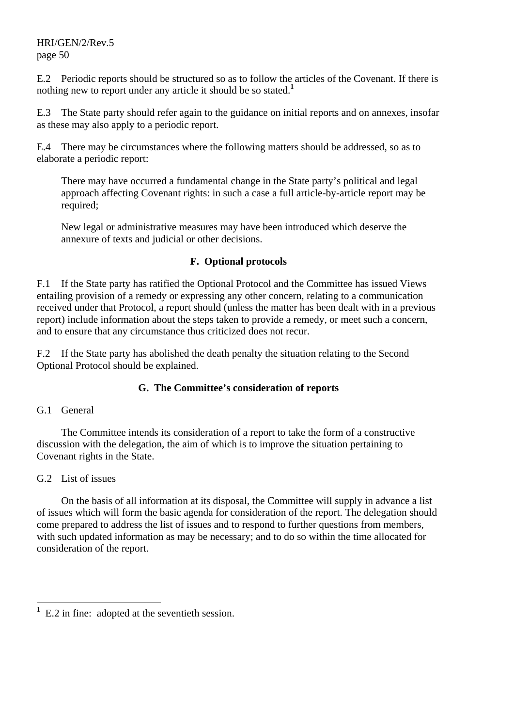E.2 Periodic reports should be structured so as to follow the articles of the Covenant. If there is nothing new to report under any article it should be so stated.**<sup>1</sup>**

E.3 The State party should refer again to the guidance on initial reports and on annexes, insofar as these may also apply to a periodic report.

E.4 There may be circumstances where the following matters should be addressed, so as to elaborate a periodic report:

There may have occurred a fundamental change in the State party's political and legal approach affecting Covenant rights: in such a case a full article-by-article report may be required;

New legal or administrative measures may have been introduced which deserve the annexure of texts and judicial or other decisions.

# **F. Optional protocols**

F.1 If the State party has ratified the Optional Protocol and the Committee has issued Views entailing provision of a remedy or expressing any other concern, relating to a communication received under that Protocol, a report should (unless the matter has been dealt with in a previous report) include information about the steps taken to provide a remedy, or meet such a concern, and to ensure that any circumstance thus criticized does not recur.

F.2 If the State party has abolished the death penalty the situation relating to the Second Optional Protocol should be explained.

# **G. The Committee's consideration of reports**

## G.1 General

 The Committee intends its consideration of a report to take the form of a constructive discussion with the delegation, the aim of which is to improve the situation pertaining to Covenant rights in the State.

# G.2 List of issues

 $\overline{a}$ 

 On the basis of all information at its disposal, the Committee will supply in advance a list of issues which will form the basic agenda for consideration of the report. The delegation should come prepared to address the list of issues and to respond to further questions from members, with such updated information as may be necessary; and to do so within the time allocated for consideration of the report.

**<sup>1</sup>** E.2 in fine: adopted at the seventieth session.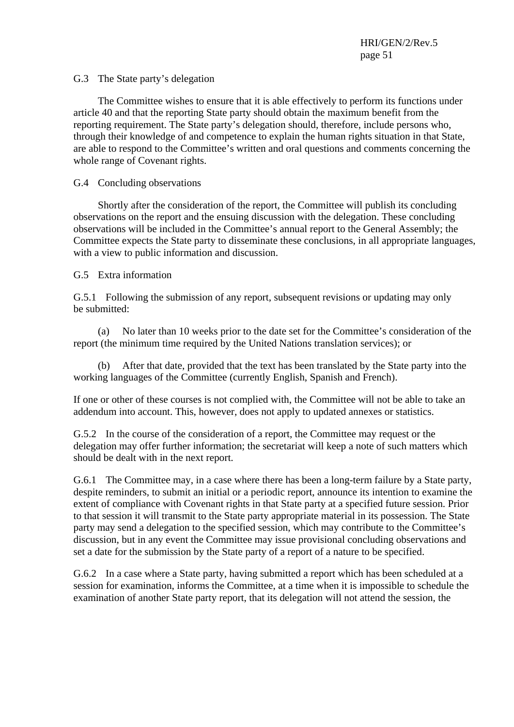G.3 The State party's delegation

 The Committee wishes to ensure that it is able effectively to perform its functions under article 40 and that the reporting State party should obtain the maximum benefit from the reporting requirement. The State party's delegation should, therefore, include persons who, through their knowledge of and competence to explain the human rights situation in that State, are able to respond to the Committee's written and oral questions and comments concerning the whole range of Covenant rights.

G.4 Concluding observations

 Shortly after the consideration of the report, the Committee will publish its concluding observations on the report and the ensuing discussion with the delegation. These concluding observations will be included in the Committee's annual report to the General Assembly; the Committee expects the State party to disseminate these conclusions, in all appropriate languages, with a view to public information and discussion.

## G.5 Extra information

G.5.1 Following the submission of any report, subsequent revisions or updating may only be submitted:

 (a) No later than 10 weeks prior to the date set for the Committee's consideration of the report (the minimum time required by the United Nations translation services); or

After that date, provided that the text has been translated by the State party into the working languages of the Committee (currently English, Spanish and French).

If one or other of these courses is not complied with, the Committee will not be able to take an addendum into account. This, however, does not apply to updated annexes or statistics.

G.5.2 In the course of the consideration of a report, the Committee may request or the delegation may offer further information; the secretariat will keep a note of such matters which should be dealt with in the next report.

G.6.1 The Committee may, in a case where there has been a long-term failure by a State party, despite reminders, to submit an initial or a periodic report, announce its intention to examine the extent of compliance with Covenant rights in that State party at a specified future session. Prior to that session it will transmit to the State party appropriate material in its possession. The State party may send a delegation to the specified session, which may contribute to the Committee's discussion, but in any event the Committee may issue provisional concluding observations and set a date for the submission by the State party of a report of a nature to be specified.

G.6.2 In a case where a State party, having submitted a report which has been scheduled at a session for examination, informs the Committee, at a time when it is impossible to schedule the examination of another State party report, that its delegation will not attend the session, the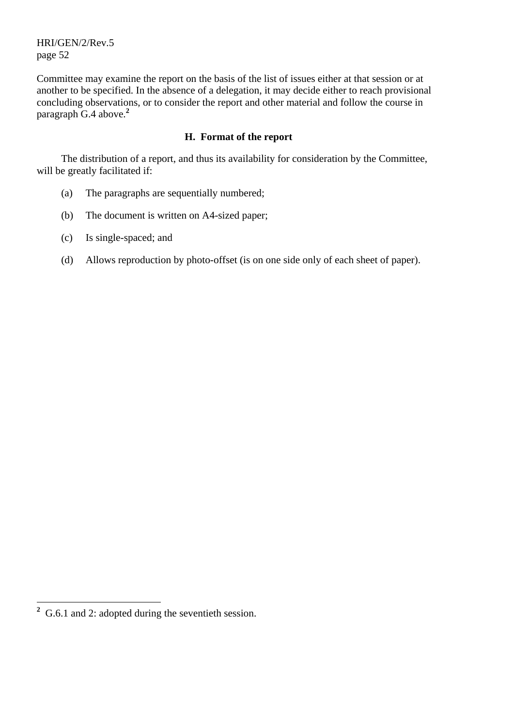Committee may examine the report on the basis of the list of issues either at that session or at another to be specified. In the absence of a delegation, it may decide either to reach provisional concluding observations, or to consider the report and other material and follow the course in paragraph G.4 above.**<sup>2</sup>**

## **H. Format of the report**

 The distribution of a report, and thus its availability for consideration by the Committee, will be greatly facilitated if:

- (a) The paragraphs are sequentially numbered;
- (b) The document is written on A4-sized paper;
- (c) Is single-spaced; and
- (d) Allows reproduction by photo-offset (is on one side only of each sheet of paper).

<sup>&</sup>lt;sup>2</sup> G.6.1 and 2: adopted during the seventieth session.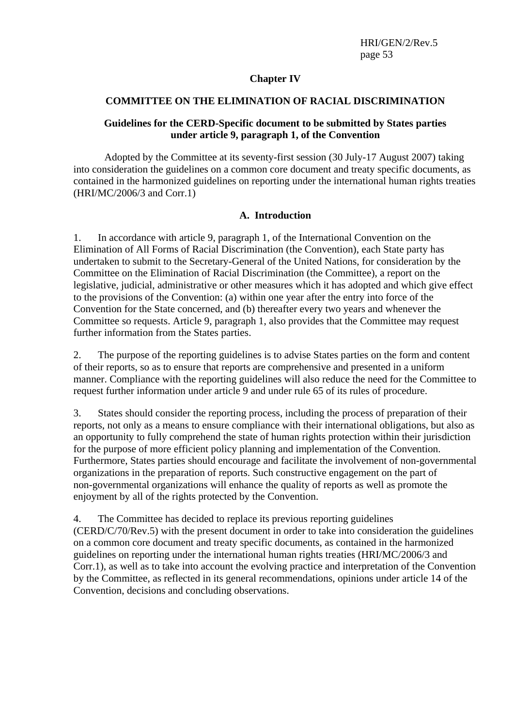### **Chapter IV**

### **COMMITTEE ON THE ELIMINATION OF RACIAL DISCRIMINATION**

### **Guidelines for the CERD-Specific document to be submitted by States parties under article 9, paragraph 1, of the Convention**

Adopted by the Committee at its seventy-first session (30 July-17 August 2007) taking into consideration the guidelines on a common core document and treaty specific documents, as contained in the harmonized guidelines on reporting under the international human rights treaties (HRI/MC/2006/3 and Corr.1)

## **A. Introduction**

1. In accordance with article 9, paragraph 1, of the International Convention on the Elimination of All Forms of Racial Discrimination (the Convention), each State party has undertaken to submit to the Secretary-General of the United Nations, for consideration by the Committee on the Elimination of Racial Discrimination (the Committee), a report on the legislative, judicial, administrative or other measures which it has adopted and which give effect to the provisions of the Convention: (a) within one year after the entry into force of the Convention for the State concerned, and (b) thereafter every two years and whenever the Committee so requests. Article 9, paragraph 1, also provides that the Committee may request further information from the States parties.

2. The purpose of the reporting guidelines is to advise States parties on the form and content of their reports, so as to ensure that reports are comprehensive and presented in a uniform manner. Compliance with the reporting guidelines will also reduce the need for the Committee to request further information under article 9 and under rule 65 of its rules of procedure.

3. States should consider the reporting process, including the process of preparation of their reports, not only as a means to ensure compliance with their international obligations, but also as an opportunity to fully comprehend the state of human rights protection within their jurisdiction for the purpose of more efficient policy planning and implementation of the Convention. Furthermore, States parties should encourage and facilitate the involvement of non-governmental organizations in the preparation of reports. Such constructive engagement on the part of non-governmental organizations will enhance the quality of reports as well as promote the enjoyment by all of the rights protected by the Convention.

4. The Committee has decided to replace its previous reporting guidelines (CERD/C/70/Rev.5) with the present document in order to take into consideration the guidelines on a common core document and treaty specific documents, as contained in the harmonized guidelines on reporting under the international human rights treaties (HRI/MC/2006/3 and Corr.1), as well as to take into account the evolving practice and interpretation of the Convention by the Committee, as reflected in its general recommendations, opinions under article 14 of the Convention, decisions and concluding observations.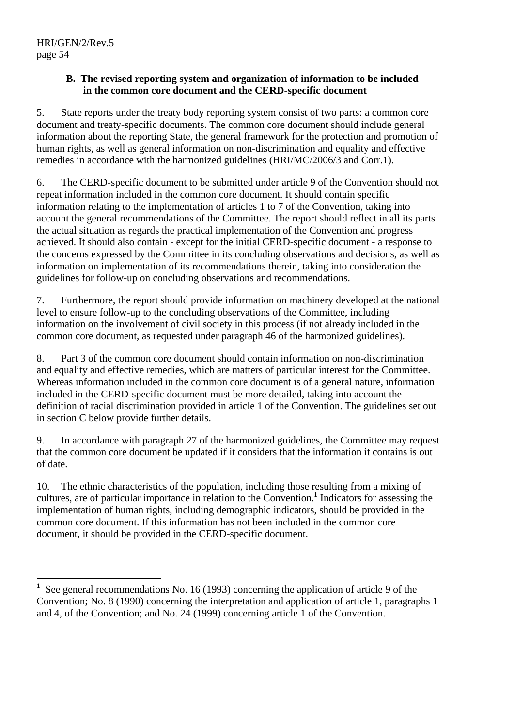$\overline{a}$ 

## **B. The revised reporting system and organization of information to be included in the common core document and the CERD-specific document**

5. State reports under the treaty body reporting system consist of two parts: a common core document and treaty-specific documents. The common core document should include general information about the reporting State, the general framework for the protection and promotion of human rights, as well as general information on non-discrimination and equality and effective remedies in accordance with the harmonized guidelines (HRI/MC/2006/3 and Corr.1).

6. The CERD-specific document to be submitted under article 9 of the Convention should not repeat information included in the common core document. It should contain specific information relating to the implementation of articles 1 to 7 of the Convention, taking into account the general recommendations of the Committee. The report should reflect in all its parts the actual situation as regards the practical implementation of the Convention and progress achieved. It should also contain - except for the initial CERD-specific document - a response to the concerns expressed by the Committee in its concluding observations and decisions, as well as information on implementation of its recommendations therein, taking into consideration the guidelines for follow-up on concluding observations and recommendations.

7. Furthermore, the report should provide information on machinery developed at the national level to ensure follow-up to the concluding observations of the Committee, including information on the involvement of civil society in this process (if not already included in the common core document, as requested under paragraph 46 of the harmonized guidelines).

8. Part 3 of the common core document should contain information on non-discrimination and equality and effective remedies, which are matters of particular interest for the Committee. Whereas information included in the common core document is of a general nature, information included in the CERD-specific document must be more detailed, taking into account the definition of racial discrimination provided in article 1 of the Convention. The guidelines set out in section C below provide further details.

9. In accordance with paragraph 27 of the harmonized guidelines, the Committee may request that the common core document be updated if it considers that the information it contains is out of date.

10. The ethnic characteristics of the population, including those resulting from a mixing of cultures, are of particular importance in relation to the Convention.**<sup>1</sup>** Indicators for assessing the implementation of human rights, including demographic indicators, should be provided in the common core document. If this information has not been included in the common core document, it should be provided in the CERD-specific document.

**<sup>1</sup>** See general recommendations No. 16 (1993) concerning the application of article 9 of the Convention; No. 8 (1990) concerning the interpretation and application of article 1, paragraphs 1 and 4, of the Convention; and No. 24 (1999) concerning article 1 of the Convention.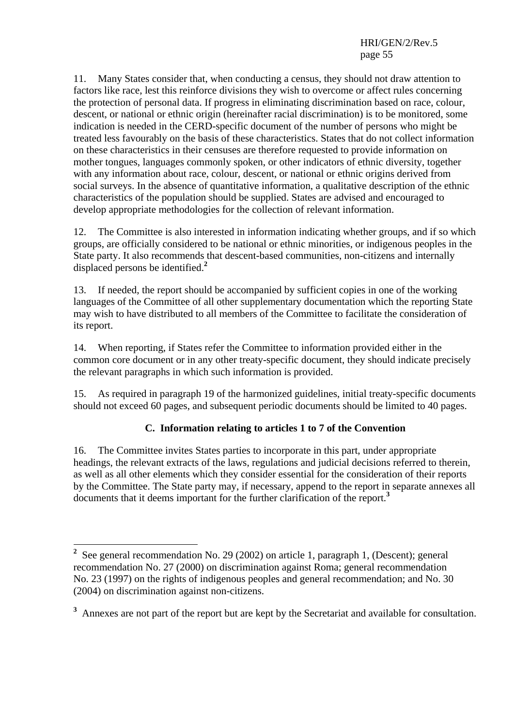11. Many States consider that, when conducting a census, they should not draw attention to factors like race, lest this reinforce divisions they wish to overcome or affect rules concerning the protection of personal data. If progress in eliminating discrimination based on race, colour, descent, or national or ethnic origin (hereinafter racial discrimination) is to be monitored, some indication is needed in the CERD-specific document of the number of persons who might be treated less favourably on the basis of these characteristics. States that do not collect information on these characteristics in their censuses are therefore requested to provide information on mother tongues, languages commonly spoken, or other indicators of ethnic diversity, together with any information about race, colour, descent, or national or ethnic origins derived from social surveys. In the absence of quantitative information, a qualitative description of the ethnic characteristics of the population should be supplied. States are advised and encouraged to develop appropriate methodologies for the collection of relevant information.

12. The Committee is also interested in information indicating whether groups, and if so which groups, are officially considered to be national or ethnic minorities, or indigenous peoples in the State party. It also recommends that descent-based communities, non-citizens and internally displaced persons be identified.**<sup>2</sup>**

13. If needed, the report should be accompanied by sufficient copies in one of the working languages of the Committee of all other supplementary documentation which the reporting State may wish to have distributed to all members of the Committee to facilitate the consideration of its report.

14. When reporting, if States refer the Committee to information provided either in the common core document or in any other treaty-specific document, they should indicate precisely the relevant paragraphs in which such information is provided.

15. As required in paragraph 19 of the harmonized guidelines, initial treaty-specific documents should not exceed 60 pages, and subsequent periodic documents should be limited to 40 pages.

# **C. Information relating to articles 1 to 7 of the Convention**

16. The Committee invites States parties to incorporate in this part, under appropriate headings, the relevant extracts of the laws, regulations and judicial decisions referred to therein, as well as all other elements which they consider essential for the consideration of their reports by the Committee. The State party may, if necessary, append to the report in separate annexes all documents that it deems important for the further clarification of the report.**<sup>3</sup>**

1

<sup>&</sup>lt;sup>2</sup> See general recommendation No. 29 (2002) on article 1, paragraph 1, (Descent); general recommendation No. 27 (2000) on discrimination against Roma; general recommendation No. 23 (1997) on the rights of indigenous peoples and general recommendation; and No. 30 (2004) on discrimination against non-citizens.

<sup>&</sup>lt;sup>3</sup> Annexes are not part of the report but are kept by the Secretariat and available for consultation.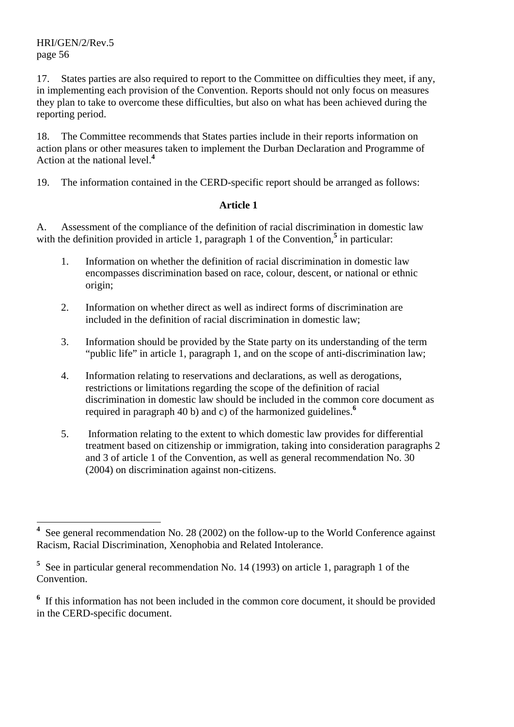$\overline{a}$ 

17. States parties are also required to report to the Committee on difficulties they meet, if any, in implementing each provision of the Convention. Reports should not only focus on measures they plan to take to overcome these difficulties, but also on what has been achieved during the reporting period.

18. The Committee recommends that States parties include in their reports information on action plans or other measures taken to implement the Durban Declaration and Programme of Action at the national level.**<sup>4</sup>**

19. The information contained in the CERD-specific report should be arranged as follows:

#### **Article 1**

A. Assessment of the compliance of the definition of racial discrimination in domestic law with the definition provided in article 1, paragraph 1 of the Convention,<sup>5</sup> in particular:

- 1. Information on whether the definition of racial discrimination in domestic law encompasses discrimination based on race, colour, descent, or national or ethnic origin;
- 2. Information on whether direct as well as indirect forms of discrimination are included in the definition of racial discrimination in domestic law;
- 3. Information should be provided by the State party on its understanding of the term "public life" in article 1, paragraph 1, and on the scope of anti-discrimination law;
- 4. Information relating to reservations and declarations, as well as derogations, restrictions or limitations regarding the scope of the definition of racial discrimination in domestic law should be included in the common core document as required in paragraph 40 b) and c) of the harmonized guidelines.**<sup>6</sup>**
- 5. Information relating to the extent to which domestic law provides for differential treatment based on citizenship or immigration, taking into consideration paragraphs 2 and 3 of article 1 of the Convention, as well as general recommendation No. 30 (2004) on discrimination against non-citizens.

**<sup>4</sup>** See general recommendation No. 28 (2002) on the follow-up to the World Conference against Racism, Racial Discrimination, Xenophobia and Related Intolerance.

<sup>&</sup>lt;sup>5</sup> See in particular general recommendation No. 14 (1993) on article 1, paragraph 1 of the Convention.

<sup>&</sup>lt;sup>6</sup> If this information has not been included in the common core document, it should be provided in the CERD-specific document.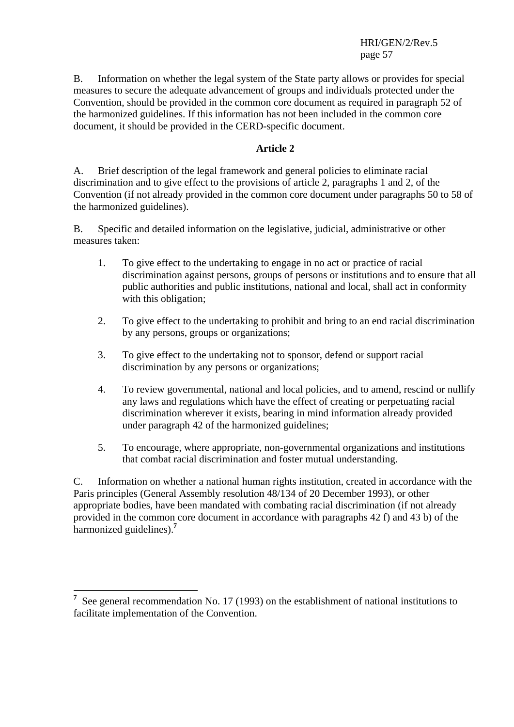B. Information on whether the legal system of the State party allows or provides for special measures to secure the adequate advancement of groups and individuals protected under the Convention, should be provided in the common core document as required in paragraph 52 of the harmonized guidelines. If this information has not been included in the common core document, it should be provided in the CERD-specific document.

# **Article 2**

A. Brief description of the legal framework and general policies to eliminate racial discrimination and to give effect to the provisions of article 2, paragraphs 1 and 2, of the Convention (if not already provided in the common core document under paragraphs 50 to 58 of the harmonized guidelines).

B. Specific and detailed information on the legislative, judicial, administrative or other measures taken:

- 1. To give effect to the undertaking to engage in no act or practice of racial discrimination against persons, groups of persons or institutions and to ensure that all public authorities and public institutions, national and local, shall act in conformity with this obligation;
- 2. To give effect to the undertaking to prohibit and bring to an end racial discrimination by any persons, groups or organizations;
- 3. To give effect to the undertaking not to sponsor, defend or support racial discrimination by any persons or organizations;
- 4. To review governmental, national and local policies, and to amend, rescind or nullify any laws and regulations which have the effect of creating or perpetuating racial discrimination wherever it exists, bearing in mind information already provided under paragraph 42 of the harmonized guidelines;
- 5. To encourage, where appropriate, non-governmental organizations and institutions that combat racial discrimination and foster mutual understanding.

C. Information on whether a national human rights institution, created in accordance with the Paris principles (General Assembly resolution 48/134 of 20 December 1993), or other appropriate bodies, have been mandated with combating racial discrimination (if not already provided in the common core document in accordance with paragraphs 42 f) and 43 b) of the harmonized guidelines).**<sup>7</sup>**

1

**<sup>7</sup>** See general recommendation No. 17 (1993) on the establishment of national institutions to facilitate implementation of the Convention.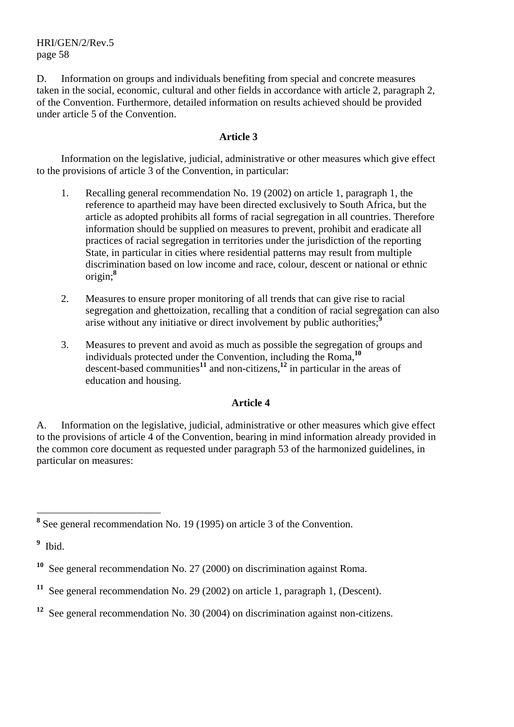D. Information on groups and individuals benefiting from special and concrete measures taken in the social, economic, cultural and other fields in accordance with article 2, paragraph 2, of the Convention. Furthermore, detailed information on results achieved should be provided under article 5 of the Convention.

### **Article 3**

 Information on the legislative, judicial, administrative or other measures which give effect to the provisions of article 3 of the Convention, in particular:

- 1. Recalling general recommendation No. 19 (2002) on article 1, paragraph 1, the reference to apartheid may have been directed exclusively to South Africa, but the article as adopted prohibits all forms of racial segregation in all countries. Therefore information should be supplied on measures to prevent, prohibit and eradicate all practices of racial segregation in territories under the jurisdiction of the reporting State, in particular in cities where residential patterns may result from multiple discrimination based on low income and race, colour, descent or national or ethnic origin;**<sup>8</sup>**
- 2. Measures to ensure proper monitoring of all trends that can give rise to racial segregation and ghettoization, recalling that a condition of racial segregation can also arise without any initiative or direct involvement by public authorities;<sup>9</sup>
- 3. Measures to prevent and avoid as much as possible the segregation of groups and individuals protected under the Convention, including the Roma,**<sup>10</sup>** descent-based communities<sup>11</sup> and non-citizens,<sup>12</sup> in particular in the areas of education and housing.

## **Article 4**

A. Information on the legislative, judicial, administrative or other measures which give effect to the provisions of article 4 of the Convention, bearing in mind information already provided in the common core document as requested under paragraph 53 of the harmonized guidelines, in particular on measures:

 $\overline{a}$ 

**<sup>8</sup>** See general recommendation No. 19 (1995) on article 3 of the Convention.

**<sup>9</sup>** Ibid.

**<sup>10</sup>** See general recommendation No. 27 (2000) on discrimination against Roma.

**<sup>11</sup>** See general recommendation No. 29 (2002) on article 1, paragraph 1, (Descent).

**<sup>12</sup>** See general recommendation No. 30 (2004) on discrimination against non-citizens.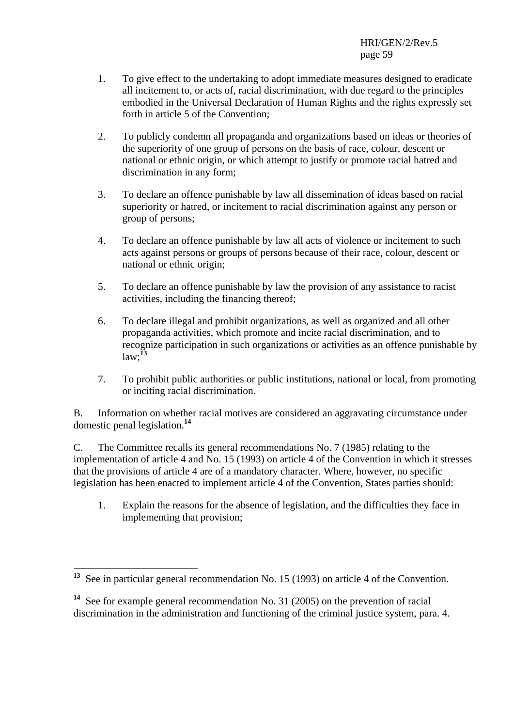- 1. To give effect to the undertaking to adopt immediate measures designed to eradicate all incitement to, or acts of, racial discrimination, with due regard to the principles embodied in the Universal Declaration of Human Rights and the rights expressly set forth in article 5 of the Convention;
- 2. To publicly condemn all propaganda and organizations based on ideas or theories of the superiority of one group of persons on the basis of race, colour, descent or national or ethnic origin, or which attempt to justify or promote racial hatred and discrimination in any form;
- 3. To declare an offence punishable by law all dissemination of ideas based on racial superiority or hatred, or incitement to racial discrimination against any person or group of persons;
- 4. To declare an offence punishable by law all acts of violence or incitement to such acts against persons or groups of persons because of their race, colour, descent or national or ethnic origin;
- 5. To declare an offence punishable by law the provision of any assistance to racist activities, including the financing thereof;
- 6. To declare illegal and prohibit organizations, as well as organized and all other propaganda activities, which promote and incite racial discrimination, and to recognize participation in such organizations or activities as an offence punishable by  $law:$ <sup>13</sup>
- 7. To prohibit public authorities or public institutions, national or local, from promoting or inciting racial discrimination.

B. Information on whether racial motives are considered an aggravating circumstance under domestic penal legislation.**<sup>14</sup>**

C. The Committee recalls its general recommendations No. 7 (1985) relating to the implementation of article 4 and No. 15 (1993) on article 4 of the Convention in which it stresses that the provisions of article 4 are of a mandatory character. Where, however, no specific legislation has been enacted to implement article 4 of the Convention, States parties should:

1. Explain the reasons for the absence of legislation, and the difficulties they face in implementing that provision;

<u>.</u>

**<sup>13</sup>** See in particular general recommendation No. 15 (1993) on article 4 of the Convention.

**<sup>14</sup>** See for example general recommendation No. 31 (2005) on the prevention of racial discrimination in the administration and functioning of the criminal justice system, para. 4.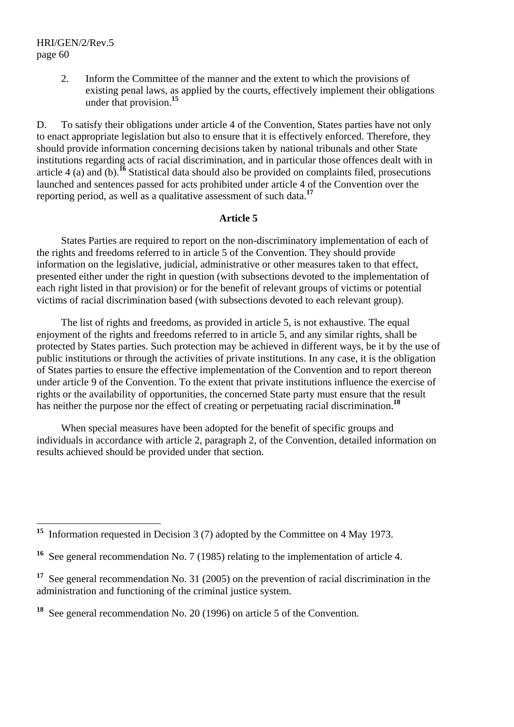> 2. Inform the Committee of the manner and the extent to which the provisions of existing penal laws, as applied by the courts, effectively implement their obligations under that provision.**<sup>15</sup>**

D. To satisfy their obligations under article 4 of the Convention, States parties have not only to enact appropriate legislation but also to ensure that it is effectively enforced. Therefore, they should provide information concerning decisions taken by national tribunals and other State institutions regarding acts of racial discrimination, and in particular those offences dealt with in article 4 (a) and (b).**<sup>16</sup>** Statistical data should also be provided on complaints filed, prosecutions launched and sentences passed for acts prohibited under article 4 of the Convention over the reporting period, as well as a qualitative assessment of such data.**<sup>17</sup>**

#### **Article 5**

 States Parties are required to report on the non-discriminatory implementation of each of the rights and freedoms referred to in article 5 of the Convention. They should provide information on the legislative, judicial, administrative or other measures taken to that effect, presented either under the right in question (with subsections devoted to the implementation of each right listed in that provision) or for the benefit of relevant groups of victims or potential victims of racial discrimination based (with subsections devoted to each relevant group).

 The list of rights and freedoms, as provided in article 5, is not exhaustive. The equal enjoyment of the rights and freedoms referred to in article 5, and any similar rights, shall be protected by States parties. Such protection may be achieved in different ways, be it by the use of public institutions or through the activities of private institutions. In any case, it is the obligation of States parties to ensure the effective implementation of the Convention and to report thereon under article 9 of the Convention. To the extent that private institutions influence the exercise of rights or the availability of opportunities, the concerned State party must ensure that the result has neither the purpose nor the effect of creating or perpetuating racial discrimination.**<sup>18</sup>**

 When special measures have been adopted for the benefit of specific groups and individuals in accordance with article 2, paragraph 2, of the Convention, detailed information on results achieved should be provided under that section.

<sup>15</sup> **<sup>15</sup>** Information requested in Decision 3 (7) adopted by the Committee on 4 May 1973.

**<sup>16</sup>** See general recommendation No. 7 (1985) relating to the implementation of article 4.

**<sup>17</sup>** See general recommendation No. 31 (2005) on the prevention of racial discrimination in the administration and functioning of the criminal justice system.

See general recommendation No. 20 (1996) on article 5 of the Convention.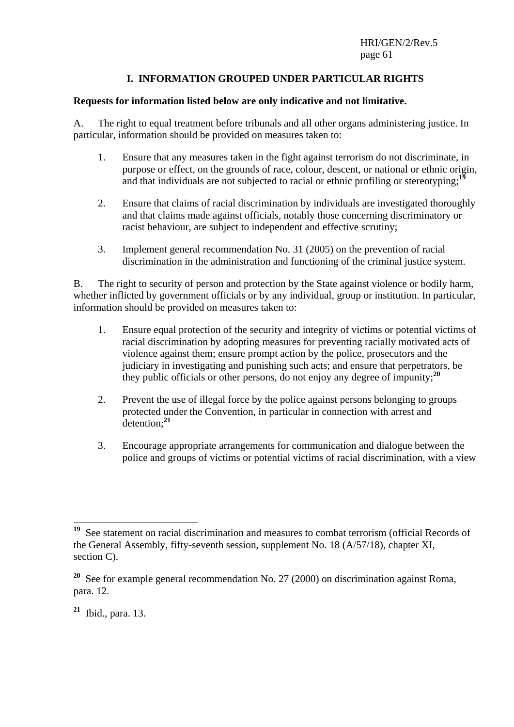# **I. INFORMATION GROUPED UNDER PARTICULAR RIGHTS**

### **Requests for information listed below are only indicative and not limitative.**

A. The right to equal treatment before tribunals and all other organs administering justice. In particular, information should be provided on measures taken to:

- 1. Ensure that any measures taken in the fight against terrorism do not discriminate, in purpose or effect, on the grounds of race, colour, descent, or national or ethnic origin, and that individuals are not subjected to racial or ethnic profiling or stereotyping;**<sup>19</sup>**
- 2. Ensure that claims of racial discrimination by individuals are investigated thoroughly and that claims made against officials, notably those concerning discriminatory or racist behaviour, are subject to independent and effective scrutiny;
- 3. Implement general recommendation No. 31 (2005) on the prevention of racial discrimination in the administration and functioning of the criminal justice system.

B. The right to security of person and protection by the State against violence or bodily harm, whether inflicted by government officials or by any individual, group or institution. In particular, information should be provided on measures taken to:

- 1. Ensure equal protection of the security and integrity of victims or potential victims of racial discrimination by adopting measures for preventing racially motivated acts of violence against them; ensure prompt action by the police, prosecutors and the judiciary in investigating and punishing such acts; and ensure that perpetrators, be they public officials or other persons, do not enjoy any degree of impunity;**<sup>20</sup>**
- 2. Prevent the use of illegal force by the police against persons belonging to groups protected under the Convention, in particular in connection with arrest and detention;**<sup>21</sup>**
- 3. Encourage appropriate arrangements for communication and dialogue between the police and groups of victims or potential victims of racial discrimination, with a view

1

**<sup>19</sup>** See statement on racial discrimination and measures to combat terrorism (official Records of the General Assembly, fifty-seventh session, supplement No. 18 (A/57/18), chapter XI, section C).

**<sup>20</sup>** See for example general recommendation No. 27 (2000) on discrimination against Roma, para. 12.

**<sup>21</sup>** Ibid., para. 13.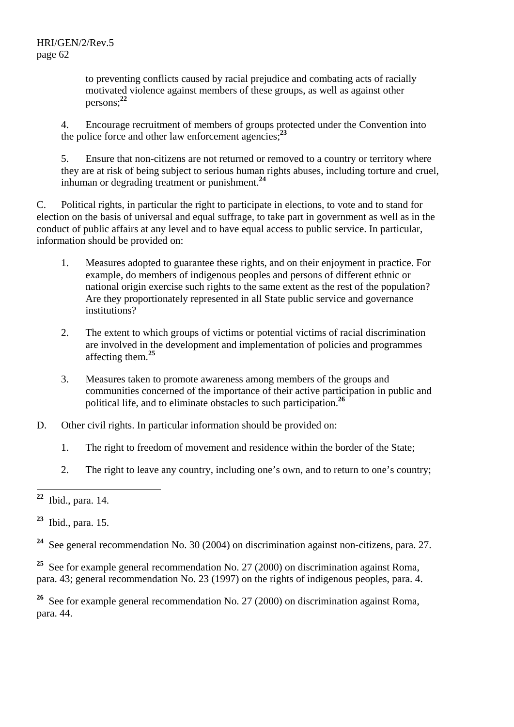to preventing conflicts caused by racial prejudice and combating acts of racially motivated violence against members of these groups, as well as against other persons;**<sup>22</sup>**

4. Encourage recruitment of members of groups protected under the Convention into the police force and other law enforcement agencies;**<sup>23</sup>**

5. Ensure that non-citizens are not returned or removed to a country or territory where they are at risk of being subject to serious human rights abuses, including torture and cruel, inhuman or degrading treatment or punishment.**<sup>24</sup>**

C. Political rights, in particular the right to participate in elections, to vote and to stand for election on the basis of universal and equal suffrage, to take part in government as well as in the conduct of public affairs at any level and to have equal access to public service. In particular, information should be provided on:

- 1. Measures adopted to guarantee these rights, and on their enjoyment in practice. For example, do members of indigenous peoples and persons of different ethnic or national origin exercise such rights to the same extent as the rest of the population? Are they proportionately represented in all State public service and governance institutions?
- 2. The extent to which groups of victims or potential victims of racial discrimination are involved in the development and implementation of policies and programmes affecting them.**<sup>25</sup>**
- 3. Measures taken to promote awareness among members of the groups and communities concerned of the importance of their active participation in public and political life, and to eliminate obstacles to such participation.**<sup>26</sup>**
- D. Other civil rights. In particular information should be provided on:
	- 1. The right to freedom of movement and residence within the border of the State;
	- 2. The right to leave any country, including one's own, and to return to one's country;

<sup>25</sup> See for example general recommendation No. 27 (2000) on discrimination against Roma, para. 43; general recommendation No. 23 (1997) on the rights of indigenous peoples, para. 4.

**26** See for example general recommendation No. 27 (2000) on discrimination against Roma, para. 44.

 $\bf 22$ **<sup>22</sup>** Ibid., para. 14.

**<sup>23</sup>** Ibid., para. 15.

**<sup>24</sup>** See general recommendation No. 30 (2004) on discrimination against non-citizens, para. 27.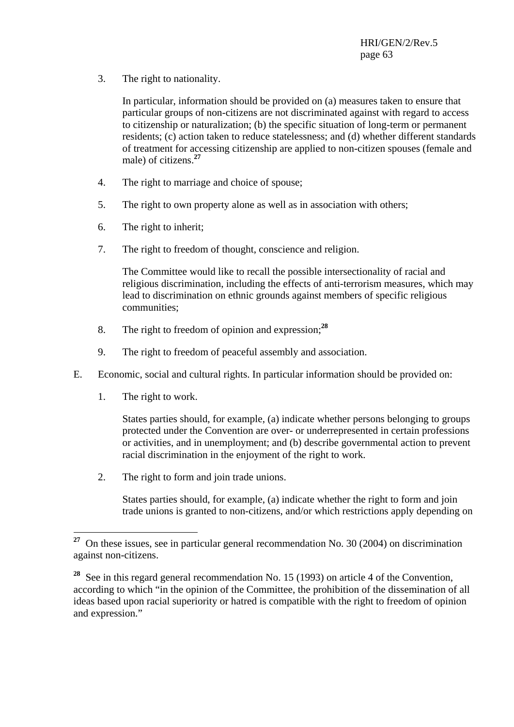3. The right to nationality.

In particular, information should be provided on (a) measures taken to ensure that particular groups of non-citizens are not discriminated against with regard to access to citizenship or naturalization; (b) the specific situation of long-term or permanent residents; (c) action taken to reduce statelessness; and (d) whether different standards of treatment for accessing citizenship are applied to non-citizen spouses (female and male) of citizens.**<sup>27</sup>**

- 4. The right to marriage and choice of spouse;
- 5. The right to own property alone as well as in association with others;
- 6. The right to inherit;
- 7. The right to freedom of thought, conscience and religion.

The Committee would like to recall the possible intersectionality of racial and religious discrimination, including the effects of anti-terrorism measures, which may lead to discrimination on ethnic grounds against members of specific religious communities;

- 8. The right to freedom of opinion and expression;**<sup>28</sup>**
- 9. The right to freedom of peaceful assembly and association.
- E. Economic, social and cultural rights. In particular information should be provided on:
	- 1. The right to work.

1

States parties should, for example, (a) indicate whether persons belonging to groups protected under the Convention are over- or underrepresented in certain professions or activities, and in unemployment; and (b) describe governmental action to prevent racial discrimination in the enjoyment of the right to work.

2. The right to form and join trade unions.

States parties should, for example, (a) indicate whether the right to form and join trade unions is granted to non-citizens, and/or which restrictions apply depending on

**<sup>27</sup>** On these issues, see in particular general recommendation No. 30 (2004) on discrimination against non-citizens.

**<sup>28</sup>** See in this regard general recommendation No. 15 (1993) on article 4 of the Convention, according to which "in the opinion of the Committee, the prohibition of the dissemination of all ideas based upon racial superiority or hatred is compatible with the right to freedom of opinion and expression."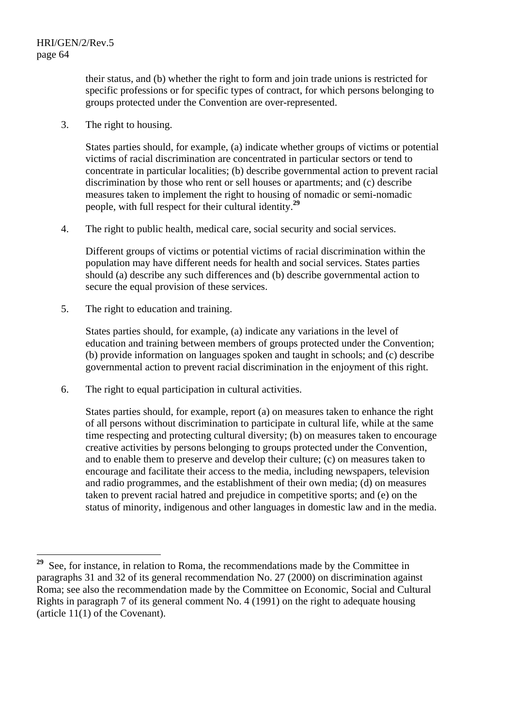$\overline{a}$ 

their status, and (b) whether the right to form and join trade unions is restricted for specific professions or for specific types of contract, for which persons belonging to groups protected under the Convention are over-represented.

3. The right to housing.

States parties should, for example, (a) indicate whether groups of victims or potential victims of racial discrimination are concentrated in particular sectors or tend to concentrate in particular localities; (b) describe governmental action to prevent racial discrimination by those who rent or sell houses or apartments; and (c) describe measures taken to implement the right to housing of nomadic or semi-nomadic people, with full respect for their cultural identity.**<sup>29</sup>**

4. The right to public health, medical care, social security and social services.

Different groups of victims or potential victims of racial discrimination within the population may have different needs for health and social services. States parties should (a) describe any such differences and (b) describe governmental action to secure the equal provision of these services.

5. The right to education and training.

States parties should, for example, (a) indicate any variations in the level of education and training between members of groups protected under the Convention; (b) provide information on languages spoken and taught in schools; and (c) describe governmental action to prevent racial discrimination in the enjoyment of this right.

6. The right to equal participation in cultural activities.

States parties should, for example, report (a) on measures taken to enhance the right of all persons without discrimination to participate in cultural life, while at the same time respecting and protecting cultural diversity; (b) on measures taken to encourage creative activities by persons belonging to groups protected under the Convention, and to enable them to preserve and develop their culture; (c) on measures taken to encourage and facilitate their access to the media, including newspapers, television and radio programmes, and the establishment of their own media; (d) on measures taken to prevent racial hatred and prejudice in competitive sports; and (e) on the status of minority, indigenous and other languages in domestic law and in the media.

<sup>&</sup>lt;sup>29</sup> See, for instance, in relation to Roma, the recommendations made by the Committee in paragraphs 31 and 32 of its general recommendation No. 27 (2000) on discrimination against Roma; see also the recommendation made by the Committee on Economic, Social and Cultural Rights in paragraph 7 of its general comment No. 4 (1991) on the right to adequate housing (article 11(1) of the Covenant).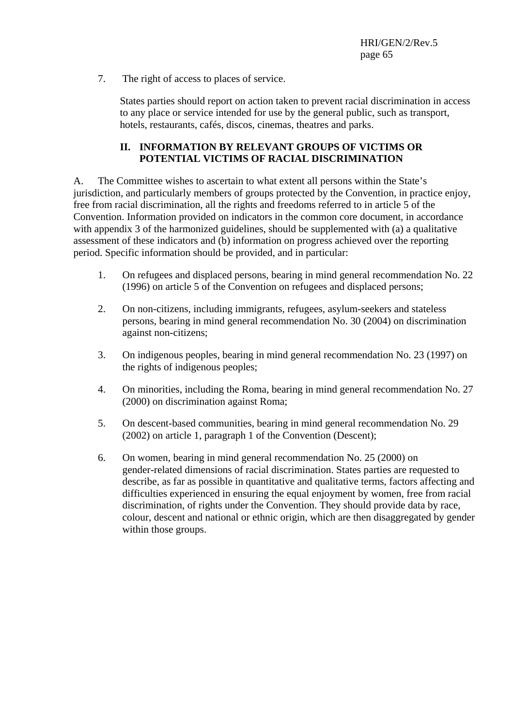7. The right of access to places of service.

States parties should report on action taken to prevent racial discrimination in access to any place or service intended for use by the general public, such as transport, hotels, restaurants, cafés, discos, cinemas, theatres and parks.

## **II. INFORMATION BY RELEVANT GROUPS OF VICTIMS OR POTENTIAL VICTIMS OF RACIAL DISCRIMINATION**

A. The Committee wishes to ascertain to what extent all persons within the State's jurisdiction, and particularly members of groups protected by the Convention, in practice enjoy, free from racial discrimination, all the rights and freedoms referred to in article 5 of the Convention. Information provided on indicators in the common core document, in accordance with appendix 3 of the harmonized guidelines, should be supplemented with (a) a qualitative assessment of these indicators and (b) information on progress achieved over the reporting period. Specific information should be provided, and in particular:

- 1. On refugees and displaced persons, bearing in mind general recommendation No. 22 (1996) on article 5 of the Convention on refugees and displaced persons;
- 2. On non-citizens, including immigrants, refugees, asylum-seekers and stateless persons, bearing in mind general recommendation No. 30 (2004) on discrimination against non-citizens;
- 3. On indigenous peoples, bearing in mind general recommendation No. 23 (1997) on the rights of indigenous peoples;
- 4. On minorities, including the Roma, bearing in mind general recommendation No. 27 (2000) on discrimination against Roma;
- 5. On descent-based communities, bearing in mind general recommendation No. 29 (2002) on article 1, paragraph 1 of the Convention (Descent);
- 6. On women, bearing in mind general recommendation No. 25 (2000) on gender-related dimensions of racial discrimination. States parties are requested to describe, as far as possible in quantitative and qualitative terms, factors affecting and difficulties experienced in ensuring the equal enjoyment by women, free from racial discrimination, of rights under the Convention. They should provide data by race, colour, descent and national or ethnic origin, which are then disaggregated by gender within those groups.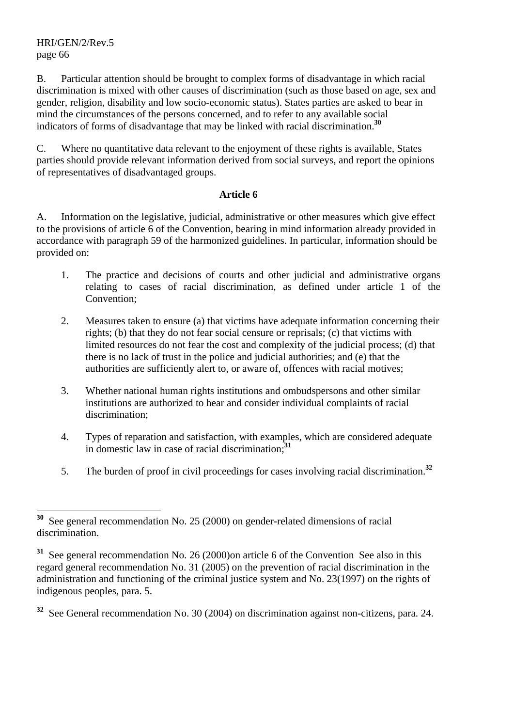B. Particular attention should be brought to complex forms of disadvantage in which racial discrimination is mixed with other causes of discrimination (such as those based on age, sex and gender, religion, disability and low socio-economic status). States parties are asked to bear in mind the circumstances of the persons concerned, and to refer to any available social indicators of forms of disadvantage that may be linked with racial discrimination.**<sup>30</sup>**

C. Where no quantitative data relevant to the enjoyment of these rights is available, States parties should provide relevant information derived from social surveys, and report the opinions of representatives of disadvantaged groups.

#### **Article 6**

A. Information on the legislative, judicial, administrative or other measures which give effect to the provisions of article 6 of the Convention, bearing in mind information already provided in accordance with paragraph 59 of the harmonized guidelines. In particular, information should be provided on:

- 1. The practice and decisions of courts and other judicial and administrative organs relating to cases of racial discrimination, as defined under article 1 of the Convention;
- 2. Measures taken to ensure (a) that victims have adequate information concerning their rights; (b) that they do not fear social censure or reprisals; (c) that victims with limited resources do not fear the cost and complexity of the judicial process; (d) that there is no lack of trust in the police and judicial authorities; and (e) that the authorities are sufficiently alert to, or aware of, offences with racial motives;
- 3. Whether national human rights institutions and ombudspersons and other similar institutions are authorized to hear and consider individual complaints of racial discrimination;
- 4. Types of reparation and satisfaction, with examples, which are considered adequate in domestic law in case of racial discrimination;**<sup>31</sup>**
- 5. The burden of proof in civil proceedings for cases involving racial discrimination.**<sup>32</sup>**

 $\overline{a}$ **30** See general recommendation No. 25 (2000) on gender-related dimensions of racial discrimination.

**<sup>31</sup>** See general recommendation No. 26 (2000)on article 6 of the Convention See also in this regard general recommendation No. 31 (2005) on the prevention of racial discrimination in the administration and functioning of the criminal justice system and No. 23(1997) on the rights of indigenous peoples, para. 5.

**<sup>32</sup>** See General recommendation No. 30 (2004) on discrimination against non-citizens, para. 24.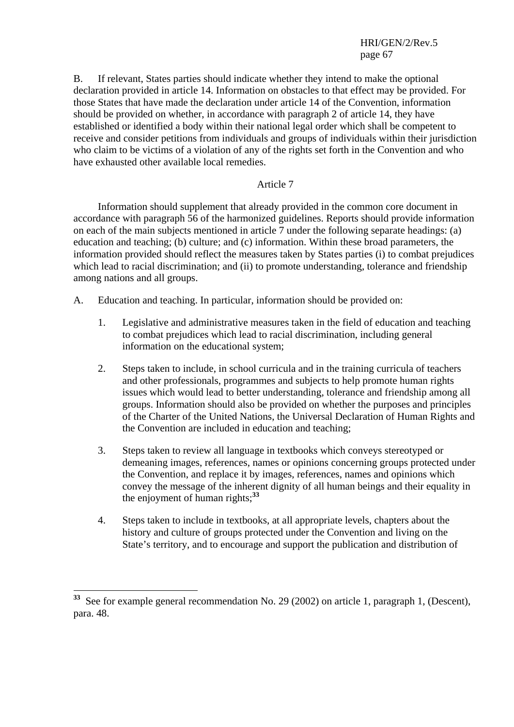B. If relevant, States parties should indicate whether they intend to make the optional declaration provided in article 14. Information on obstacles to that effect may be provided. For those States that have made the declaration under article 14 of the Convention, information should be provided on whether, in accordance with paragraph 2 of article 14, they have established or identified a body within their national legal order which shall be competent to receive and consider petitions from individuals and groups of individuals within their jurisdiction who claim to be victims of a violation of any of the rights set forth in the Convention and who have exhausted other available local remedies.

### Article 7

 Information should supplement that already provided in the common core document in accordance with paragraph 56 of the harmonized guidelines. Reports should provide information on each of the main subjects mentioned in article 7 under the following separate headings: (a) education and teaching; (b) culture; and (c) information. Within these broad parameters, the information provided should reflect the measures taken by States parties (i) to combat prejudices which lead to racial discrimination; and (ii) to promote understanding, tolerance and friendship among nations and all groups.

- A. Education and teaching. In particular, information should be provided on:
	- 1. Legislative and administrative measures taken in the field of education and teaching to combat prejudices which lead to racial discrimination, including general information on the educational system;
	- 2. Steps taken to include, in school curricula and in the training curricula of teachers and other professionals, programmes and subjects to help promote human rights issues which would lead to better understanding, tolerance and friendship among all groups. Information should also be provided on whether the purposes and principles of the Charter of the United Nations, the Universal Declaration of Human Rights and the Convention are included in education and teaching;
	- 3. Steps taken to review all language in textbooks which conveys stereotyped or demeaning images, references, names or opinions concerning groups protected under the Convention, and replace it by images, references, names and opinions which convey the message of the inherent dignity of all human beings and their equality in the enjoyment of human rights;**<sup>33</sup>**
	- 4. Steps taken to include in textbooks, at all appropriate levels, chapters about the history and culture of groups protected under the Convention and living on the State's territory, and to encourage and support the publication and distribution of

1

**<sup>33</sup>** See for example general recommendation No. 29 (2002) on article 1, paragraph 1, (Descent), para. 48.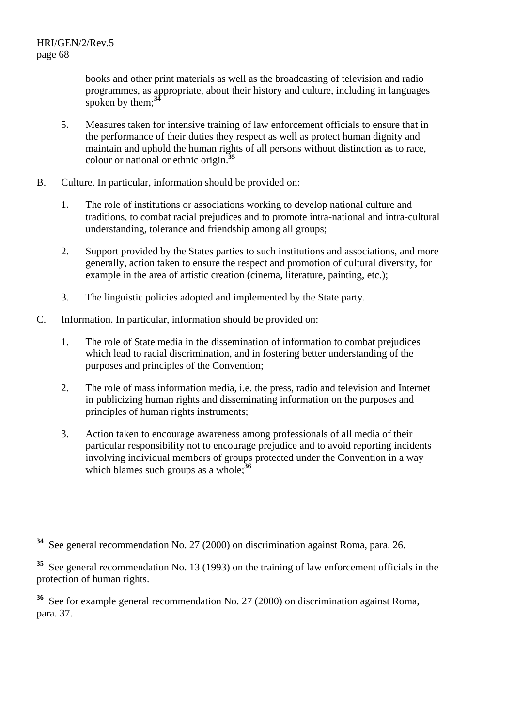books and other print materials as well as the broadcasting of television and radio programmes, as appropriate, about their history and culture, including in languages spoken by them: $34$ 

- 5. Measures taken for intensive training of law enforcement officials to ensure that in the performance of their duties they respect as well as protect human dignity and maintain and uphold the human rights of all persons without distinction as to race, colour or national or ethnic origin.**<sup>35</sup>**
- B. Culture. In particular, information should be provided on:
	- 1. The role of institutions or associations working to develop national culture and traditions, to combat racial prejudices and to promote intra-national and intra-cultural understanding, tolerance and friendship among all groups;
	- 2. Support provided by the States parties to such institutions and associations, and more generally, action taken to ensure the respect and promotion of cultural diversity, for example in the area of artistic creation (cinema, literature, painting, etc.);
	- 3. The linguistic policies adopted and implemented by the State party.
- C. Information. In particular, information should be provided on:
	- 1. The role of State media in the dissemination of information to combat prejudices which lead to racial discrimination, and in fostering better understanding of the purposes and principles of the Convention;
	- 2. The role of mass information media, i.e. the press, radio and television and Internet in publicizing human rights and disseminating information on the purposes and principles of human rights instruments;
	- 3. Action taken to encourage awareness among professionals of all media of their particular responsibility not to encourage prejudice and to avoid reporting incidents involving individual members of groups protected under the Convention in a way which blames such groups as a whole:<sup>36</sup>

<sup>34</sup> **<sup>34</sup>** See general recommendation No. 27 (2000) on discrimination against Roma, para. 26.

**<sup>35</sup>** See general recommendation No. 13 (1993) on the training of law enforcement officials in the protection of human rights.

**<sup>36</sup>** See for example general recommendation No. 27 (2000) on discrimination against Roma, para. 37.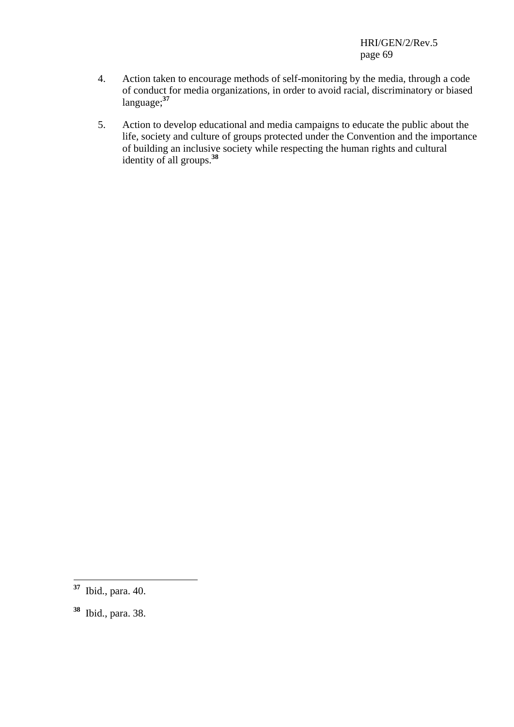- 4. Action taken to encourage methods of self-monitoring by the media, through a code of conduct for media organizations, in order to avoid racial, discriminatory or biased language;**<sup>37</sup>**
- 5. Action to develop educational and media campaigns to educate the public about the life, society and culture of groups protected under the Convention and the importance of building an inclusive society while respecting the human rights and cultural identity of all groups.**<sup>38</sup>**

1

**<sup>37</sup>** Ibid., para. 40.

**<sup>38</sup>** Ibid., para. 38.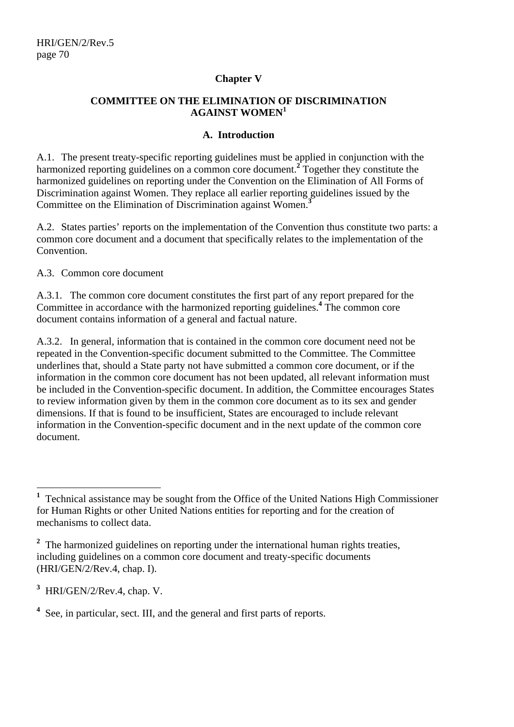### **Chapter V**

## **COMMITTEE ON THE ELIMINATION OF DISCRIMINATION AGAINST WOMEN1**

#### **A. Introduction**

A.1. The present treaty-specific reporting guidelines must be applied in conjunction with the harmonized reporting guidelines on a common core document.<sup>2</sup> Together they constitute the harmonized guidelines on reporting under the Convention on the Elimination of All Forms of Discrimination against Women. They replace all earlier reporting guidelines issued by the Committee on the Elimination of Discrimination against Women.**<sup>3</sup>**

A.2. States parties' reports on the implementation of the Convention thus constitute two parts: a common core document and a document that specifically relates to the implementation of the Convention.

A.3. Common core document

A.3.1. The common core document constitutes the first part of any report prepared for the Committee in accordance with the harmonized reporting guidelines.**<sup>4</sup>** The common core document contains information of a general and factual nature.

A.3.2. In general, information that is contained in the common core document need not be repeated in the Convention-specific document submitted to the Committee. The Committee underlines that, should a State party not have submitted a common core document, or if the information in the common core document has not been updated, all relevant information must be included in the Convention-specific document. In addition, the Committee encourages States to review information given by them in the common core document as to its sex and gender dimensions. If that is found to be insufficient, States are encouraged to include relevant information in the Convention-specific document and in the next update of the common core document.

**3** HRI/GEN/2/Rev.4, chap. V.

 **1** Technical assistance may be sought from the Office of the United Nations High Commissioner for Human Rights or other United Nations entities for reporting and for the creation of mechanisms to collect data.

<sup>&</sup>lt;sup>2</sup> The harmonized guidelines on reporting under the international human rights treaties, including guidelines on a common core document and treaty-specific documents (HRI/GEN/2/Rev.4, chap. I).

<sup>&</sup>lt;sup>4</sup> See, in particular, sect. III, and the general and first parts of reports.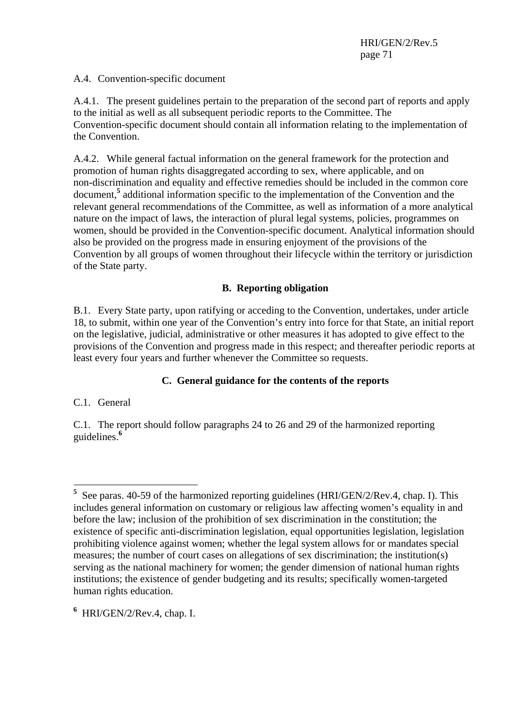### A.4. Convention-specific document

A.4.1. The present guidelines pertain to the preparation of the second part of reports and apply to the initial as well as all subsequent periodic reports to the Committee. The Convention-specific document should contain all information relating to the implementation of the Convention.

A.4.2. While general factual information on the general framework for the protection and promotion of human rights disaggregated according to sex, where applicable, and on non-discrimination and equality and effective remedies should be included in the common core document,<sup>5</sup> additional information specific to the implementation of the Convention and the relevant general recommendations of the Committee, as well as information of a more analytical nature on the impact of laws, the interaction of plural legal systems, policies, programmes on women, should be provided in the Convention-specific document. Analytical information should also be provided on the progress made in ensuring enjoyment of the provisions of the Convention by all groups of women throughout their lifecycle within the territory or jurisdiction of the State party.

### **B. Reporting obligation**

B.1. Every State party, upon ratifying or acceding to the Convention, undertakes, under article 18, to submit, within one year of the Convention's entry into force for that State, an initial report on the legislative, judicial, administrative or other measures it has adopted to give effect to the provisions of the Convention and progress made in this respect; and thereafter periodic reports at least every four years and further whenever the Committee so requests.

## **C. General guidance for the contents of the reports**

#### C.1. General

1

C.1. The report should follow paragraphs 24 to 26 and 29 of the harmonized reporting guidelines.**<sup>6</sup>**

**6** HRI/GEN/2/Rev.4, chap. I.

<sup>&</sup>lt;sup>5</sup> See paras. 40-59 of the harmonized reporting guidelines (HRI/GEN/2/Rev.4, chap. I). This includes general information on customary or religious law affecting women's equality in and before the law; inclusion of the prohibition of sex discrimination in the constitution; the existence of specific anti-discrimination legislation, equal opportunities legislation, legislation prohibiting violence against women; whether the legal system allows for or mandates special measures; the number of court cases on allegations of sex discrimination; the institution(s) serving as the national machinery for women; the gender dimension of national human rights institutions; the existence of gender budgeting and its results; specifically women-targeted human rights education.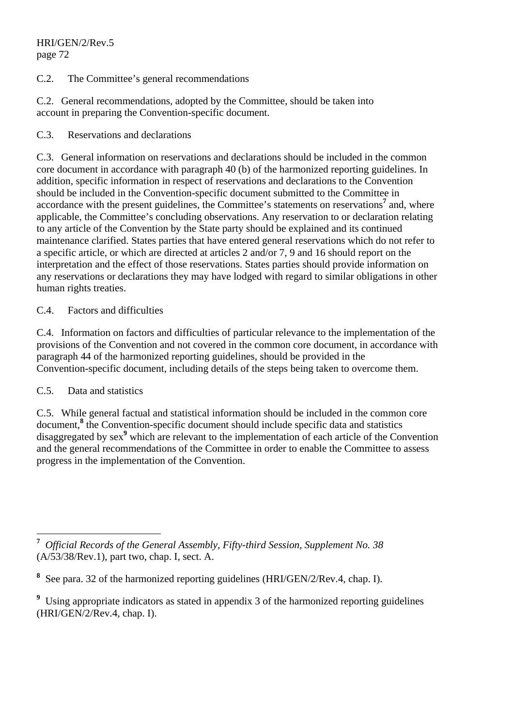## C.2. The Committee's general recommendations

C.2. General recommendations, adopted by the Committee, should be taken into account in preparing the Convention-specific document.

## C.3. Reservations and declarations

C.3. General information on reservations and declarations should be included in the common core document in accordance with paragraph 40 (b) of the harmonized reporting guidelines. In addition, specific information in respect of reservations and declarations to the Convention should be included in the Convention-specific document submitted to the Committee in accordance with the present guidelines, the Committee's statements on reservations<sup>7</sup> and, where applicable, the Committee's concluding observations. Any reservation to or declaration relating to any article of the Convention by the State party should be explained and its continued maintenance clarified. States parties that have entered general reservations which do not refer to a specific article, or which are directed at articles 2 and/or 7, 9 and 16 should report on the interpretation and the effect of those reservations. States parties should provide information on any reservations or declarations they may have lodged with regard to similar obligations in other human rights treaties.

# C.4. Factors and difficulties

C.4. Information on factors and difficulties of particular relevance to the implementation of the provisions of the Convention and not covered in the common core document, in accordance with paragraph 44 of the harmonized reporting guidelines, should be provided in the Convention-specific document, including details of the steps being taken to overcome them.

# C.5. Data and statistics

 $\overline{a}$ 

C.5. While general factual and statistical information should be included in the common core document,<sup>8</sup> the Convention-specific document should include specific data and statistics disaggregated by sex**<sup>9</sup>** which are relevant to the implementation of each article of the Convention and the general recommendations of the Committee in order to enable the Committee to assess progress in the implementation of the Convention.

**<sup>7</sup>** *Official Records of the General Assembly, Fifty-third Session, Supplement No. 38*  (A/53/38/Rev.1), part two, chap. I, sect. A.

**<sup>8</sup>** See para. 32 of the harmonized reporting guidelines (HRI/GEN/2/Rev.4, chap. I).

<sup>&</sup>lt;sup>9</sup> Using appropriate indicators as stated in appendix 3 of the harmonized reporting guidelines (HRI/GEN/2/Rev.4, chap. I).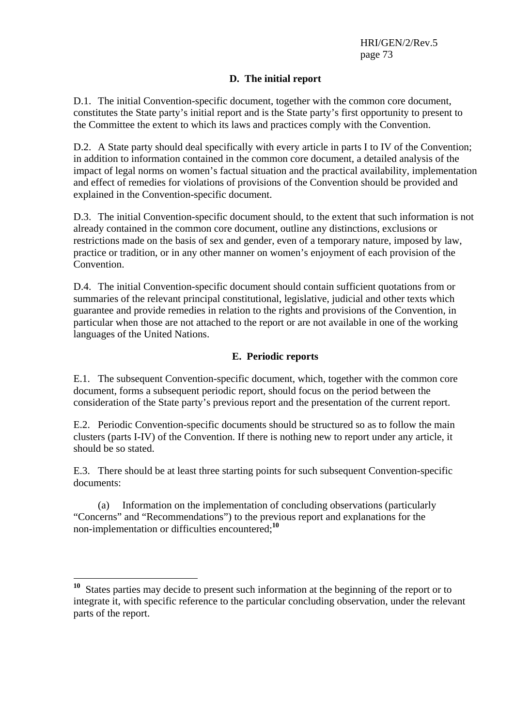## **D. The initial report**

D.1. The initial Convention-specific document, together with the common core document, constitutes the State party's initial report and is the State party's first opportunity to present to the Committee the extent to which its laws and practices comply with the Convention.

D.2. A State party should deal specifically with every article in parts I to IV of the Convention; in addition to information contained in the common core document, a detailed analysis of the impact of legal norms on women's factual situation and the practical availability, implementation and effect of remedies for violations of provisions of the Convention should be provided and explained in the Convention-specific document.

D.3. The initial Convention-specific document should, to the extent that such information is not already contained in the common core document, outline any distinctions, exclusions or restrictions made on the basis of sex and gender, even of a temporary nature, imposed by law, practice or tradition, or in any other manner on women's enjoyment of each provision of the Convention.

D.4. The initial Convention-specific document should contain sufficient quotations from or summaries of the relevant principal constitutional, legislative, judicial and other texts which guarantee and provide remedies in relation to the rights and provisions of the Convention, in particular when those are not attached to the report or are not available in one of the working languages of the United Nations.

## **E. Periodic reports**

E.1. The subsequent Convention-specific document, which, together with the common core document, forms a subsequent periodic report, should focus on the period between the consideration of the State party's previous report and the presentation of the current report.

E.2. Periodic Convention-specific documents should be structured so as to follow the main clusters (parts I-IV) of the Convention. If there is nothing new to report under any article, it should be so stated.

E.3. There should be at least three starting points for such subsequent Convention-specific documents:

 (a) Information on the implementation of concluding observations (particularly "Concerns" and "Recommendations") to the previous report and explanations for the non-implementation or difficulties encountered;**<sup>10</sup>**

<u>.</u>

**<sup>10</sup>** States parties may decide to present such information at the beginning of the report or to integrate it, with specific reference to the particular concluding observation, under the relevant parts of the report.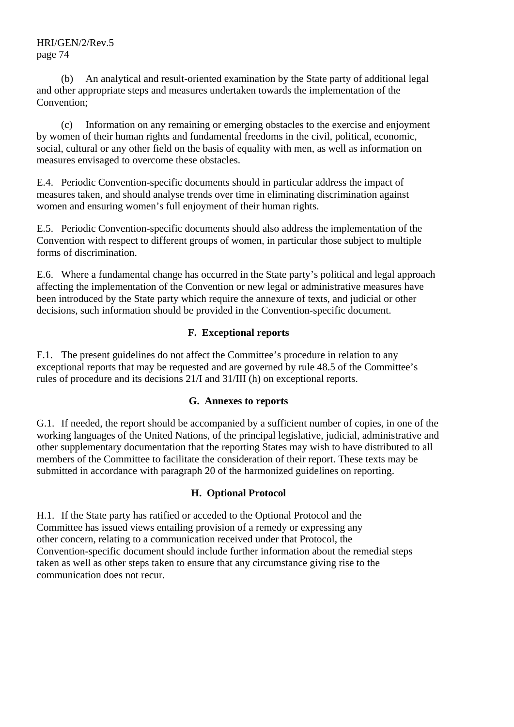(b) An analytical and result-oriented examination by the State party of additional legal and other appropriate steps and measures undertaken towards the implementation of the Convention:

 (c) Information on any remaining or emerging obstacles to the exercise and enjoyment by women of their human rights and fundamental freedoms in the civil, political, economic, social, cultural or any other field on the basis of equality with men, as well as information on measures envisaged to overcome these obstacles.

E.4. Periodic Convention-specific documents should in particular address the impact of measures taken, and should analyse trends over time in eliminating discrimination against women and ensuring women's full enjoyment of their human rights.

E.5. Periodic Convention-specific documents should also address the implementation of the Convention with respect to different groups of women, in particular those subject to multiple forms of discrimination.

E.6. Where a fundamental change has occurred in the State party's political and legal approach affecting the implementation of the Convention or new legal or administrative measures have been introduced by the State party which require the annexure of texts, and judicial or other decisions, such information should be provided in the Convention-specific document.

# **F. Exceptional reports**

F.1. The present guidelines do not affect the Committee's procedure in relation to any exceptional reports that may be requested and are governed by rule 48.5 of the Committee's rules of procedure and its decisions 21/I and 31/III (h) on exceptional reports.

## **G. Annexes to reports**

G.1. If needed, the report should be accompanied by a sufficient number of copies, in one of the working languages of the United Nations, of the principal legislative, judicial, administrative and other supplementary documentation that the reporting States may wish to have distributed to all members of the Committee to facilitate the consideration of their report. These texts may be submitted in accordance with paragraph 20 of the harmonized guidelines on reporting.

# **H. Optional Protocol**

H.1. If the State party has ratified or acceded to the Optional Protocol and the Committee has issued views entailing provision of a remedy or expressing any other concern, relating to a communication received under that Protocol, the Convention-specific document should include further information about the remedial steps taken as well as other steps taken to ensure that any circumstance giving rise to the communication does not recur.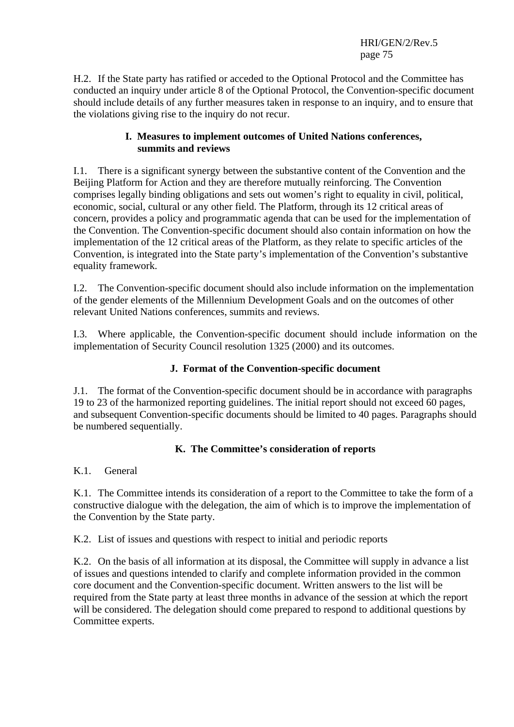H.2. If the State party has ratified or acceded to the Optional Protocol and the Committee has conducted an inquiry under article 8 of the Optional Protocol, the Convention-specific document should include details of any further measures taken in response to an inquiry, and to ensure that the violations giving rise to the inquiry do not recur.

## **I. Measures to implement outcomes of United Nations conferences, summits and reviews**

I.1. There is a significant synergy between the substantive content of the Convention and the Beijing Platform for Action and they are therefore mutually reinforcing. The Convention comprises legally binding obligations and sets out women's right to equality in civil, political, economic, social, cultural or any other field. The Platform, through its 12 critical areas of concern, provides a policy and programmatic agenda that can be used for the implementation of the Convention. The Convention-specific document should also contain information on how the implementation of the 12 critical areas of the Platform, as they relate to specific articles of the Convention, is integrated into the State party's implementation of the Convention's substantive equality framework.

I.2. The Convention-specific document should also include information on the implementation of the gender elements of the Millennium Development Goals and on the outcomes of other relevant United Nations conferences, summits and reviews.

I.3. Where applicable, the Convention-specific document should include information on the implementation of Security Council resolution 1325 (2000) and its outcomes.

# **J. Format of the Convention-specific document**

J.1. The format of the Convention-specific document should be in accordance with paragraphs 19 to 23 of the harmonized reporting guidelines. The initial report should not exceed 60 pages, and subsequent Convention-specific documents should be limited to 40 pages. Paragraphs should be numbered sequentially.

# **K. The Committee's consideration of reports**

K.1. General

K.1. The Committee intends its consideration of a report to the Committee to take the form of a constructive dialogue with the delegation, the aim of which is to improve the implementation of the Convention by the State party.

K.2. List of issues and questions with respect to initial and periodic reports

K.2. On the basis of all information at its disposal, the Committee will supply in advance a list of issues and questions intended to clarify and complete information provided in the common core document and the Convention-specific document. Written answers to the list will be required from the State party at least three months in advance of the session at which the report will be considered. The delegation should come prepared to respond to additional questions by Committee experts.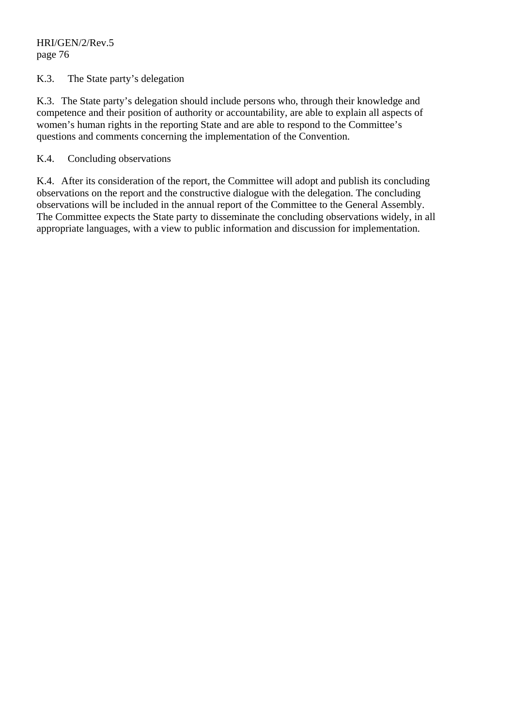### K.3. The State party's delegation

K.3. The State party's delegation should include persons who, through their knowledge and competence and their position of authority or accountability, are able to explain all aspects of women's human rights in the reporting State and are able to respond to the Committee's questions and comments concerning the implementation of the Convention.

K.4. Concluding observations

K.4. After its consideration of the report, the Committee will adopt and publish its concluding observations on the report and the constructive dialogue with the delegation. The concluding observations will be included in the annual report of the Committee to the General Assembly. The Committee expects the State party to disseminate the concluding observations widely, in all appropriate languages, with a view to public information and discussion for implementation.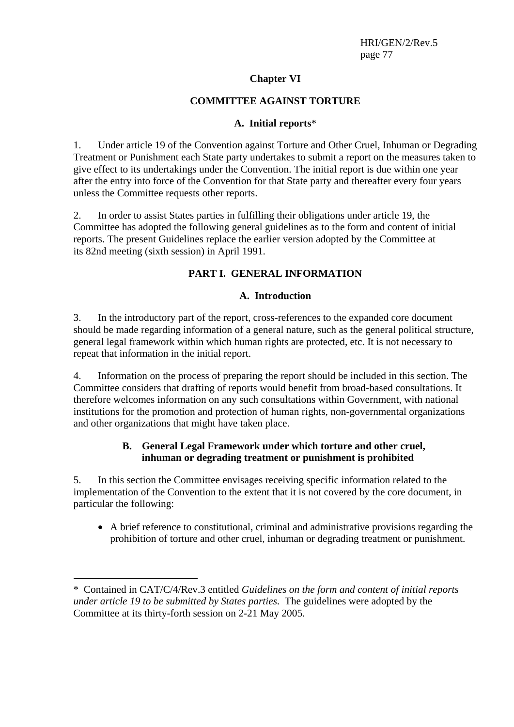## **Chapter VI**

### **COMMITTEE AGAINST TORTURE**

#### **A. Initial reports**\*

1. Under article 19 of the Convention against Torture and Other Cruel, Inhuman or Degrading Treatment or Punishment each State party undertakes to submit a report on the measures taken to give effect to its undertakings under the Convention. The initial report is due within one year after the entry into force of the Convention for that State party and thereafter every four years unless the Committee requests other reports.

2. In order to assist States parties in fulfilling their obligations under article 19, the Committee has adopted the following general guidelines as to the form and content of initial reports. The present Guidelines replace the earlier version adopted by the Committee at its 82nd meeting (sixth session) in April 1991.

## **PART I. GENERAL INFORMATION**

#### **A. Introduction**

3. In the introductory part of the report, cross-references to the expanded core document should be made regarding information of a general nature, such as the general political structure, general legal framework within which human rights are protected, etc. It is not necessary to repeat that information in the initial report.

4. Information on the process of preparing the report should be included in this section. The Committee considers that drafting of reports would benefit from broad-based consultations. It therefore welcomes information on any such consultations within Government, with national institutions for the promotion and protection of human rights, non-governmental organizations and other organizations that might have taken place.

## **B. General Legal Framework under which torture and other cruel, inhuman or degrading treatment or punishment is prohibited**

5. In this section the Committee envisages receiving specific information related to the implementation of the Convention to the extent that it is not covered by the core document, in particular the following:

• A brief reference to constitutional, criminal and administrative provisions regarding the prohibition of torture and other cruel, inhuman or degrading treatment or punishment.

<u>.</u>

<sup>\*</sup> Contained in CAT/C/4/Rev.3 entitled *Guidelines on the form and content of initial reports under article 19 to be submitted by States parties*. The guidelines were adopted by the Committee at its thirty-forth session on 2-21 May 2005.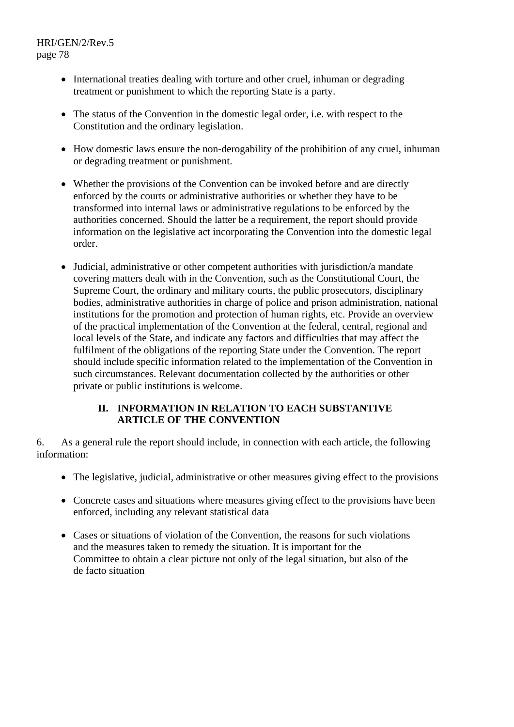- International treaties dealing with torture and other cruel, inhuman or degrading treatment or punishment to which the reporting State is a party.
- The status of the Convention in the domestic legal order, i.e. with respect to the Constitution and the ordinary legislation.
- How domestic laws ensure the non-derogability of the prohibition of any cruel, inhuman or degrading treatment or punishment.
- Whether the provisions of the Convention can be invoked before and are directly enforced by the courts or administrative authorities or whether they have to be transformed into internal laws or administrative regulations to be enforced by the authorities concerned. Should the latter be a requirement, the report should provide information on the legislative act incorporating the Convention into the domestic legal order.
- Judicial, administrative or other competent authorities with jurisdiction/a mandate covering matters dealt with in the Convention, such as the Constitutional Court, the Supreme Court, the ordinary and military courts, the public prosecutors, disciplinary bodies, administrative authorities in charge of police and prison administration, national institutions for the promotion and protection of human rights, etc. Provide an overview of the practical implementation of the Convention at the federal, central, regional and local levels of the State, and indicate any factors and difficulties that may affect the fulfilment of the obligations of the reporting State under the Convention. The report should include specific information related to the implementation of the Convention in such circumstances. Relevant documentation collected by the authorities or other private or public institutions is welcome.

## **II. INFORMATION IN RELATION TO EACH SUBSTANTIVE ARTICLE OF THE CONVENTION**

6. As a general rule the report should include, in connection with each article, the following information:

- The legislative, judicial, administrative or other measures giving effect to the provisions
- Concrete cases and situations where measures giving effect to the provisions have been enforced, including any relevant statistical data
- Cases or situations of violation of the Convention, the reasons for such violations and the measures taken to remedy the situation. It is important for the Committee to obtain a clear picture not only of the legal situation, but also of the de facto situation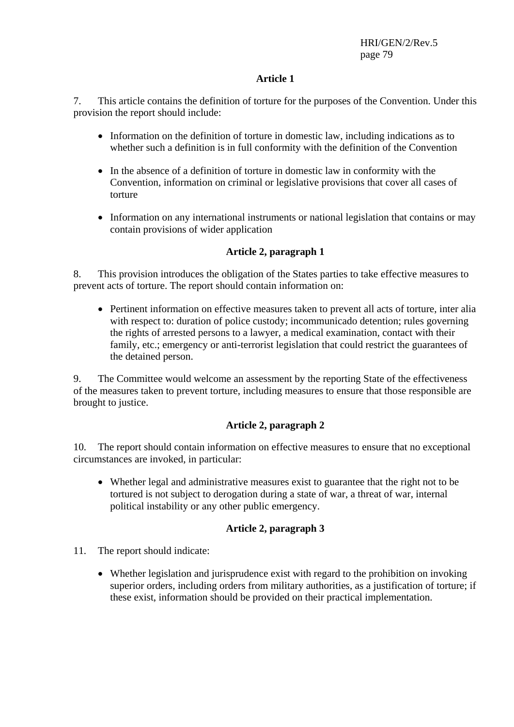7. This article contains the definition of torture for the purposes of the Convention. Under this provision the report should include:

- Information on the definition of torture in domestic law, including indications as to whether such a definition is in full conformity with the definition of the Convention
- In the absence of a definition of torture in domestic law in conformity with the Convention, information on criminal or legislative provisions that cover all cases of torture
- Information on any international instruments or national legislation that contains or may contain provisions of wider application

# **Article 2, paragraph 1**

8. This provision introduces the obligation of the States parties to take effective measures to prevent acts of torture. The report should contain information on:

• Pertinent information on effective measures taken to prevent all acts of torture, inter alia with respect to: duration of police custody; incommunicado detention; rules governing the rights of arrested persons to a lawyer, a medical examination, contact with their family, etc.; emergency or anti-terrorist legislation that could restrict the guarantees of the detained person.

9. The Committee would welcome an assessment by the reporting State of the effectiveness of the measures taken to prevent torture, including measures to ensure that those responsible are brought to justice.

# **Article 2, paragraph 2**

10. The report should contain information on effective measures to ensure that no exceptional circumstances are invoked, in particular:

• Whether legal and administrative measures exist to guarantee that the right not to be tortured is not subject to derogation during a state of war, a threat of war, internal political instability or any other public emergency.

## **Article 2, paragraph 3**

- 11. The report should indicate:
	- Whether legislation and jurisprudence exist with regard to the prohibition on invoking superior orders, including orders from military authorities, as a justification of torture; if these exist, information should be provided on their practical implementation.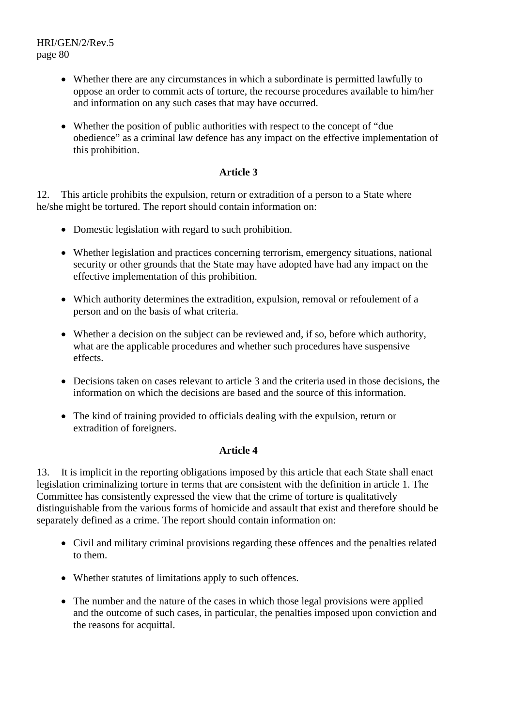- Whether there are any circumstances in which a subordinate is permitted lawfully to oppose an order to commit acts of torture, the recourse procedures available to him/her and information on any such cases that may have occurred.
- Whether the position of public authorities with respect to the concept of "due" obedience" as a criminal law defence has any impact on the effective implementation of this prohibition.

12. This article prohibits the expulsion, return or extradition of a person to a State where he/she might be tortured. The report should contain information on:

- Domestic legislation with regard to such prohibition.
- Whether legislation and practices concerning terrorism, emergency situations, national security or other grounds that the State may have adopted have had any impact on the effective implementation of this prohibition.
- Which authority determines the extradition, expulsion, removal or refoulement of a person and on the basis of what criteria.
- Whether a decision on the subject can be reviewed and, if so, before which authority, what are the applicable procedures and whether such procedures have suspensive effects.
- Decisions taken on cases relevant to article 3 and the criteria used in those decisions, the information on which the decisions are based and the source of this information.
- The kind of training provided to officials dealing with the expulsion, return or extradition of foreigners.

#### **Article 4**

13. It is implicit in the reporting obligations imposed by this article that each State shall enact legislation criminalizing torture in terms that are consistent with the definition in article 1. The Committee has consistently expressed the view that the crime of torture is qualitatively distinguishable from the various forms of homicide and assault that exist and therefore should be separately defined as a crime. The report should contain information on:

- Civil and military criminal provisions regarding these offences and the penalties related to them.
- Whether statutes of limitations apply to such offences.
- The number and the nature of the cases in which those legal provisions were applied and the outcome of such cases, in particular, the penalties imposed upon conviction and the reasons for acquittal.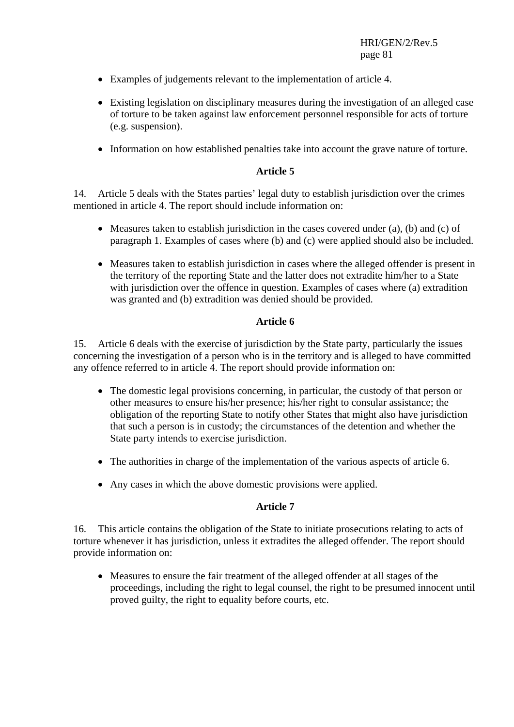- Examples of judgements relevant to the implementation of article 4.
- Existing legislation on disciplinary measures during the investigation of an alleged case of torture to be taken against law enforcement personnel responsible for acts of torture (e.g. suspension).
- Information on how established penalties take into account the grave nature of torture.

14. Article 5 deals with the States parties' legal duty to establish jurisdiction over the crimes mentioned in article 4. The report should include information on:

- Measures taken to establish jurisdiction in the cases covered under (a), (b) and (c) of paragraph 1. Examples of cases where (b) and (c) were applied should also be included.
- Measures taken to establish jurisdiction in cases where the alleged offender is present in the territory of the reporting State and the latter does not extradite him/her to a State with jurisdiction over the offence in question. Examples of cases where (a) extradition was granted and (b) extradition was denied should be provided.

### **Article 6**

15. Article 6 deals with the exercise of jurisdiction by the State party, particularly the issues concerning the investigation of a person who is in the territory and is alleged to have committed any offence referred to in article 4. The report should provide information on:

- The domestic legal provisions concerning, in particular, the custody of that person or other measures to ensure his/her presence; his/her right to consular assistance; the obligation of the reporting State to notify other States that might also have jurisdiction that such a person is in custody; the circumstances of the detention and whether the State party intends to exercise jurisdiction.
- The authorities in charge of the implementation of the various aspects of article 6.
- Any cases in which the above domestic provisions were applied.

## **Article 7**

16. This article contains the obligation of the State to initiate prosecutions relating to acts of torture whenever it has jurisdiction, unless it extradites the alleged offender. The report should provide information on:

• Measures to ensure the fair treatment of the alleged offender at all stages of the proceedings, including the right to legal counsel, the right to be presumed innocent until proved guilty, the right to equality before courts, etc.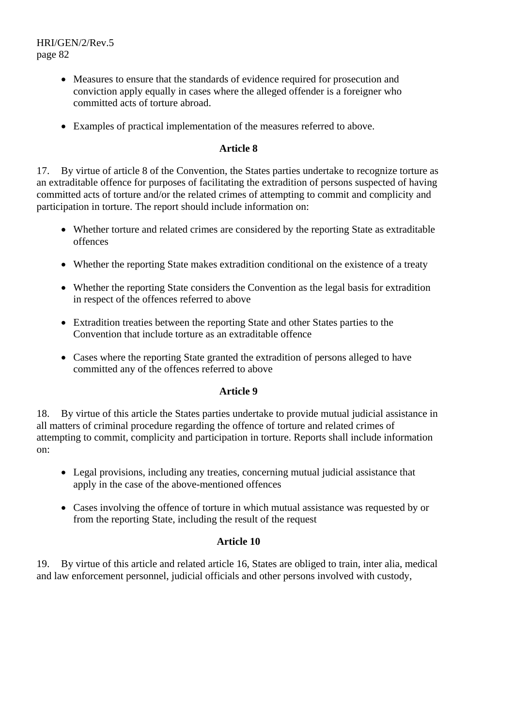- Measures to ensure that the standards of evidence required for prosecution and conviction apply equally in cases where the alleged offender is a foreigner who committed acts of torture abroad.
- Examples of practical implementation of the measures referred to above.

### **Article 8**

17. By virtue of article 8 of the Convention, the States parties undertake to recognize torture as an extraditable offence for purposes of facilitating the extradition of persons suspected of having committed acts of torture and/or the related crimes of attempting to commit and complicity and participation in torture. The report should include information on:

- Whether torture and related crimes are considered by the reporting State as extraditable offences
- Whether the reporting State makes extradition conditional on the existence of a treaty
- Whether the reporting State considers the Convention as the legal basis for extradition in respect of the offences referred to above
- Extradition treaties between the reporting State and other States parties to the Convention that include torture as an extraditable offence
- Cases where the reporting State granted the extradition of persons alleged to have committed any of the offences referred to above

#### **Article 9**

18. By virtue of this article the States parties undertake to provide mutual judicial assistance in all matters of criminal procedure regarding the offence of torture and related crimes of attempting to commit, complicity and participation in torture. Reports shall include information on:

- Legal provisions, including any treaties, concerning mutual judicial assistance that apply in the case of the above-mentioned offences
- Cases involving the offence of torture in which mutual assistance was requested by or from the reporting State, including the result of the request

#### **Article 10**

19. By virtue of this article and related article 16, States are obliged to train, inter alia, medical and law enforcement personnel, judicial officials and other persons involved with custody,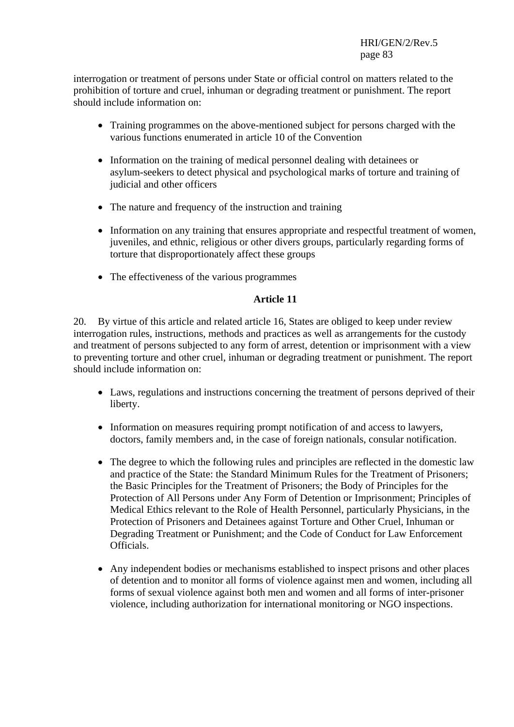interrogation or treatment of persons under State or official control on matters related to the prohibition of torture and cruel, inhuman or degrading treatment or punishment. The report should include information on:

- Training programmes on the above-mentioned subject for persons charged with the various functions enumerated in article 10 of the Convention
- Information on the training of medical personnel dealing with detainees or asylum-seekers to detect physical and psychological marks of torture and training of judicial and other officers
- The nature and frequency of the instruction and training
- Information on any training that ensures appropriate and respectful treatment of women, juveniles, and ethnic, religious or other divers groups, particularly regarding forms of torture that disproportionately affect these groups
- The effectiveness of the various programmes

### **Article 11**

20. By virtue of this article and related article 16, States are obliged to keep under review interrogation rules, instructions, methods and practices as well as arrangements for the custody and treatment of persons subjected to any form of arrest, detention or imprisonment with a view to preventing torture and other cruel, inhuman or degrading treatment or punishment. The report should include information on:

- Laws, regulations and instructions concerning the treatment of persons deprived of their liberty.
- Information on measures requiring prompt notification of and access to lawyers, doctors, family members and, in the case of foreign nationals, consular notification.
- The degree to which the following rules and principles are reflected in the domestic law and practice of the State: the Standard Minimum Rules for the Treatment of Prisoners; the Basic Principles for the Treatment of Prisoners; the Body of Principles for the Protection of All Persons under Any Form of Detention or Imprisonment; Principles of Medical Ethics relevant to the Role of Health Personnel, particularly Physicians, in the Protection of Prisoners and Detainees against Torture and Other Cruel, Inhuman or Degrading Treatment or Punishment; and the Code of Conduct for Law Enforcement Officials.
- Any independent bodies or mechanisms established to inspect prisons and other places of detention and to monitor all forms of violence against men and women, including all forms of sexual violence against both men and women and all forms of inter-prisoner violence, including authorization for international monitoring or NGO inspections.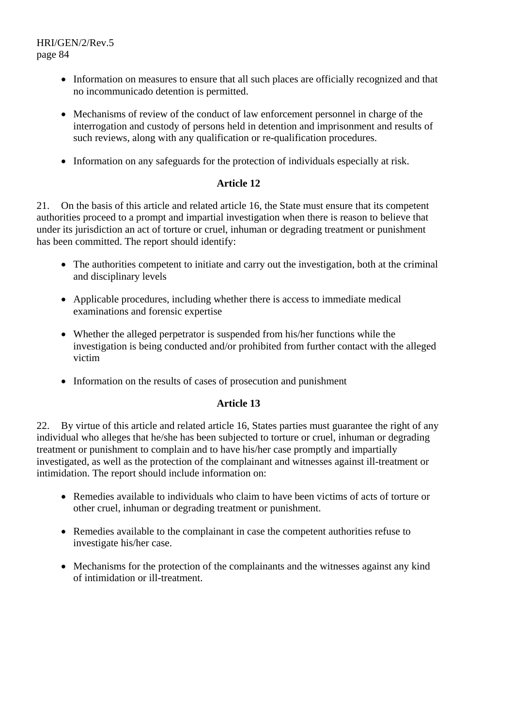- Information on measures to ensure that all such places are officially recognized and that no incommunicado detention is permitted.
- Mechanisms of review of the conduct of law enforcement personnel in charge of the interrogation and custody of persons held in detention and imprisonment and results of such reviews, along with any qualification or re-qualification procedures.
- Information on any safeguards for the protection of individuals especially at risk.

21. On the basis of this article and related article 16, the State must ensure that its competent authorities proceed to a prompt and impartial investigation when there is reason to believe that under its jurisdiction an act of torture or cruel, inhuman or degrading treatment or punishment has been committed. The report should identify:

- The authorities competent to initiate and carry out the investigation, both at the criminal and disciplinary levels
- Applicable procedures, including whether there is access to immediate medical examinations and forensic expertise
- Whether the alleged perpetrator is suspended from his/her functions while the investigation is being conducted and/or prohibited from further contact with the alleged victim
- Information on the results of cases of prosecution and punishment

## **Article 13**

22. By virtue of this article and related article 16, States parties must guarantee the right of any individual who alleges that he/she has been subjected to torture or cruel, inhuman or degrading treatment or punishment to complain and to have his/her case promptly and impartially investigated, as well as the protection of the complainant and witnesses against ill-treatment or intimidation. The report should include information on:

- Remedies available to individuals who claim to have been victims of acts of torture or other cruel, inhuman or degrading treatment or punishment.
- Remedies available to the complainant in case the competent authorities refuse to investigate his/her case.
- Mechanisms for the protection of the complainants and the witnesses against any kind of intimidation or ill-treatment.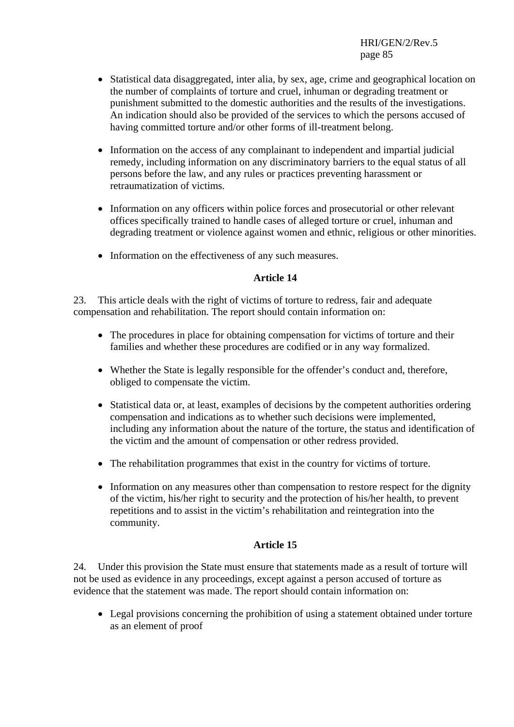- Statistical data disaggregated, inter alia, by sex, age, crime and geographical location on the number of complaints of torture and cruel, inhuman or degrading treatment or punishment submitted to the domestic authorities and the results of the investigations. An indication should also be provided of the services to which the persons accused of having committed torture and/or other forms of ill-treatment belong.
- Information on the access of any complainant to independent and impartial judicial remedy, including information on any discriminatory barriers to the equal status of all persons before the law, and any rules or practices preventing harassment or retraumatization of victims.
- Information on any officers within police forces and prosecutorial or other relevant offices specifically trained to handle cases of alleged torture or cruel, inhuman and degrading treatment or violence against women and ethnic, religious or other minorities.
- Information on the effectiveness of any such measures.

## **Article 14**

23. This article deals with the right of victims of torture to redress, fair and adequate compensation and rehabilitation. The report should contain information on:

- The procedures in place for obtaining compensation for victims of torture and their families and whether these procedures are codified or in any way formalized.
- Whether the State is legally responsible for the offender's conduct and, therefore, obliged to compensate the victim.
- Statistical data or, at least, examples of decisions by the competent authorities ordering compensation and indications as to whether such decisions were implemented, including any information about the nature of the torture, the status and identification of the victim and the amount of compensation or other redress provided.
- The rehabilitation programmes that exist in the country for victims of torture.
- Information on any measures other than compensation to restore respect for the dignity of the victim, his/her right to security and the protection of his/her health, to prevent repetitions and to assist in the victim's rehabilitation and reintegration into the community.

## **Article 15**

24. Under this provision the State must ensure that statements made as a result of torture will not be used as evidence in any proceedings, except against a person accused of torture as evidence that the statement was made. The report should contain information on:

• Legal provisions concerning the prohibition of using a statement obtained under torture as an element of proof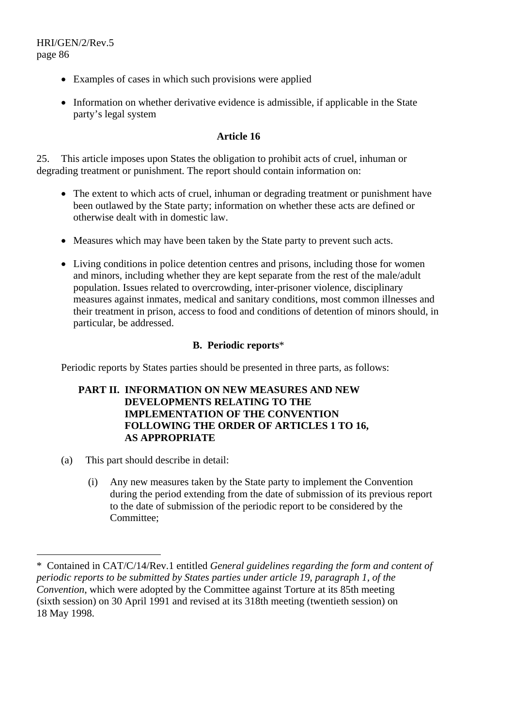- Examples of cases in which such provisions were applied
- Information on whether derivative evidence is admissible, if applicable in the State party's legal system

### **Article 16**

25. This article imposes upon States the obligation to prohibit acts of cruel, inhuman or degrading treatment or punishment. The report should contain information on:

- The extent to which acts of cruel, inhuman or degrading treatment or punishment have been outlawed by the State party; information on whether these acts are defined or otherwise dealt with in domestic law.
- Measures which may have been taken by the State party to prevent such acts.
- Living conditions in police detention centres and prisons, including those for women and minors, including whether they are kept separate from the rest of the male/adult population. Issues related to overcrowding, inter-prisoner violence, disciplinary measures against inmates, medical and sanitary conditions, most common illnesses and their treatment in prison, access to food and conditions of detention of minors should, in particular, be addressed.

### **B. Periodic reports**\*

Periodic reports by States parties should be presented in three parts, as follows:

### **PART II. INFORMATION ON NEW MEASURES AND NEW DEVELOPMENTS RELATING TO THE IMPLEMENTATION OF THE CONVENTION FOLLOWING THE ORDER OF ARTICLES 1 TO 16, AS APPROPRIATE**

(a) This part should describe in detail:

 $\overline{a}$ 

(i) Any new measures taken by the State party to implement the Convention during the period extending from the date of submission of its previous report to the date of submission of the periodic report to be considered by the Committee;

<sup>\*</sup> Contained in CAT/C/14/Rev.1 entitled *General guidelines regarding the form and content of periodic reports to be submitted by States parties under article 19, paragraph 1, of the Convention*, which were adopted by the Committee against Torture at its 85th meeting (sixth session) on 30 April 1991 and revised at its 318th meeting (twentieth session) on 18 May 1998.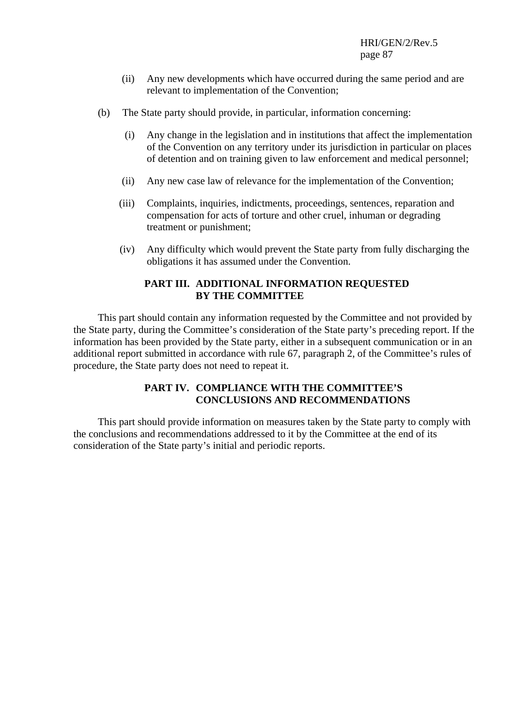- (ii) Any new developments which have occurred during the same period and are relevant to implementation of the Convention;
- (b) The State party should provide, in particular, information concerning:
	- (i) Any change in the legislation and in institutions that affect the implementation of the Convention on any territory under its jurisdiction in particular on places of detention and on training given to law enforcement and medical personnel;
	- (ii) Any new case law of relevance for the implementation of the Convention;
	- (iii) Complaints, inquiries, indictments, proceedings, sentences, reparation and compensation for acts of torture and other cruel, inhuman or degrading treatment or punishment;
	- (iv) Any difficulty which would prevent the State party from fully discharging the obligations it has assumed under the Convention.

#### **PART III. ADDITIONAL INFORMATION REQUESTED BY THE COMMITTEE**

 This part should contain any information requested by the Committee and not provided by the State party, during the Committee's consideration of the State party's preceding report. If the information has been provided by the State party, either in a subsequent communication or in an additional report submitted in accordance with rule 67, paragraph 2, of the Committee's rules of procedure, the State party does not need to repeat it.

### **PART IV. COMPLIANCE WITH THE COMMITTEE'S CONCLUSIONS AND RECOMMENDATIONS**

 This part should provide information on measures taken by the State party to comply with the conclusions and recommendations addressed to it by the Committee at the end of its consideration of the State party's initial and periodic reports.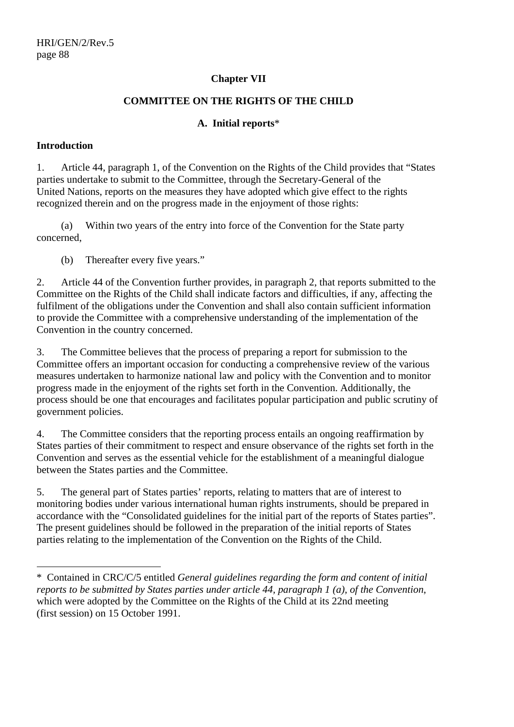## **Chapter VII**

## **COMMITTEE ON THE RIGHTS OF THE CHILD**

### **A. Initial reports**\*

#### **Introduction**

 $\overline{a}$ 

1. Article 44, paragraph 1, of the Convention on the Rights of the Child provides that "States parties undertake to submit to the Committee, through the Secretary-General of the United Nations, reports on the measures they have adopted which give effect to the rights recognized therein and on the progress made in the enjoyment of those rights:

 (a) Within two years of the entry into force of the Convention for the State party concerned,

(b) Thereafter every five years."

2. Article 44 of the Convention further provides, in paragraph 2, that reports submitted to the Committee on the Rights of the Child shall indicate factors and difficulties, if any, affecting the fulfilment of the obligations under the Convention and shall also contain sufficient information to provide the Committee with a comprehensive understanding of the implementation of the Convention in the country concerned.

3. The Committee believes that the process of preparing a report for submission to the Committee offers an important occasion for conducting a comprehensive review of the various measures undertaken to harmonize national law and policy with the Convention and to monitor progress made in the enjoyment of the rights set forth in the Convention. Additionally, the process should be one that encourages and facilitates popular participation and public scrutiny of government policies.

4. The Committee considers that the reporting process entails an ongoing reaffirmation by States parties of their commitment to respect and ensure observance of the rights set forth in the Convention and serves as the essential vehicle for the establishment of a meaningful dialogue between the States parties and the Committee.

5. The general part of States parties' reports, relating to matters that are of interest to monitoring bodies under various international human rights instruments, should be prepared in accordance with the "Consolidated guidelines for the initial part of the reports of States parties". The present guidelines should be followed in the preparation of the initial reports of States parties relating to the implementation of the Convention on the Rights of the Child.

<sup>\*</sup> Contained in CRC/C/5 entitled *General guidelines regarding the form and content of initial reports to be submitted by States parties under article 44, paragraph 1 (a), of the Convention*, which were adopted by the Committee on the Rights of the Child at its 22nd meeting (first session) on 15 October 1991.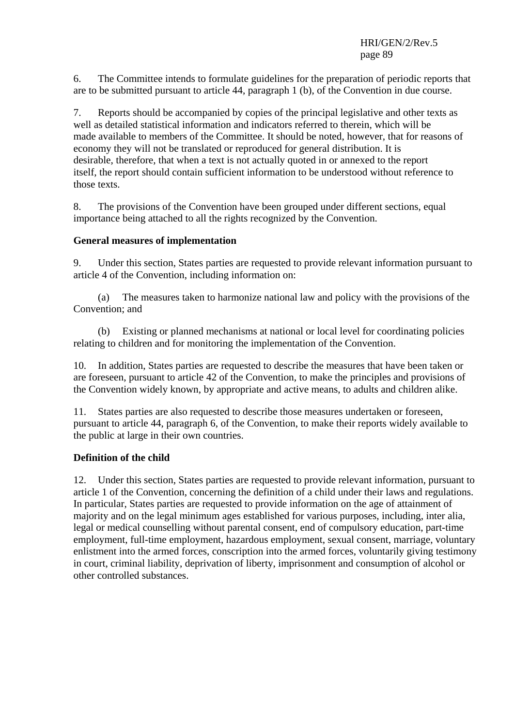6. The Committee intends to formulate guidelines for the preparation of periodic reports that are to be submitted pursuant to article 44, paragraph 1 (b), of the Convention in due course.

7. Reports should be accompanied by copies of the principal legislative and other texts as well as detailed statistical information and indicators referred to therein, which will be made available to members of the Committee. It should be noted, however, that for reasons of economy they will not be translated or reproduced for general distribution. It is desirable, therefore, that when a text is not actually quoted in or annexed to the report itself, the report should contain sufficient information to be understood without reference to those texts.

8. The provisions of the Convention have been grouped under different sections, equal importance being attached to all the rights recognized by the Convention.

## **General measures of implementation**

9. Under this section, States parties are requested to provide relevant information pursuant to article 4 of the Convention, including information on:

 (a) The measures taken to harmonize national law and policy with the provisions of the Convention; and

 (b) Existing or planned mechanisms at national or local level for coordinating policies relating to children and for monitoring the implementation of the Convention.

10. In addition, States parties are requested to describe the measures that have been taken or are foreseen, pursuant to article 42 of the Convention, to make the principles and provisions of the Convention widely known, by appropriate and active means, to adults and children alike.

11. States parties are also requested to describe those measures undertaken or foreseen, pursuant to article 44, paragraph 6, of the Convention, to make their reports widely available to the public at large in their own countries.

#### **Definition of the child**

12. Under this section, States parties are requested to provide relevant information, pursuant to article 1 of the Convention, concerning the definition of a child under their laws and regulations. In particular, States parties are requested to provide information on the age of attainment of majority and on the legal minimum ages established for various purposes, including, inter alia, legal or medical counselling without parental consent, end of compulsory education, part-time employment, full-time employment, hazardous employment, sexual consent, marriage, voluntary enlistment into the armed forces, conscription into the armed forces, voluntarily giving testimony in court, criminal liability, deprivation of liberty, imprisonment and consumption of alcohol or other controlled substances.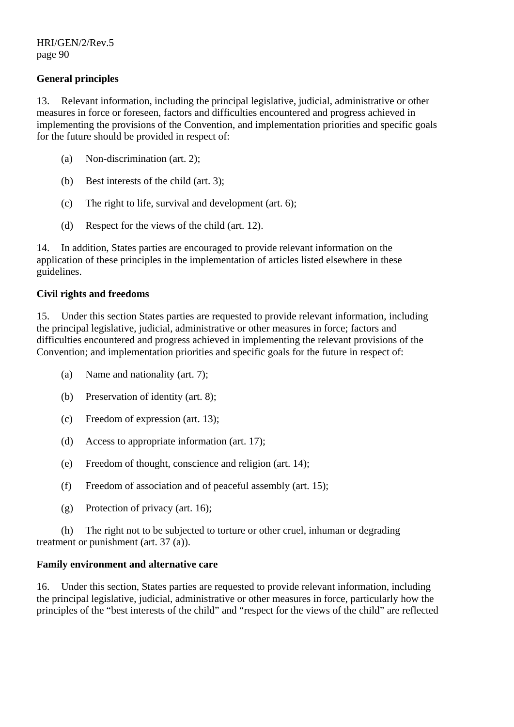## **General principles**

13. Relevant information, including the principal legislative, judicial, administrative or other measures in force or foreseen, factors and difficulties encountered and progress achieved in implementing the provisions of the Convention, and implementation priorities and specific goals for the future should be provided in respect of:

- (a) Non-discrimination (art. 2);
- (b) Best interests of the child (art. 3);
- (c) The right to life, survival and development (art. 6);
- (d) Respect for the views of the child (art. 12).

14. In addition, States parties are encouraged to provide relevant information on the application of these principles in the implementation of articles listed elsewhere in these guidelines.

#### **Civil rights and freedoms**

15. Under this section States parties are requested to provide relevant information, including the principal legislative, judicial, administrative or other measures in force; factors and difficulties encountered and progress achieved in implementing the relevant provisions of the Convention; and implementation priorities and specific goals for the future in respect of:

- (a) Name and nationality (art. 7);
- (b) Preservation of identity (art. 8);
- (c) Freedom of expression (art. 13);
- (d) Access to appropriate information (art. 17);
- (e) Freedom of thought, conscience and religion (art. 14);
- (f) Freedom of association and of peaceful assembly (art. 15);
- (g) Protection of privacy (art. 16);

 (h) The right not to be subjected to torture or other cruel, inhuman or degrading treatment or punishment (art. 37 (a)).

#### **Family environment and alternative care**

16. Under this section, States parties are requested to provide relevant information, including the principal legislative, judicial, administrative or other measures in force, particularly how the principles of the "best interests of the child" and "respect for the views of the child" are reflected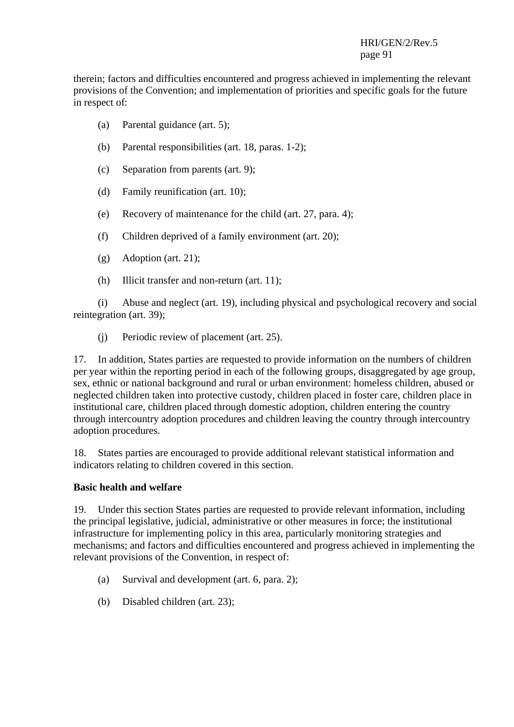therein; factors and difficulties encountered and progress achieved in implementing the relevant provisions of the Convention; and implementation of priorities and specific goals for the future in respect of:

- (a) Parental guidance (art. 5);
- (b) Parental responsibilities (art. 18, paras. 1-2);
- (c) Separation from parents (art. 9);
- (d) Family reunification (art. 10);
- (e) Recovery of maintenance for the child (art. 27, para. 4);
- (f) Children deprived of a family environment (art. 20);
- $(g)$  Adoption (art. 21);
- (h) Illicit transfer and non-return (art. 11);

 (i) Abuse and neglect (art. 19), including physical and psychological recovery and social reintegration (art. 39);

(j) Periodic review of placement (art. 25).

17. In addition, States parties are requested to provide information on the numbers of children per year within the reporting period in each of the following groups, disaggregated by age group, sex, ethnic or national background and rural or urban environment: homeless children, abused or neglected children taken into protective custody, children placed in foster care, children place in institutional care, children placed through domestic adoption, children entering the country through intercountry adoption procedures and children leaving the country through intercountry adoption procedures.

18. States parties are encouraged to provide additional relevant statistical information and indicators relating to children covered in this section.

#### **Basic health and welfare**

19. Under this section States parties are requested to provide relevant information, including the principal legislative, judicial, administrative or other measures in force; the institutional infrastructure for implementing policy in this area, particularly monitoring strategies and mechanisms; and factors and difficulties encountered and progress achieved in implementing the relevant provisions of the Convention, in respect of:

- (a) Survival and development (art. 6, para. 2);
- (b) Disabled children (art. 23);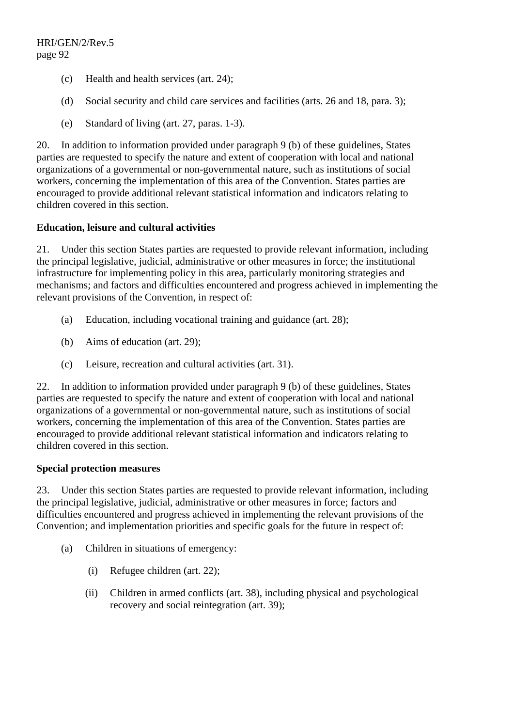- (c) Health and health services (art. 24);
- (d) Social security and child care services and facilities (arts. 26 and 18, para. 3);
- (e) Standard of living (art. 27, paras. 1-3).

20. In addition to information provided under paragraph 9 (b) of these guidelines, States parties are requested to specify the nature and extent of cooperation with local and national organizations of a governmental or non-governmental nature, such as institutions of social workers, concerning the implementation of this area of the Convention. States parties are encouraged to provide additional relevant statistical information and indicators relating to children covered in this section.

### **Education, leisure and cultural activities**

21. Under this section States parties are requested to provide relevant information, including the principal legislative, judicial, administrative or other measures in force; the institutional infrastructure for implementing policy in this area, particularly monitoring strategies and mechanisms; and factors and difficulties encountered and progress achieved in implementing the relevant provisions of the Convention, in respect of:

- (a) Education, including vocational training and guidance (art. 28);
- (b) Aims of education (art. 29);
- (c) Leisure, recreation and cultural activities (art. 31).

22. In addition to information provided under paragraph 9 (b) of these guidelines, States parties are requested to specify the nature and extent of cooperation with local and national organizations of a governmental or non-governmental nature, such as institutions of social workers, concerning the implementation of this area of the Convention. States parties are encouraged to provide additional relevant statistical information and indicators relating to children covered in this section.

#### **Special protection measures**

23. Under this section States parties are requested to provide relevant information, including the principal legislative, judicial, administrative or other measures in force; factors and difficulties encountered and progress achieved in implementing the relevant provisions of the Convention; and implementation priorities and specific goals for the future in respect of:

- (a) Children in situations of emergency:
	- (i) Refugee children (art. 22);
	- (ii) Children in armed conflicts (art. 38), including physical and psychological recovery and social reintegration (art. 39);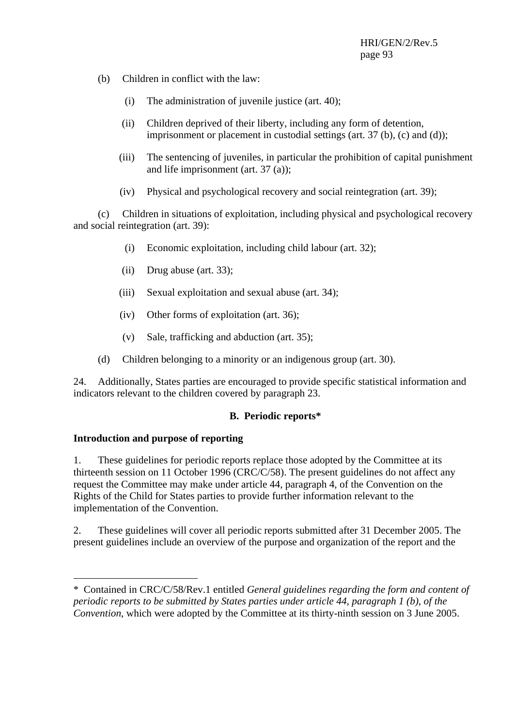- (b) Children in conflict with the law:
	- (i) The administration of juvenile justice (art. 40);
	- (ii) Children deprived of their liberty, including any form of detention, imprisonment or placement in custodial settings (art. 37 (b), (c) and (d));
	- (iii) The sentencing of juveniles, in particular the prohibition of capital punishment and life imprisonment (art. 37 (a));
	- (iv) Physical and psychological recovery and social reintegration (art. 39);

 (c) Children in situations of exploitation, including physical and psychological recovery and social reintegration (art. 39):

- (i) Economic exploitation, including child labour (art. 32);
- (ii) Drug abuse (art. 33);
- (iii) Sexual exploitation and sexual abuse (art. 34);
- (iv) Other forms of exploitation (art. 36);
- (v) Sale, trafficking and abduction (art. 35);
- (d) Children belonging to a minority or an indigenous group (art. 30).

24. Additionally, States parties are encouraged to provide specific statistical information and indicators relevant to the children covered by paragraph 23.

## **B. Periodic reports\***

## **Introduction and purpose of reporting**

<u>.</u>

1. These guidelines for periodic reports replace those adopted by the Committee at its thirteenth session on 11 October 1996 (CRC/C/58). The present guidelines do not affect any request the Committee may make under article 44, paragraph 4, of the Convention on the Rights of the Child for States parties to provide further information relevant to the implementation of the Convention.

2. These guidelines will cover all periodic reports submitted after 31 December 2005. The present guidelines include an overview of the purpose and organization of the report and the

<sup>\*</sup> Contained in CRC/C/58/Rev.1 entitled *General guidelines regarding the form and content of periodic reports to be submitted by States parties under article 44, paragraph 1 (b), of the Convention*, which were adopted by the Committee at its thirty-ninth session on 3 June 2005.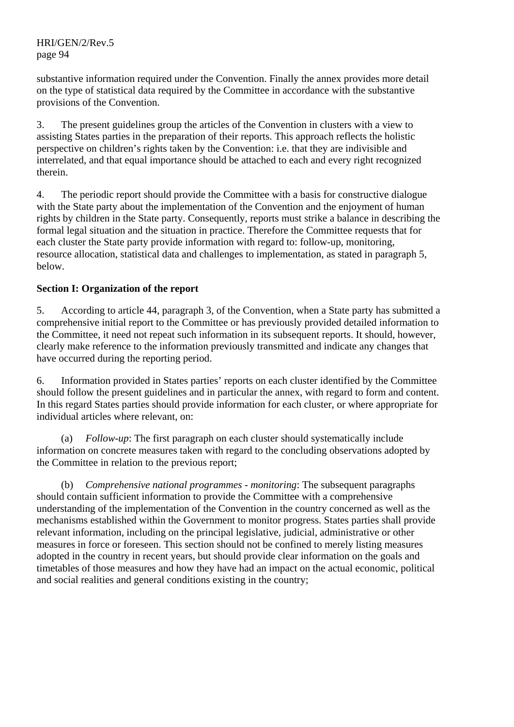substantive information required under the Convention. Finally the annex provides more detail on the type of statistical data required by the Committee in accordance with the substantive provisions of the Convention.

3. The present guidelines group the articles of the Convention in clusters with a view to assisting States parties in the preparation of their reports. This approach reflects the holistic perspective on children's rights taken by the Convention: i.e. that they are indivisible and interrelated, and that equal importance should be attached to each and every right recognized therein.

4. The periodic report should provide the Committee with a basis for constructive dialogue with the State party about the implementation of the Convention and the enjoyment of human rights by children in the State party. Consequently, reports must strike a balance in describing the formal legal situation and the situation in practice. Therefore the Committee requests that for each cluster the State party provide information with regard to: follow-up, monitoring, resource allocation, statistical data and challenges to implementation, as stated in paragraph 5, below.

## **Section I: Organization of the report**

5. According to article 44, paragraph 3, of the Convention, when a State party has submitted a comprehensive initial report to the Committee or has previously provided detailed information to the Committee, it need not repeat such information in its subsequent reports. It should, however, clearly make reference to the information previously transmitted and indicate any changes that have occurred during the reporting period.

6. Information provided in States parties' reports on each cluster identified by the Committee should follow the present guidelines and in particular the annex, with regard to form and content. In this regard States parties should provide information for each cluster, or where appropriate for individual articles where relevant, on:

 (a) *Follow-up*: The first paragraph on each cluster should systematically include information on concrete measures taken with regard to the concluding observations adopted by the Committee in relation to the previous report;

 (b) *Comprehensive national programmes - monitoring*: The subsequent paragraphs should contain sufficient information to provide the Committee with a comprehensive understanding of the implementation of the Convention in the country concerned as well as the mechanisms established within the Government to monitor progress. States parties shall provide relevant information, including on the principal legislative, judicial, administrative or other measures in force or foreseen. This section should not be confined to merely listing measures adopted in the country in recent years, but should provide clear information on the goals and timetables of those measures and how they have had an impact on the actual economic, political and social realities and general conditions existing in the country;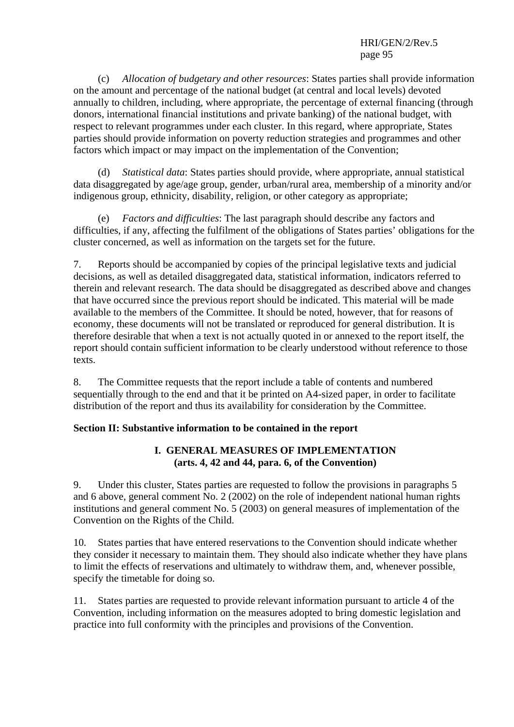(c) *Allocation of budgetary and other resources*: States parties shall provide information on the amount and percentage of the national budget (at central and local levels) devoted annually to children, including, where appropriate, the percentage of external financing (through donors, international financial institutions and private banking) of the national budget, with respect to relevant programmes under each cluster. In this regard, where appropriate, States parties should provide information on poverty reduction strategies and programmes and other factors which impact or may impact on the implementation of the Convention;

 (d) *Statistical data*: States parties should provide, where appropriate, annual statistical data disaggregated by age/age group, gender, urban/rural area, membership of a minority and/or indigenous group, ethnicity, disability, religion, or other category as appropriate;

 (e) *Factors and difficulties*: The last paragraph should describe any factors and difficulties, if any, affecting the fulfilment of the obligations of States parties' obligations for the cluster concerned, as well as information on the targets set for the future.

7. Reports should be accompanied by copies of the principal legislative texts and judicial decisions, as well as detailed disaggregated data, statistical information, indicators referred to therein and relevant research. The data should be disaggregated as described above and changes that have occurred since the previous report should be indicated. This material will be made available to the members of the Committee. It should be noted, however, that for reasons of economy, these documents will not be translated or reproduced for general distribution. It is therefore desirable that when a text is not actually quoted in or annexed to the report itself, the report should contain sufficient information to be clearly understood without reference to those texts.

8. The Committee requests that the report include a table of contents and numbered sequentially through to the end and that it be printed on A4-sized paper, in order to facilitate distribution of the report and thus its availability for consideration by the Committee.

## **Section II: Substantive information to be contained in the report**

### **I. GENERAL MEASURES OF IMPLEMENTATION (arts. 4, 42 and 44, para. 6, of the Convention)**

9. Under this cluster, States parties are requested to follow the provisions in paragraphs 5 and 6 above, general comment No. 2 (2002) on the role of independent national human rights institutions and general comment No. 5 (2003) on general measures of implementation of the Convention on the Rights of the Child.

10. States parties that have entered reservations to the Convention should indicate whether they consider it necessary to maintain them. They should also indicate whether they have plans to limit the effects of reservations and ultimately to withdraw them, and, whenever possible, specify the timetable for doing so.

11. States parties are requested to provide relevant information pursuant to article 4 of the Convention, including information on the measures adopted to bring domestic legislation and practice into full conformity with the principles and provisions of the Convention.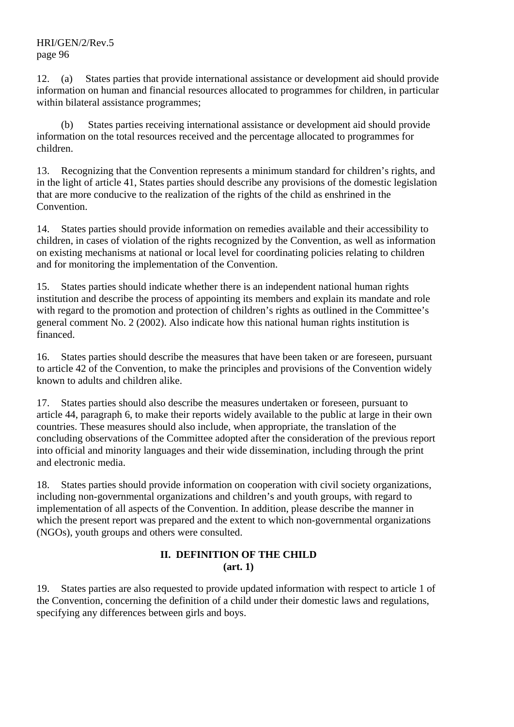12. (a) States parties that provide international assistance or development aid should provide information on human and financial resources allocated to programmes for children, in particular within bilateral assistance programmes;

 (b) States parties receiving international assistance or development aid should provide information on the total resources received and the percentage allocated to programmes for children.

13. Recognizing that the Convention represents a minimum standard for children's rights, and in the light of article 41, States parties should describe any provisions of the domestic legislation that are more conducive to the realization of the rights of the child as enshrined in the **Convention** 

14. States parties should provide information on remedies available and their accessibility to children, in cases of violation of the rights recognized by the Convention, as well as information on existing mechanisms at national or local level for coordinating policies relating to children and for monitoring the implementation of the Convention.

15. States parties should indicate whether there is an independent national human rights institution and describe the process of appointing its members and explain its mandate and role with regard to the promotion and protection of children's rights as outlined in the Committee's general comment No. 2 (2002). Also indicate how this national human rights institution is financed.

16. States parties should describe the measures that have been taken or are foreseen, pursuant to article 42 of the Convention, to make the principles and provisions of the Convention widely known to adults and children alike.

17. States parties should also describe the measures undertaken or foreseen, pursuant to article 44, paragraph 6, to make their reports widely available to the public at large in their own countries. These measures should also include, when appropriate, the translation of the concluding observations of the Committee adopted after the consideration of the previous report into official and minority languages and their wide dissemination, including through the print and electronic media.

18. States parties should provide information on cooperation with civil society organizations, including non-governmental organizations and children's and youth groups, with regard to implementation of all aspects of the Convention. In addition, please describe the manner in which the present report was prepared and the extent to which non-governmental organizations (NGOs), youth groups and others were consulted.

## **II. DEFINITION OF THE CHILD (art. 1)**

19. States parties are also requested to provide updated information with respect to article 1 of the Convention, concerning the definition of a child under their domestic laws and regulations, specifying any differences between girls and boys.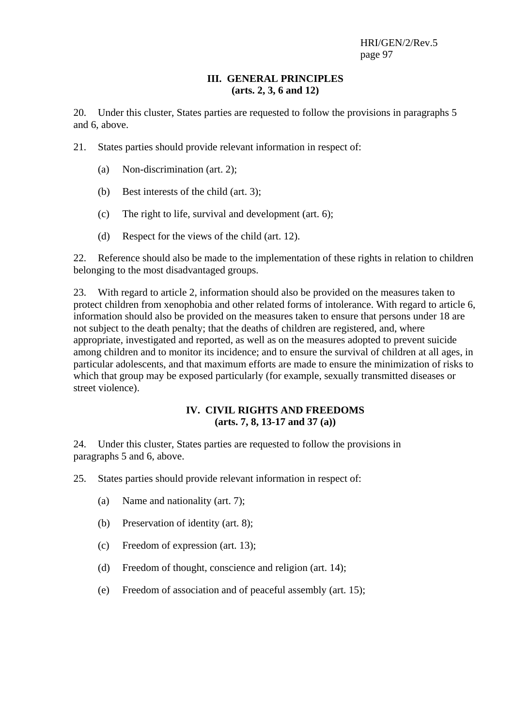### **III. GENERAL PRINCIPLES (arts. 2, 3, 6 and 12)**

20. Under this cluster, States parties are requested to follow the provisions in paragraphs 5 and 6, above.

21. States parties should provide relevant information in respect of:

- (a) Non-discrimination (art. 2);
- (b) Best interests of the child (art. 3);
- (c) The right to life, survival and development (art. 6);
- (d) Respect for the views of the child (art. 12).

22. Reference should also be made to the implementation of these rights in relation to children belonging to the most disadvantaged groups.

23. With regard to article 2, information should also be provided on the measures taken to protect children from xenophobia and other related forms of intolerance. With regard to article 6, information should also be provided on the measures taken to ensure that persons under 18 are not subject to the death penalty; that the deaths of children are registered, and, where appropriate, investigated and reported, as well as on the measures adopted to prevent suicide among children and to monitor its incidence; and to ensure the survival of children at all ages, in particular adolescents, and that maximum efforts are made to ensure the minimization of risks to which that group may be exposed particularly (for example, sexually transmitted diseases or street violence).

### **IV. CIVIL RIGHTS AND FREEDOMS (arts. 7, 8, 13-17 and 37 (a))**

24. Under this cluster, States parties are requested to follow the provisions in paragraphs 5 and 6, above.

25. States parties should provide relevant information in respect of:

- (a) Name and nationality (art. 7);
- (b) Preservation of identity (art. 8);
- (c) Freedom of expression (art. 13);
- (d) Freedom of thought, conscience and religion (art. 14);
- (e) Freedom of association and of peaceful assembly (art. 15);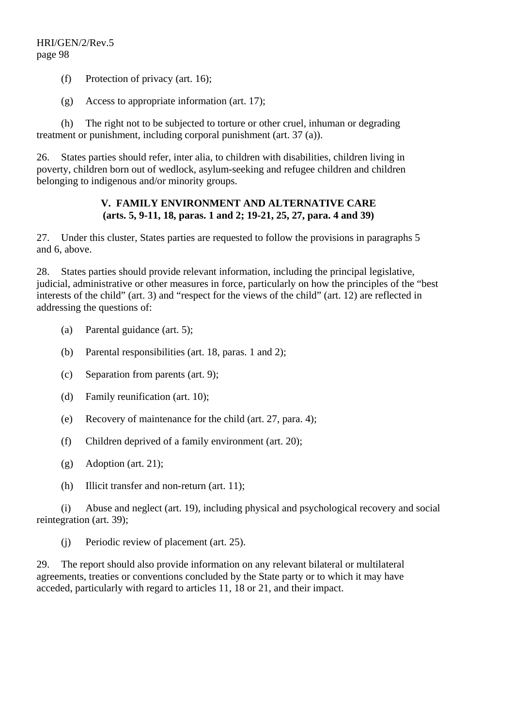- (f) Protection of privacy (art. 16);
- (g) Access to appropriate information (art. 17);

 (h) The right not to be subjected to torture or other cruel, inhuman or degrading treatment or punishment, including corporal punishment (art. 37 (a)).

26. States parties should refer, inter alia, to children with disabilities, children living in poverty, children born out of wedlock, asylum-seeking and refugee children and children belonging to indigenous and/or minority groups.

### **V. FAMILY ENVIRONMENT AND ALTERNATIVE CARE (arts. 5, 9-11, 18, paras. 1 and 2; 19-21, 25, 27, para. 4 and 39)**

27. Under this cluster, States parties are requested to follow the provisions in paragraphs 5 and 6, above.

28. States parties should provide relevant information, including the principal legislative, judicial, administrative or other measures in force, particularly on how the principles of the "best interests of the child" (art. 3) and "respect for the views of the child" (art. 12) are reflected in addressing the questions of:

- (a) Parental guidance (art. 5);
- (b) Parental responsibilities (art. 18, paras. 1 and 2);
- (c) Separation from parents (art. 9);
- (d) Family reunification (art. 10);
- (e) Recovery of maintenance for the child (art. 27, para. 4);
- (f) Children deprived of a family environment (art. 20);
- (g) Adoption (art. 21);
- (h) Illicit transfer and non-return (art. 11);

 (i) Abuse and neglect (art. 19), including physical and psychological recovery and social reintegration (art. 39);

(j) Periodic review of placement (art. 25).

29. The report should also provide information on any relevant bilateral or multilateral agreements, treaties or conventions concluded by the State party or to which it may have acceded, particularly with regard to articles 11, 18 or 21, and their impact.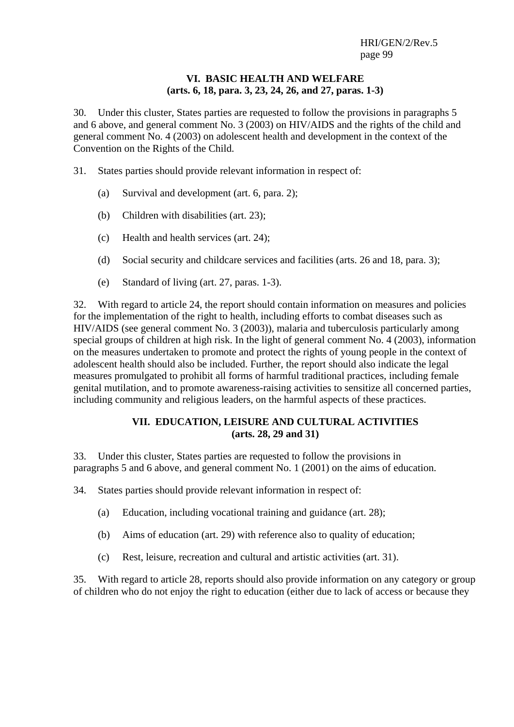## **VI. BASIC HEALTH AND WELFARE (arts. 6, 18, para. 3, 23, 24, 26, and 27, paras. 1-3)**

30. Under this cluster, States parties are requested to follow the provisions in paragraphs 5 and 6 above, and general comment No. 3 (2003) on HIV/AIDS and the rights of the child and general comment No. 4 (2003) on adolescent health and development in the context of the Convention on the Rights of the Child.

- 31. States parties should provide relevant information in respect of:
	- (a) Survival and development (art. 6, para. 2);
	- (b) Children with disabilities (art. 23);
	- (c) Health and health services (art. 24);
	- (d) Social security and childcare services and facilities (arts. 26 and 18, para. 3);
	- (e) Standard of living (art. 27, paras. 1-3).

32. With regard to article 24, the report should contain information on measures and policies for the implementation of the right to health, including efforts to combat diseases such as HIV/AIDS (see general comment No. 3 (2003)), malaria and tuberculosis particularly among special groups of children at high risk. In the light of general comment No. 4 (2003), information on the measures undertaken to promote and protect the rights of young people in the context of adolescent health should also be included. Further, the report should also indicate the legal measures promulgated to prohibit all forms of harmful traditional practices, including female genital mutilation, and to promote awareness-raising activities to sensitize all concerned parties, including community and religious leaders, on the harmful aspects of these practices.

## **VII. EDUCATION, LEISURE AND CULTURAL ACTIVITIES (arts. 28, 29 and 31)**

33. Under this cluster, States parties are requested to follow the provisions in paragraphs 5 and 6 above, and general comment No. 1 (2001) on the aims of education.

34. States parties should provide relevant information in respect of:

- (a) Education, including vocational training and guidance (art. 28);
- (b) Aims of education (art. 29) with reference also to quality of education;
- (c) Rest, leisure, recreation and cultural and artistic activities (art. 31).

35. With regard to article 28, reports should also provide information on any category or group of children who do not enjoy the right to education (either due to lack of access or because they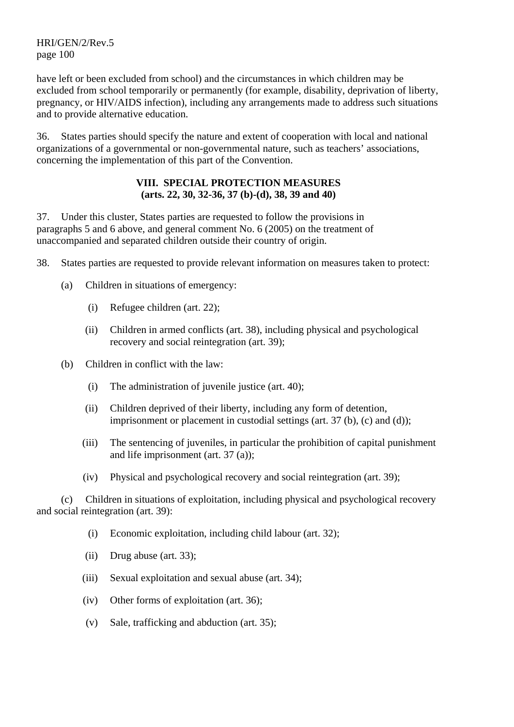have left or been excluded from school) and the circumstances in which children may be excluded from school temporarily or permanently (for example, disability, deprivation of liberty, pregnancy, or HIV/AIDS infection), including any arrangements made to address such situations and to provide alternative education.

36. States parties should specify the nature and extent of cooperation with local and national organizations of a governmental or non-governmental nature, such as teachers' associations, concerning the implementation of this part of the Convention.

### **VIII. SPECIAL PROTECTION MEASURES (arts. 22, 30, 32-36, 37 (b)-(d), 38, 39 and 40)**

37. Under this cluster, States parties are requested to follow the provisions in paragraphs 5 and 6 above, and general comment No. 6 (2005) on the treatment of unaccompanied and separated children outside their country of origin.

38. States parties are requested to provide relevant information on measures taken to protect:

- (a) Children in situations of emergency:
	- (i) Refugee children (art. 22);
	- (ii) Children in armed conflicts (art. 38), including physical and psychological recovery and social reintegration (art. 39);
- (b) Children in conflict with the law:
	- (i) The administration of juvenile justice (art. 40);
	- (ii) Children deprived of their liberty, including any form of detention, imprisonment or placement in custodial settings (art. 37 (b), (c) and (d));
	- (iii) The sentencing of juveniles, in particular the prohibition of capital punishment and life imprisonment (art. 37 (a));
	- (iv) Physical and psychological recovery and social reintegration (art. 39);

 (c) Children in situations of exploitation, including physical and psychological recovery and social reintegration (art. 39):

- (i) Economic exploitation, including child labour (art. 32);
- (ii) Drug abuse (art. 33);
- (iii) Sexual exploitation and sexual abuse (art. 34);
- (iv) Other forms of exploitation (art. 36);
- (v) Sale, trafficking and abduction (art. 35);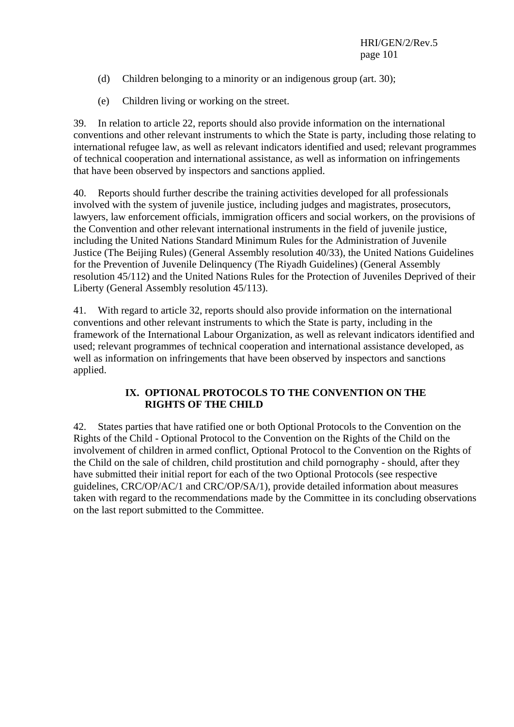- (d) Children belonging to a minority or an indigenous group (art. 30);
- (e) Children living or working on the street.

39. In relation to article 22, reports should also provide information on the international conventions and other relevant instruments to which the State is party, including those relating to international refugee law, as well as relevant indicators identified and used; relevant programmes of technical cooperation and international assistance, as well as information on infringements that have been observed by inspectors and sanctions applied.

40. Reports should further describe the training activities developed for all professionals involved with the system of juvenile justice, including judges and magistrates, prosecutors, lawyers, law enforcement officials, immigration officers and social workers, on the provisions of the Convention and other relevant international instruments in the field of juvenile justice, including the United Nations Standard Minimum Rules for the Administration of Juvenile Justice (The Beijing Rules) (General Assembly resolution 40/33), the United Nations Guidelines for the Prevention of Juvenile Delinquency (The Riyadh Guidelines) (General Assembly resolution 45/112) and the United Nations Rules for the Protection of Juveniles Deprived of their Liberty (General Assembly resolution 45/113).

41. With regard to article 32, reports should also provide information on the international conventions and other relevant instruments to which the State is party, including in the framework of the International Labour Organization, as well as relevant indicators identified and used; relevant programmes of technical cooperation and international assistance developed, as well as information on infringements that have been observed by inspectors and sanctions applied.

## **IX. OPTIONAL PROTOCOLS TO THE CONVENTION ON THE RIGHTS OF THE CHILD**

42. States parties that have ratified one or both Optional Protocols to the Convention on the Rights of the Child - Optional Protocol to the Convention on the Rights of the Child on the involvement of children in armed conflict, Optional Protocol to the Convention on the Rights of the Child on the sale of children, child prostitution and child pornography - should, after they have submitted their initial report for each of the two Optional Protocols (see respective guidelines, CRC/OP/AC/1 and CRC/OP/SA/1), provide detailed information about measures taken with regard to the recommendations made by the Committee in its concluding observations on the last report submitted to the Committee.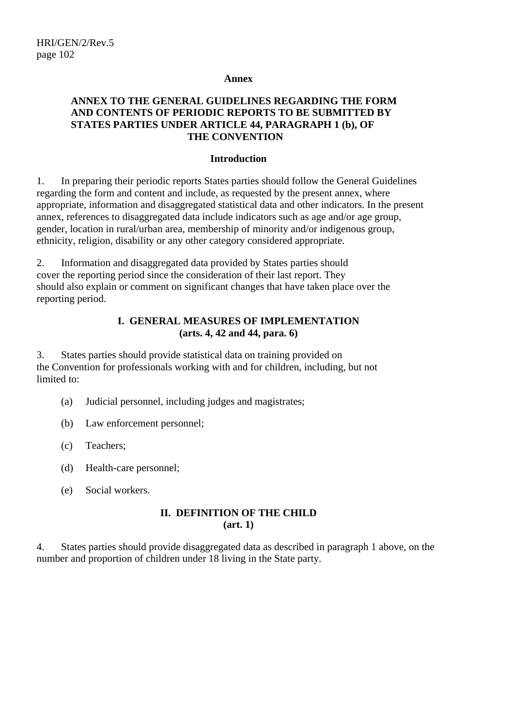#### **Annex**

### **ANNEX TO THE GENERAL GUIDELINES REGARDING THE FORM AND CONTENTS OF PERIODIC REPORTS TO BE SUBMITTED BY STATES PARTIES UNDER ARTICLE 44, PARAGRAPH 1 (b), OF THE CONVENTION**

#### **Introduction**

1. In preparing their periodic reports States parties should follow the General Guidelines regarding the form and content and include, as requested by the present annex, where appropriate, information and disaggregated statistical data and other indicators. In the present annex, references to disaggregated data include indicators such as age and/or age group, gender, location in rural/urban area, membership of minority and/or indigenous group, ethnicity, religion, disability or any other category considered appropriate.

2. Information and disaggregated data provided by States parties should cover the reporting period since the consideration of their last report. They should also explain or comment on significant changes that have taken place over the reporting period.

### **I. GENERAL MEASURES OF IMPLEMENTATION (arts. 4, 42 and 44, para. 6)**

3. States parties should provide statistical data on training provided on the Convention for professionals working with and for children, including, but not limited to:

- (a) Judicial personnel, including judges and magistrates;
- (b) Law enforcement personnel;
- (c) Teachers;
- (d) Health-care personnel;
- (e) Social workers.

## **II. DEFINITION OF THE CHILD (art. 1)**

4. States parties should provide disaggregated data as described in paragraph 1 above, on the number and proportion of children under 18 living in the State party.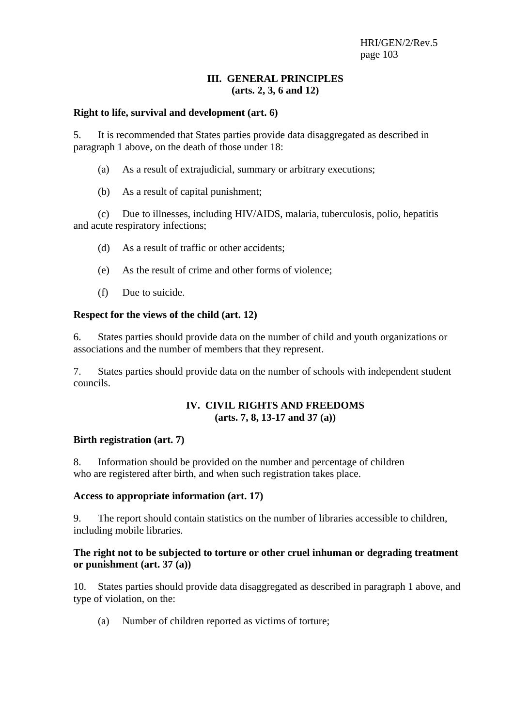### **III. GENERAL PRINCIPLES (arts. 2, 3, 6 and 12)**

#### **Right to life, survival and development (art. 6)**

5. It is recommended that States parties provide data disaggregated as described in paragraph 1 above, on the death of those under 18:

- (a) As a result of extrajudicial, summary or arbitrary executions;
- (b) As a result of capital punishment;

 (c) Due to illnesses, including HIV/AIDS, malaria, tuberculosis, polio, hepatitis and acute respiratory infections;

- (d) As a result of traffic or other accidents;
- (e) As the result of crime and other forms of violence;
- (f) Due to suicide.

### **Respect for the views of the child (art. 12)**

6. States parties should provide data on the number of child and youth organizations or associations and the number of members that they represent.

7. States parties should provide data on the number of schools with independent student councils.

#### **IV. CIVIL RIGHTS AND FREEDOMS (arts. 7, 8, 13-17 and 37 (a))**

#### **Birth registration (art. 7)**

8. Information should be provided on the number and percentage of children who are registered after birth, and when such registration takes place.

#### **Access to appropriate information (art. 17)**

9. The report should contain statistics on the number of libraries accessible to children, including mobile libraries.

### **The right not to be subjected to torture or other cruel inhuman or degrading treatment or punishment (art. 37 (a))**

10. States parties should provide data disaggregated as described in paragraph 1 above, and type of violation, on the:

(a) Number of children reported as victims of torture;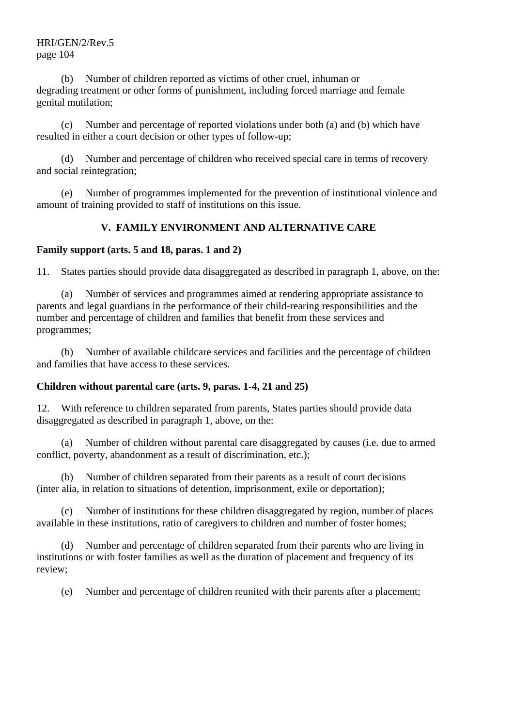(b) Number of children reported as victims of other cruel, inhuman or degrading treatment or other forms of punishment, including forced marriage and female genital mutilation;

 (c) Number and percentage of reported violations under both (a) and (b) which have resulted in either a court decision or other types of follow-up;

 (d) Number and percentage of children who received special care in terms of recovery and social reintegration;

 (e) Number of programmes implemented for the prevention of institutional violence and amount of training provided to staff of institutions on this issue.

## **V. FAMILY ENVIRONMENT AND ALTERNATIVE CARE**

## **Family support (arts. 5 and 18, paras. 1 and 2)**

11. States parties should provide data disaggregated as described in paragraph 1, above, on the:

 (a) Number of services and programmes aimed at rendering appropriate assistance to parents and legal guardians in the performance of their child-rearing responsibilities and the number and percentage of children and families that benefit from these services and programmes;

 (b) Number of available childcare services and facilities and the percentage of children and families that have access to these services.

## **Children without parental care (arts. 9, paras. 1-4, 21 and 25)**

12. With reference to children separated from parents, States parties should provide data disaggregated as described in paragraph 1, above, on the:

Number of children without parental care disaggregated by causes (i.e. due to armed conflict, poverty, abandonment as a result of discrimination, etc.);

 (b) Number of children separated from their parents as a result of court decisions (inter alia, in relation to situations of detention, imprisonment, exile or deportation);

 (c) Number of institutions for these children disaggregated by region, number of places available in these institutions, ratio of caregivers to children and number of foster homes;

 (d) Number and percentage of children separated from their parents who are living in institutions or with foster families as well as the duration of placement and frequency of its review;

(e) Number and percentage of children reunited with their parents after a placement;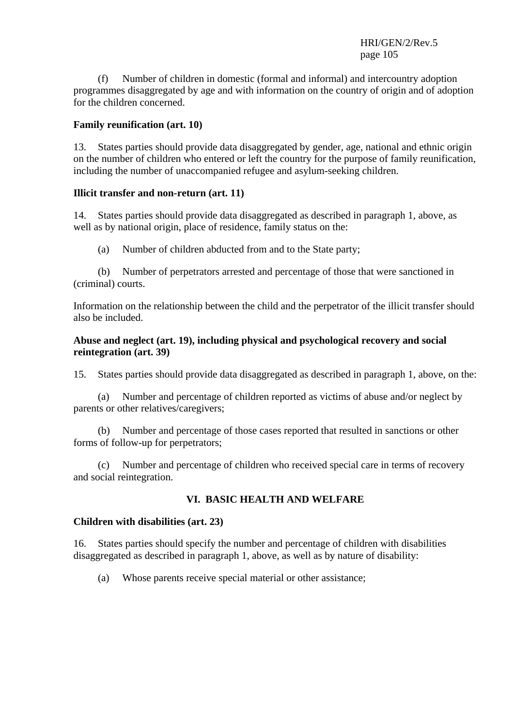(f) Number of children in domestic (formal and informal) and intercountry adoption programmes disaggregated by age and with information on the country of origin and of adoption for the children concerned.

#### **Family reunification (art. 10)**

13. States parties should provide data disaggregated by gender, age, national and ethnic origin on the number of children who entered or left the country for the purpose of family reunification, including the number of unaccompanied refugee and asylum-seeking children.

### **Illicit transfer and non-return (art. 11)**

14. States parties should provide data disaggregated as described in paragraph 1, above, as well as by national origin, place of residence, family status on the:

(a) Number of children abducted from and to the State party;

 (b) Number of perpetrators arrested and percentage of those that were sanctioned in (criminal) courts.

Information on the relationship between the child and the perpetrator of the illicit transfer should also be included.

### **Abuse and neglect (art. 19), including physical and psychological recovery and social reintegration (art. 39)**

15. States parties should provide data disaggregated as described in paragraph 1, above, on the:

 (a) Number and percentage of children reported as victims of abuse and/or neglect by parents or other relatives/caregivers;

 (b) Number and percentage of those cases reported that resulted in sanctions or other forms of follow-up for perpetrators;

 (c) Number and percentage of children who received special care in terms of recovery and social reintegration.

## **VI. BASIC HEALTH AND WELFARE**

#### **Children with disabilities (art. 23)**

16. States parties should specify the number and percentage of children with disabilities disaggregated as described in paragraph 1, above, as well as by nature of disability:

(a) Whose parents receive special material or other assistance;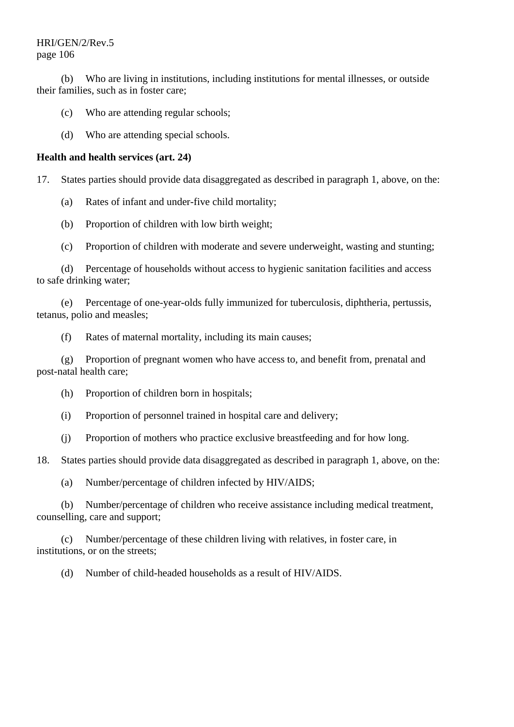(b) Who are living in institutions, including institutions for mental illnesses, or outside their families, such as in foster care;

(c) Who are attending regular schools;

(d) Who are attending special schools.

### **Health and health services (art. 24)**

17. States parties should provide data disaggregated as described in paragraph 1, above, on the:

(a) Rates of infant and under-five child mortality;

(b) Proportion of children with low birth weight;

(c) Proportion of children with moderate and severe underweight, wasting and stunting;

 (d) Percentage of households without access to hygienic sanitation facilities and access to safe drinking water;

 (e) Percentage of one-year-olds fully immunized for tuberculosis, diphtheria, pertussis, tetanus, polio and measles;

(f) Rates of maternal mortality, including its main causes;

 (g) Proportion of pregnant women who have access to, and benefit from, prenatal and post-natal health care;

(h) Proportion of children born in hospitals;

(i) Proportion of personnel trained in hospital care and delivery;

(j) Proportion of mothers who practice exclusive breastfeeding and for how long.

18. States parties should provide data disaggregated as described in paragraph 1, above, on the:

(a) Number/percentage of children infected by HIV/AIDS;

 (b) Number/percentage of children who receive assistance including medical treatment, counselling, care and support;

 (c) Number/percentage of these children living with relatives, in foster care, in institutions, or on the streets;

(d) Number of child-headed households as a result of HIV/AIDS.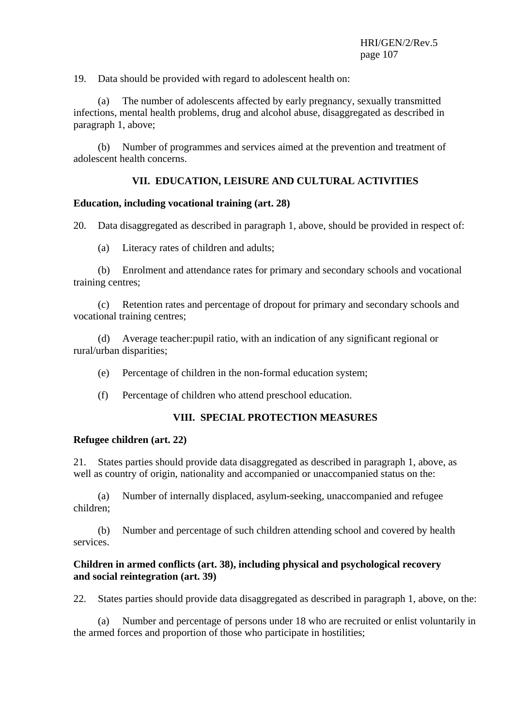19. Data should be provided with regard to adolescent health on:

 (a) The number of adolescents affected by early pregnancy, sexually transmitted infections, mental health problems, drug and alcohol abuse, disaggregated as described in paragraph 1, above;

 (b) Number of programmes and services aimed at the prevention and treatment of adolescent health concerns.

## **VII. EDUCATION, LEISURE AND CULTURAL ACTIVITIES**

#### **Education, including vocational training (art. 28)**

20. Data disaggregated as described in paragraph 1, above, should be provided in respect of:

(a) Literacy rates of children and adults;

 (b) Enrolment and attendance rates for primary and secondary schools and vocational training centres;

 (c) Retention rates and percentage of dropout for primary and secondary schools and vocational training centres;

 (d) Average teacher:pupil ratio, with an indication of any significant regional or rural/urban disparities;

- (e) Percentage of children in the non-formal education system;
- (f) Percentage of children who attend preschool education.

## **VIII. SPECIAL PROTECTION MEASURES**

#### **Refugee children (art. 22)**

21. States parties should provide data disaggregated as described in paragraph 1, above, as well as country of origin, nationality and accompanied or unaccompanied status on the:

 (a) Number of internally displaced, asylum-seeking, unaccompanied and refugee children;

 (b) Number and percentage of such children attending school and covered by health services.

### **Children in armed conflicts (art. 38), including physical and psychological recovery and social reintegration (art. 39)**

22. States parties should provide data disaggregated as described in paragraph 1, above, on the:

 (a) Number and percentage of persons under 18 who are recruited or enlist voluntarily in the armed forces and proportion of those who participate in hostilities;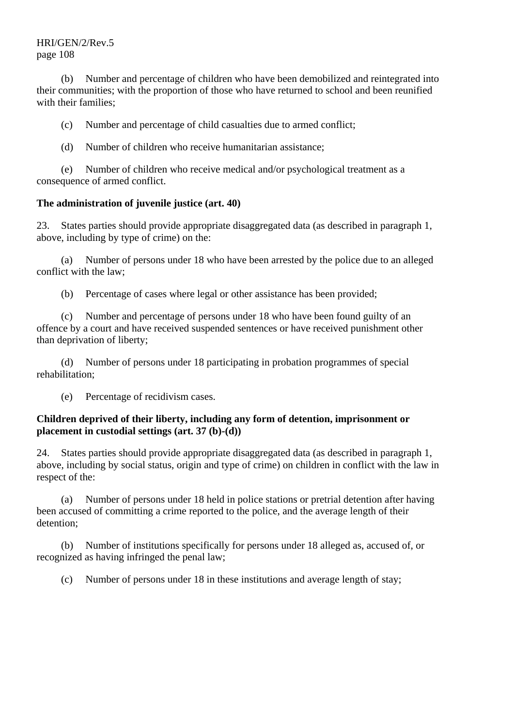(b) Number and percentage of children who have been demobilized and reintegrated into their communities; with the proportion of those who have returned to school and been reunified with their families:

(c) Number and percentage of child casualties due to armed conflict;

(d) Number of children who receive humanitarian assistance;

 (e) Number of children who receive medical and/or psychological treatment as a consequence of armed conflict.

## **The administration of juvenile justice (art. 40)**

23. States parties should provide appropriate disaggregated data (as described in paragraph 1, above, including by type of crime) on the:

 (a) Number of persons under 18 who have been arrested by the police due to an alleged conflict with the law;

(b) Percentage of cases where legal or other assistance has been provided;

 (c) Number and percentage of persons under 18 who have been found guilty of an offence by a court and have received suspended sentences or have received punishment other than deprivation of liberty;

 (d) Number of persons under 18 participating in probation programmes of special rehabilitation;

(e) Percentage of recidivism cases.

### **Children deprived of their liberty, including any form of detention, imprisonment or placement in custodial settings (art. 37 (b)-(d))**

24. States parties should provide appropriate disaggregated data (as described in paragraph 1, above, including by social status, origin and type of crime) on children in conflict with the law in respect of the:

 (a) Number of persons under 18 held in police stations or pretrial detention after having been accused of committing a crime reported to the police, and the average length of their detention;

 (b) Number of institutions specifically for persons under 18 alleged as, accused of, or recognized as having infringed the penal law;

(c) Number of persons under 18 in these institutions and average length of stay;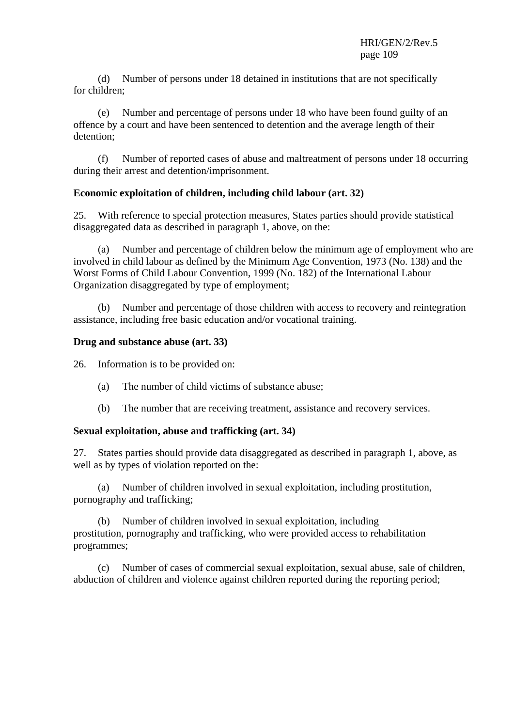(d) Number of persons under 18 detained in institutions that are not specifically for children;

 (e) Number and percentage of persons under 18 who have been found guilty of an offence by a court and have been sentenced to detention and the average length of their detention;

 (f) Number of reported cases of abuse and maltreatment of persons under 18 occurring during their arrest and detention/imprisonment.

# **Economic exploitation of children, including child labour (art. 32)**

25. With reference to special protection measures, States parties should provide statistical disaggregated data as described in paragraph 1, above, on the:

 (a) Number and percentage of children below the minimum age of employment who are involved in child labour as defined by the Minimum Age Convention, 1973 (No. 138) and the Worst Forms of Child Labour Convention, 1999 (No. 182) of the International Labour Organization disaggregated by type of employment;

Number and percentage of those children with access to recovery and reintegration assistance, including free basic education and/or vocational training.

# **Drug and substance abuse (art. 33)**

26. Information is to be provided on:

- (a) The number of child victims of substance abuse;
- (b) The number that are receiving treatment, assistance and recovery services.

# **Sexual exploitation, abuse and trafficking (art. 34)**

27. States parties should provide data disaggregated as described in paragraph 1, above, as well as by types of violation reported on the:

 (a) Number of children involved in sexual exploitation, including prostitution, pornography and trafficking;

 (b) Number of children involved in sexual exploitation, including prostitution, pornography and trafficking, who were provided access to rehabilitation programmes;

 (c) Number of cases of commercial sexual exploitation, sexual abuse, sale of children, abduction of children and violence against children reported during the reporting period;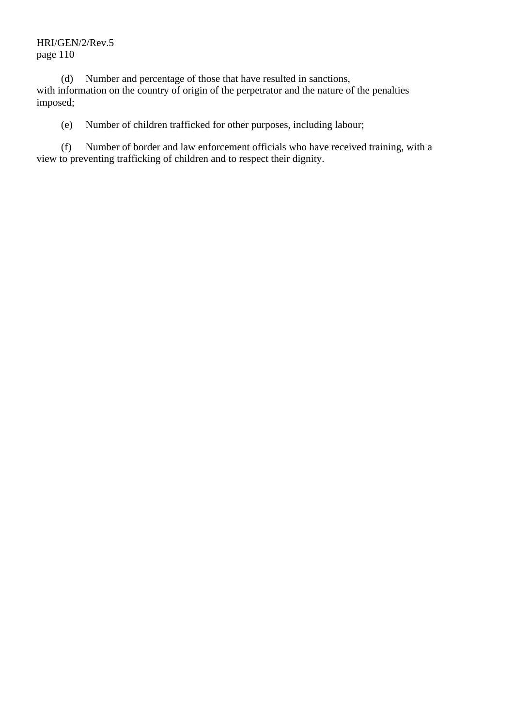(d) Number and percentage of those that have resulted in sanctions, with information on the country of origin of the perpetrator and the nature of the penalties imposed;

(e) Number of children trafficked for other purposes, including labour;

 (f) Number of border and law enforcement officials who have received training, with a view to preventing trafficking of children and to respect their dignity.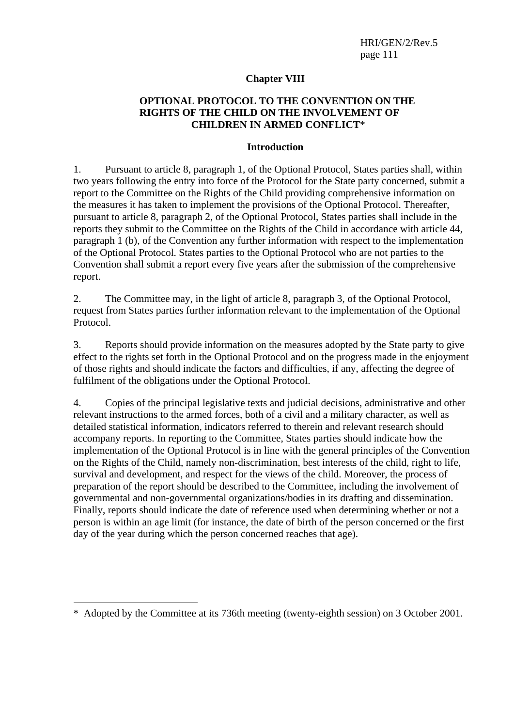# **Chapter VIII**

# **OPTIONAL PROTOCOL TO THE CONVENTION ON THE RIGHTS OF THE CHILD ON THE INVOLVEMENT OF CHILDREN IN ARMED CONFLICT**\*

#### **Introduction**

1. Pursuant to article 8, paragraph 1, of the Optional Protocol, States parties shall, within two years following the entry into force of the Protocol for the State party concerned, submit a report to the Committee on the Rights of the Child providing comprehensive information on the measures it has taken to implement the provisions of the Optional Protocol. Thereafter, pursuant to article 8, paragraph 2, of the Optional Protocol, States parties shall include in the reports they submit to the Committee on the Rights of the Child in accordance with article 44, paragraph 1 (b), of the Convention any further information with respect to the implementation of the Optional Protocol. States parties to the Optional Protocol who are not parties to the Convention shall submit a report every five years after the submission of the comprehensive report.

2. The Committee may, in the light of article 8, paragraph 3, of the Optional Protocol, request from States parties further information relevant to the implementation of the Optional Protocol.

3. Reports should provide information on the measures adopted by the State party to give effect to the rights set forth in the Optional Protocol and on the progress made in the enjoyment of those rights and should indicate the factors and difficulties, if any, affecting the degree of fulfilment of the obligations under the Optional Protocol.

4. Copies of the principal legislative texts and judicial decisions, administrative and other relevant instructions to the armed forces, both of a civil and a military character, as well as detailed statistical information, indicators referred to therein and relevant research should accompany reports. In reporting to the Committee, States parties should indicate how the implementation of the Optional Protocol is in line with the general principles of the Convention on the Rights of the Child, namely non-discrimination, best interests of the child, right to life, survival and development, and respect for the views of the child. Moreover, the process of preparation of the report should be described to the Committee, including the involvement of governmental and non-governmental organizations/bodies in its drafting and dissemination. Finally, reports should indicate the date of reference used when determining whether or not a person is within an age limit (for instance, the date of birth of the person concerned or the first day of the year during which the person concerned reaches that age).

1

<sup>\*</sup> Adopted by the Committee at its 736th meeting (twenty-eighth session) on 3 October 2001.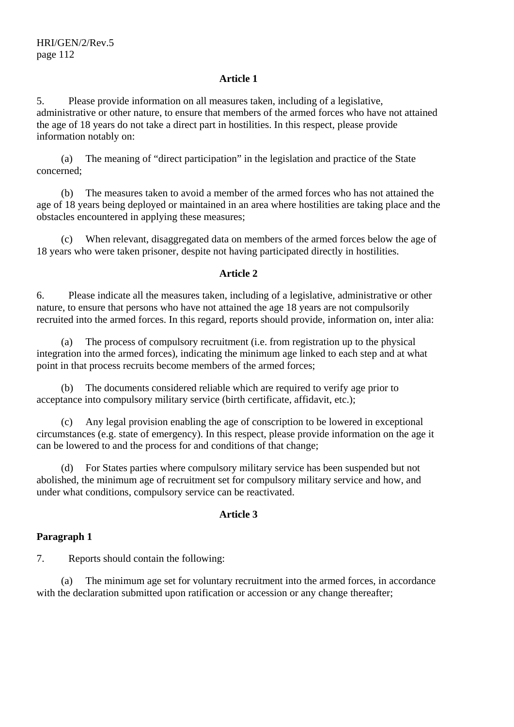### **Article 1**

5. Please provide information on all measures taken, including of a legislative, administrative or other nature, to ensure that members of the armed forces who have not attained the age of 18 years do not take a direct part in hostilities. In this respect, please provide information notably on:

 (a) The meaning of "direct participation" in the legislation and practice of the State concerned;

 (b) The measures taken to avoid a member of the armed forces who has not attained the age of 18 years being deployed or maintained in an area where hostilities are taking place and the obstacles encountered in applying these measures;

 (c) When relevant, disaggregated data on members of the armed forces below the age of 18 years who were taken prisoner, despite not having participated directly in hostilities.

### **Article 2**

6. Please indicate all the measures taken, including of a legislative, administrative or other nature, to ensure that persons who have not attained the age 18 years are not compulsorily recruited into the armed forces. In this regard, reports should provide, information on, inter alia:

 (a) The process of compulsory recruitment (i.e. from registration up to the physical integration into the armed forces), indicating the minimum age linked to each step and at what point in that process recruits become members of the armed forces;

The documents considered reliable which are required to verify age prior to acceptance into compulsory military service (birth certificate, affidavit, etc.);

 (c) Any legal provision enabling the age of conscription to be lowered in exceptional circumstances (e.g. state of emergency). In this respect, please provide information on the age it can be lowered to and the process for and conditions of that change;

 (d) For States parties where compulsory military service has been suspended but not abolished, the minimum age of recruitment set for compulsory military service and how, and under what conditions, compulsory service can be reactivated.

#### **Article 3**

# **Paragraph 1**

7. Reports should contain the following:

 (a) The minimum age set for voluntary recruitment into the armed forces, in accordance with the declaration submitted upon ratification or accession or any change thereafter;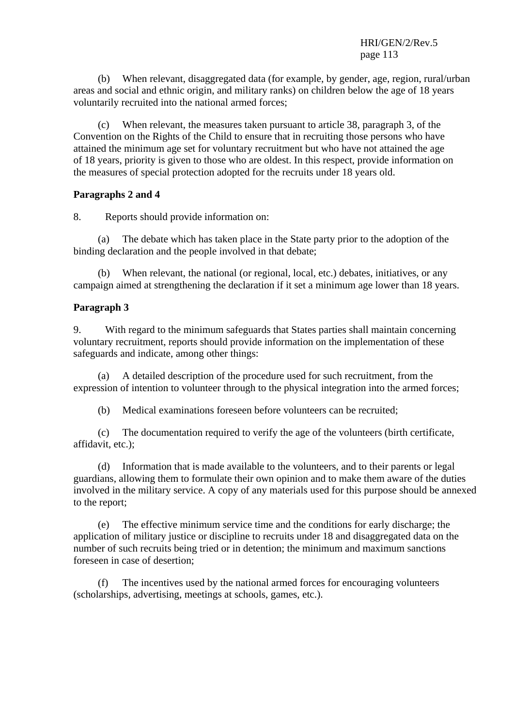(b) When relevant, disaggregated data (for example, by gender, age, region, rural/urban areas and social and ethnic origin, and military ranks) on children below the age of 18 years voluntarily recruited into the national armed forces;

 (c) When relevant, the measures taken pursuant to article 38, paragraph 3, of the Convention on the Rights of the Child to ensure that in recruiting those persons who have attained the minimum age set for voluntary recruitment but who have not attained the age of 18 years, priority is given to those who are oldest. In this respect, provide information on the measures of special protection adopted for the recruits under 18 years old.

#### **Paragraphs 2 and 4**

8. Reports should provide information on:

 (a) The debate which has taken place in the State party prior to the adoption of the binding declaration and the people involved in that debate;

 (b) When relevant, the national (or regional, local, etc.) debates, initiatives, or any campaign aimed at strengthening the declaration if it set a minimum age lower than 18 years.

## **Paragraph 3**

9. With regard to the minimum safeguards that States parties shall maintain concerning voluntary recruitment, reports should provide information on the implementation of these safeguards and indicate, among other things:

 (a) A detailed description of the procedure used for such recruitment, from the expression of intention to volunteer through to the physical integration into the armed forces;

(b) Medical examinations foreseen before volunteers can be recruited;

 (c) The documentation required to verify the age of the volunteers (birth certificate, affidavit, etc.);

 (d) Information that is made available to the volunteers, and to their parents or legal guardians, allowing them to formulate their own opinion and to make them aware of the duties involved in the military service. A copy of any materials used for this purpose should be annexed to the report;

 (e) The effective minimum service time and the conditions for early discharge; the application of military justice or discipline to recruits under 18 and disaggregated data on the number of such recruits being tried or in detention; the minimum and maximum sanctions foreseen in case of desertion;

 (f) The incentives used by the national armed forces for encouraging volunteers (scholarships, advertising, meetings at schools, games, etc.).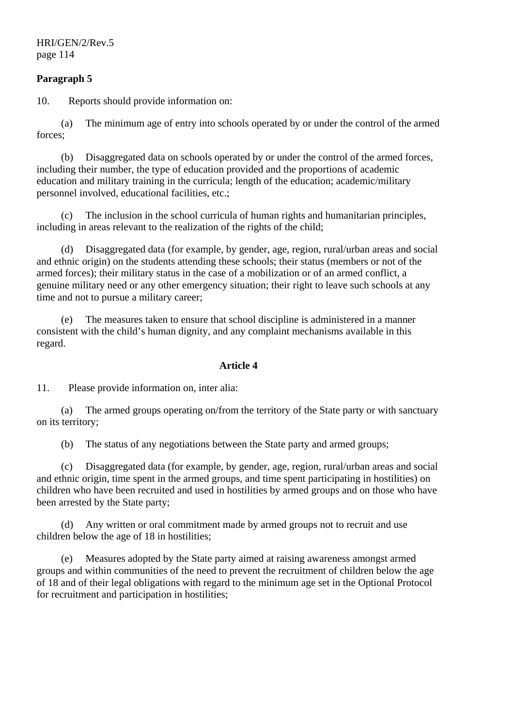## **Paragraph 5**

10. Reports should provide information on:

 (a) The minimum age of entry into schools operated by or under the control of the armed forces;

 (b) Disaggregated data on schools operated by or under the control of the armed forces, including their number, the type of education provided and the proportions of academic education and military training in the curricula; length of the education; academic/military personnel involved, educational facilities, etc.;

 (c) The inclusion in the school curricula of human rights and humanitarian principles, including in areas relevant to the realization of the rights of the child;

 (d) Disaggregated data (for example, by gender, age, region, rural/urban areas and social and ethnic origin) on the students attending these schools; their status (members or not of the armed forces); their military status in the case of a mobilization or of an armed conflict, a genuine military need or any other emergency situation; their right to leave such schools at any time and not to pursue a military career;

 (e) The measures taken to ensure that school discipline is administered in a manner consistent with the child's human dignity, and any complaint mechanisms available in this regard.

#### **Article 4**

11. Please provide information on, inter alia:

 (a) The armed groups operating on/from the territory of the State party or with sanctuary on its territory;

(b) The status of any negotiations between the State party and armed groups;

 (c) Disaggregated data (for example, by gender, age, region, rural/urban areas and social and ethnic origin, time spent in the armed groups, and time spent participating in hostilities) on children who have been recruited and used in hostilities by armed groups and on those who have been arrested by the State party;

 (d) Any written or oral commitment made by armed groups not to recruit and use children below the age of 18 in hostilities;

 (e) Measures adopted by the State party aimed at raising awareness amongst armed groups and within communities of the need to prevent the recruitment of children below the age of 18 and of their legal obligations with regard to the minimum age set in the Optional Protocol for recruitment and participation in hostilities;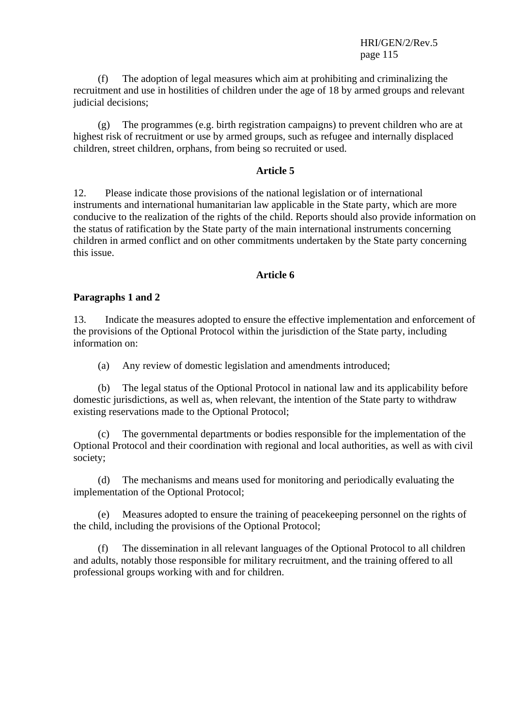(f) The adoption of legal measures which aim at prohibiting and criminalizing the recruitment and use in hostilities of children under the age of 18 by armed groups and relevant judicial decisions:

 (g) The programmes (e.g. birth registration campaigns) to prevent children who are at highest risk of recruitment or use by armed groups, such as refugee and internally displaced children, street children, orphans, from being so recruited or used.

#### **Article 5**

12. Please indicate those provisions of the national legislation or of international instruments and international humanitarian law applicable in the State party, which are more conducive to the realization of the rights of the child. Reports should also provide information on the status of ratification by the State party of the main international instruments concerning children in armed conflict and on other commitments undertaken by the State party concerning this issue.

#### **Article 6**

#### **Paragraphs 1 and 2**

13. Indicate the measures adopted to ensure the effective implementation and enforcement of the provisions of the Optional Protocol within the jurisdiction of the State party, including information on:

(a) Any review of domestic legislation and amendments introduced;

 (b) The legal status of the Optional Protocol in national law and its applicability before domestic jurisdictions, as well as, when relevant, the intention of the State party to withdraw existing reservations made to the Optional Protocol;

 (c) The governmental departments or bodies responsible for the implementation of the Optional Protocol and their coordination with regional and local authorities, as well as with civil society;

 (d) The mechanisms and means used for monitoring and periodically evaluating the implementation of the Optional Protocol;

 (e) Measures adopted to ensure the training of peacekeeping personnel on the rights of the child, including the provisions of the Optional Protocol;

 (f) The dissemination in all relevant languages of the Optional Protocol to all children and adults, notably those responsible for military recruitment, and the training offered to all professional groups working with and for children.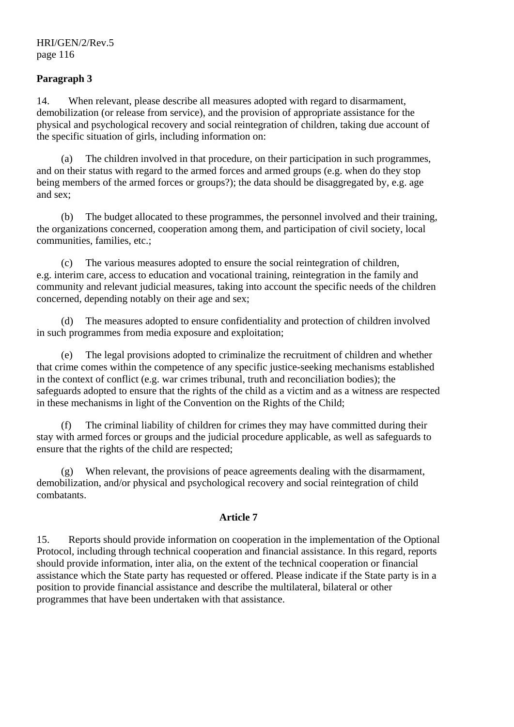# **Paragraph 3**

14. When relevant, please describe all measures adopted with regard to disarmament, demobilization (or release from service), and the provision of appropriate assistance for the physical and psychological recovery and social reintegration of children, taking due account of the specific situation of girls, including information on:

 (a) The children involved in that procedure, on their participation in such programmes, and on their status with regard to the armed forces and armed groups (e.g. when do they stop being members of the armed forces or groups?); the data should be disaggregated by, e.g. age and sex;

 (b) The budget allocated to these programmes, the personnel involved and their training, the organizations concerned, cooperation among them, and participation of civil society, local communities, families, etc.;

 (c) The various measures adopted to ensure the social reintegration of children, e.g. interim care, access to education and vocational training, reintegration in the family and community and relevant judicial measures, taking into account the specific needs of the children concerned, depending notably on their age and sex;

 (d) The measures adopted to ensure confidentiality and protection of children involved in such programmes from media exposure and exploitation;

 (e) The legal provisions adopted to criminalize the recruitment of children and whether that crime comes within the competence of any specific justice-seeking mechanisms established in the context of conflict (e.g. war crimes tribunal, truth and reconciliation bodies); the safeguards adopted to ensure that the rights of the child as a victim and as a witness are respected in these mechanisms in light of the Convention on the Rights of the Child;

 (f) The criminal liability of children for crimes they may have committed during their stay with armed forces or groups and the judicial procedure applicable, as well as safeguards to ensure that the rights of the child are respected;

 (g) When relevant, the provisions of peace agreements dealing with the disarmament, demobilization, and/or physical and psychological recovery and social reintegration of child combatants.

### **Article 7**

15. Reports should provide information on cooperation in the implementation of the Optional Protocol, including through technical cooperation and financial assistance. In this regard, reports should provide information, inter alia, on the extent of the technical cooperation or financial assistance which the State party has requested or offered. Please indicate if the State party is in a position to provide financial assistance and describe the multilateral, bilateral or other programmes that have been undertaken with that assistance.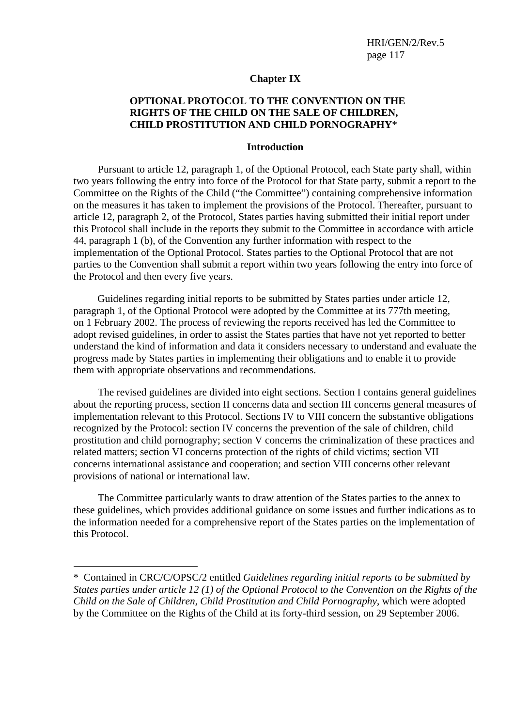#### **Chapter IX**

# **OPTIONAL PROTOCOL TO THE CONVENTION ON THE RIGHTS OF THE CHILD ON THE SALE OF CHILDREN, CHILD PROSTITUTION AND CHILD PORNOGRAPHY**\*

#### **Introduction**

 Pursuant to article 12, paragraph 1, of the Optional Protocol, each State party shall, within two years following the entry into force of the Protocol for that State party, submit a report to the Committee on the Rights of the Child ("the Committee") containing comprehensive information on the measures it has taken to implement the provisions of the Protocol. Thereafter, pursuant to article 12, paragraph 2, of the Protocol, States parties having submitted their initial report under this Protocol shall include in the reports they submit to the Committee in accordance with article 44, paragraph 1 (b), of the Convention any further information with respect to the implementation of the Optional Protocol. States parties to the Optional Protocol that are not parties to the Convention shall submit a report within two years following the entry into force of the Protocol and then every five years.

 Guidelines regarding initial reports to be submitted by States parties under article 12, paragraph 1, of the Optional Protocol were adopted by the Committee at its 777th meeting, on 1 February 2002. The process of reviewing the reports received has led the Committee to adopt revised guidelines, in order to assist the States parties that have not yet reported to better understand the kind of information and data it considers necessary to understand and evaluate the progress made by States parties in implementing their obligations and to enable it to provide them with appropriate observations and recommendations.

 The revised guidelines are divided into eight sections. Section I contains general guidelines about the reporting process, section II concerns data and section III concerns general measures of implementation relevant to this Protocol. Sections IV to VIII concern the substantive obligations recognized by the Protocol: section IV concerns the prevention of the sale of children, child prostitution and child pornography; section V concerns the criminalization of these practices and related matters; section VI concerns protection of the rights of child victims; section VII concerns international assistance and cooperation; and section VIII concerns other relevant provisions of national or international law.

 The Committee particularly wants to draw attention of the States parties to the annex to these guidelines, which provides additional guidance on some issues and further indications as to the information needed for a comprehensive report of the States parties on the implementation of this Protocol.

<u>.</u>

<sup>\*</sup> Contained in CRC/C/OPSC/2 entitled *Guidelines regarding initial reports to be submitted by States parties under article 12 (1) of the Optional Protocol to the Convention on the Rights of the Child on the Sale of Children, Child Prostitution and Child Pornography*, which were adopted by the Committee on the Rights of the Child at its forty-third session, on 29 September 2006.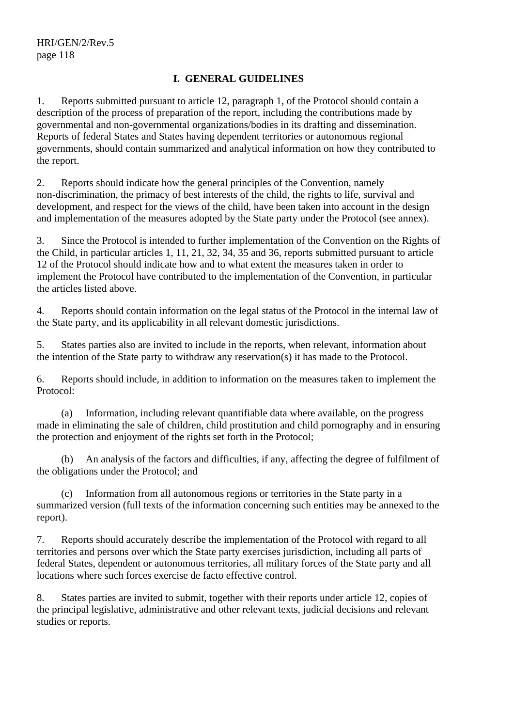# **I. GENERAL GUIDELINES**

1. Reports submitted pursuant to article 12, paragraph 1, of the Protocol should contain a description of the process of preparation of the report, including the contributions made by governmental and non-governmental organizations/bodies in its drafting and dissemination. Reports of federal States and States having dependent territories or autonomous regional governments, should contain summarized and analytical information on how they contributed to the report.

2. Reports should indicate how the general principles of the Convention, namely non-discrimination, the primacy of best interests of the child, the rights to life, survival and development, and respect for the views of the child, have been taken into account in the design and implementation of the measures adopted by the State party under the Protocol (see annex).

3. Since the Protocol is intended to further implementation of the Convention on the Rights of the Child, in particular articles 1, 11, 21, 32, 34, 35 and 36, reports submitted pursuant to article 12 of the Protocol should indicate how and to what extent the measures taken in order to implement the Protocol have contributed to the implementation of the Convention, in particular the articles listed above.

4. Reports should contain information on the legal status of the Protocol in the internal law of the State party, and its applicability in all relevant domestic jurisdictions.

5. States parties also are invited to include in the reports, when relevant, information about the intention of the State party to withdraw any reservation(s) it has made to the Protocol.

6. Reports should include, in addition to information on the measures taken to implement the Protocol:

 (a) Information, including relevant quantifiable data where available, on the progress made in eliminating the sale of children, child prostitution and child pornography and in ensuring the protection and enjoyment of the rights set forth in the Protocol;

 (b) An analysis of the factors and difficulties, if any, affecting the degree of fulfilment of the obligations under the Protocol; and

 (c) Information from all autonomous regions or territories in the State party in a summarized version (full texts of the information concerning such entities may be annexed to the report).

7. Reports should accurately describe the implementation of the Protocol with regard to all territories and persons over which the State party exercises jurisdiction, including all parts of federal States, dependent or autonomous territories, all military forces of the State party and all locations where such forces exercise de facto effective control.

8. States parties are invited to submit, together with their reports under article 12, copies of the principal legislative, administrative and other relevant texts, judicial decisions and relevant studies or reports.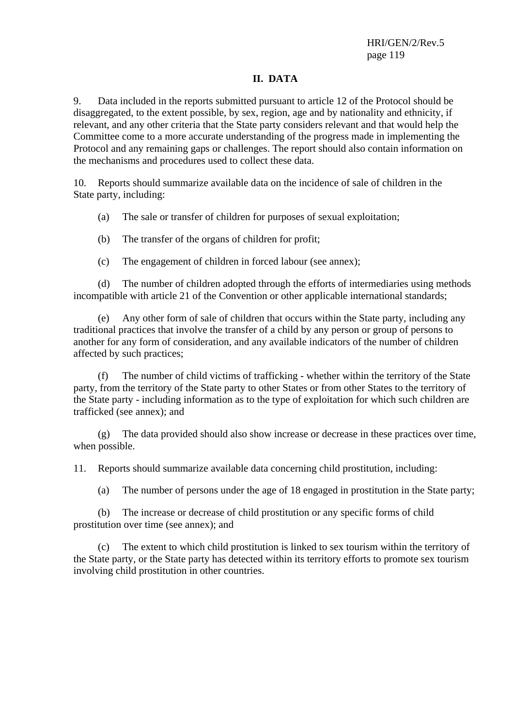### **II. DATA**

9. Data included in the reports submitted pursuant to article 12 of the Protocol should be disaggregated, to the extent possible, by sex, region, age and by nationality and ethnicity, if relevant, and any other criteria that the State party considers relevant and that would help the Committee come to a more accurate understanding of the progress made in implementing the Protocol and any remaining gaps or challenges. The report should also contain information on the mechanisms and procedures used to collect these data.

10. Reports should summarize available data on the incidence of sale of children in the State party, including:

(a) The sale or transfer of children for purposes of sexual exploitation;

(b) The transfer of the organs of children for profit;

(c) The engagement of children in forced labour (see annex);

 (d) The number of children adopted through the efforts of intermediaries using methods incompatible with article 21 of the Convention or other applicable international standards;

 (e) Any other form of sale of children that occurs within the State party, including any traditional practices that involve the transfer of a child by any person or group of persons to another for any form of consideration, and any available indicators of the number of children affected by such practices;

 (f) The number of child victims of trafficking - whether within the territory of the State party, from the territory of the State party to other States or from other States to the territory of the State party - including information as to the type of exploitation for which such children are trafficked (see annex); and

 (g) The data provided should also show increase or decrease in these practices over time, when possible.

11. Reports should summarize available data concerning child prostitution, including:

(a) The number of persons under the age of 18 engaged in prostitution in the State party;

 (b) The increase or decrease of child prostitution or any specific forms of child prostitution over time (see annex); and

 (c) The extent to which child prostitution is linked to sex tourism within the territory of the State party, or the State party has detected within its territory efforts to promote sex tourism involving child prostitution in other countries.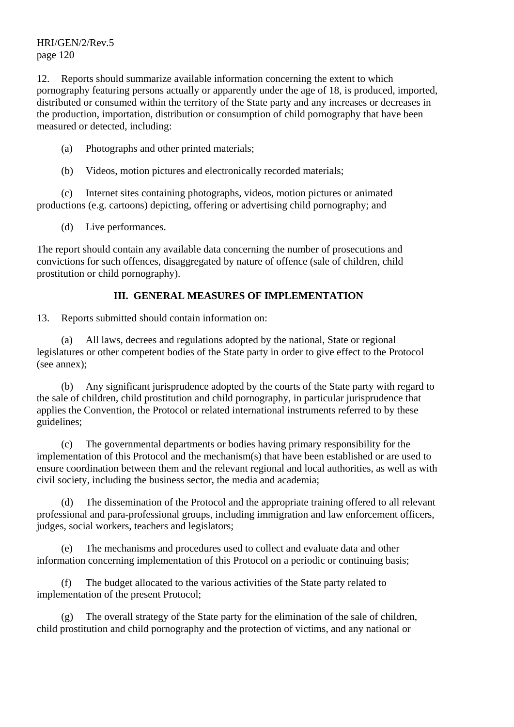12. Reports should summarize available information concerning the extent to which pornography featuring persons actually or apparently under the age of 18, is produced, imported, distributed or consumed within the territory of the State party and any increases or decreases in the production, importation, distribution or consumption of child pornography that have been measured or detected, including:

(a) Photographs and other printed materials;

(b) Videos, motion pictures and electronically recorded materials;

 (c) Internet sites containing photographs, videos, motion pictures or animated productions (e.g. cartoons) depicting, offering or advertising child pornography; and

(d) Live performances.

The report should contain any available data concerning the number of prosecutions and convictions for such offences, disaggregated by nature of offence (sale of children, child prostitution or child pornography).

# **III. GENERAL MEASURES OF IMPLEMENTATION**

13. Reports submitted should contain information on:

 (a) All laws, decrees and regulations adopted by the national, State or regional legislatures or other competent bodies of the State party in order to give effect to the Protocol (see annex);

 (b) Any significant jurisprudence adopted by the courts of the State party with regard to the sale of children, child prostitution and child pornography, in particular jurisprudence that applies the Convention, the Protocol or related international instruments referred to by these guidelines;

 (c) The governmental departments or bodies having primary responsibility for the implementation of this Protocol and the mechanism(s) that have been established or are used to ensure coordination between them and the relevant regional and local authorities, as well as with civil society, including the business sector, the media and academia;

 (d) The dissemination of the Protocol and the appropriate training offered to all relevant professional and para-professional groups, including immigration and law enforcement officers, judges, social workers, teachers and legislators;

 (e) The mechanisms and procedures used to collect and evaluate data and other information concerning implementation of this Protocol on a periodic or continuing basis;

 (f) The budget allocated to the various activities of the State party related to implementation of the present Protocol;

 (g) The overall strategy of the State party for the elimination of the sale of children, child prostitution and child pornography and the protection of victims, and any national or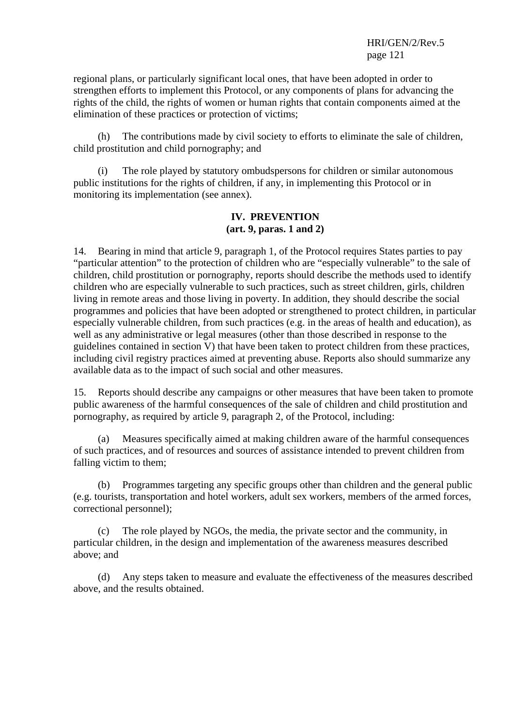regional plans, or particularly significant local ones, that have been adopted in order to strengthen efforts to implement this Protocol, or any components of plans for advancing the rights of the child, the rights of women or human rights that contain components aimed at the elimination of these practices or protection of victims;

 (h) The contributions made by civil society to efforts to eliminate the sale of children, child prostitution and child pornography; and

 (i) The role played by statutory ombudspersons for children or similar autonomous public institutions for the rights of children, if any, in implementing this Protocol or in monitoring its implementation (see annex).

## **IV. PREVENTION (art. 9, paras. 1 and 2)**

14. Bearing in mind that article 9, paragraph 1, of the Protocol requires States parties to pay "particular attention" to the protection of children who are "especially vulnerable" to the sale of children, child prostitution or pornography, reports should describe the methods used to identify children who are especially vulnerable to such practices, such as street children, girls, children living in remote areas and those living in poverty. In addition, they should describe the social programmes and policies that have been adopted or strengthened to protect children, in particular especially vulnerable children, from such practices (e.g. in the areas of health and education), as well as any administrative or legal measures (other than those described in response to the guidelines contained in section V) that have been taken to protect children from these practices, including civil registry practices aimed at preventing abuse. Reports also should summarize any available data as to the impact of such social and other measures.

15. Reports should describe any campaigns or other measures that have been taken to promote public awareness of the harmful consequences of the sale of children and child prostitution and pornography, as required by article 9, paragraph 2, of the Protocol, including:

 (a) Measures specifically aimed at making children aware of the harmful consequences of such practices, and of resources and sources of assistance intended to prevent children from falling victim to them;

 (b) Programmes targeting any specific groups other than children and the general public (e.g. tourists, transportation and hotel workers, adult sex workers, members of the armed forces, correctional personnel);

 (c) The role played by NGOs, the media, the private sector and the community, in particular children, in the design and implementation of the awareness measures described above; and

 (d) Any steps taken to measure and evaluate the effectiveness of the measures described above, and the results obtained.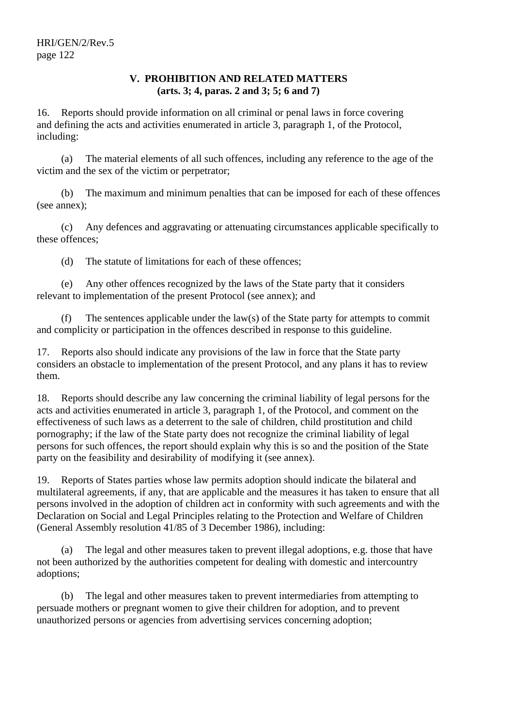## **V. PROHIBITION AND RELATED MATTERS (arts. 3; 4, paras. 2 and 3; 5; 6 and 7)**

16. Reports should provide information on all criminal or penal laws in force covering and defining the acts and activities enumerated in article 3, paragraph 1, of the Protocol, including:

 (a) The material elements of all such offences, including any reference to the age of the victim and the sex of the victim or perpetrator;

 (b) The maximum and minimum penalties that can be imposed for each of these offences (see annex);

 (c) Any defences and aggravating or attenuating circumstances applicable specifically to these offences;

(d) The statute of limitations for each of these offences;

 (e) Any other offences recognized by the laws of the State party that it considers relevant to implementation of the present Protocol (see annex); and

 (f) The sentences applicable under the law(s) of the State party for attempts to commit and complicity or participation in the offences described in response to this guideline.

17. Reports also should indicate any provisions of the law in force that the State party considers an obstacle to implementation of the present Protocol, and any plans it has to review them.

18. Reports should describe any law concerning the criminal liability of legal persons for the acts and activities enumerated in article 3, paragraph 1, of the Protocol, and comment on the effectiveness of such laws as a deterrent to the sale of children, child prostitution and child pornography; if the law of the State party does not recognize the criminal liability of legal persons for such offences, the report should explain why this is so and the position of the State party on the feasibility and desirability of modifying it (see annex).

19. Reports of States parties whose law permits adoption should indicate the bilateral and multilateral agreements, if any, that are applicable and the measures it has taken to ensure that all persons involved in the adoption of children act in conformity with such agreements and with the Declaration on Social and Legal Principles relating to the Protection and Welfare of Children (General Assembly resolution 41/85 of 3 December 1986), including:

 (a) The legal and other measures taken to prevent illegal adoptions, e.g. those that have not been authorized by the authorities competent for dealing with domestic and intercountry adoptions;

 (b) The legal and other measures taken to prevent intermediaries from attempting to persuade mothers or pregnant women to give their children for adoption, and to prevent unauthorized persons or agencies from advertising services concerning adoption;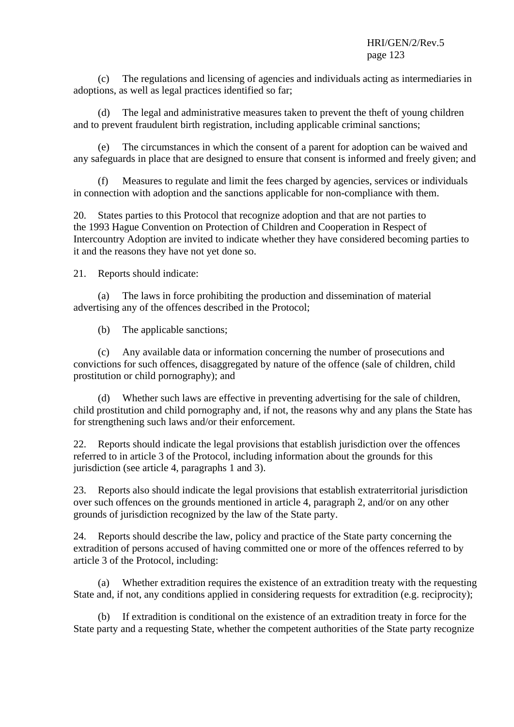(c) The regulations and licensing of agencies and individuals acting as intermediaries in adoptions, as well as legal practices identified so far;

 (d) The legal and administrative measures taken to prevent the theft of young children and to prevent fraudulent birth registration, including applicable criminal sanctions;

 (e) The circumstances in which the consent of a parent for adoption can be waived and any safeguards in place that are designed to ensure that consent is informed and freely given; and

 (f) Measures to regulate and limit the fees charged by agencies, services or individuals in connection with adoption and the sanctions applicable for non-compliance with them.

20. States parties to this Protocol that recognize adoption and that are not parties to the 1993 Hague Convention on Protection of Children and Cooperation in Respect of Intercountry Adoption are invited to indicate whether they have considered becoming parties to it and the reasons they have not yet done so.

21. Reports should indicate:

 (a) The laws in force prohibiting the production and dissemination of material advertising any of the offences described in the Protocol;

(b) The applicable sanctions;

 (c) Any available data or information concerning the number of prosecutions and convictions for such offences, disaggregated by nature of the offence (sale of children, child prostitution or child pornography); and

 (d) Whether such laws are effective in preventing advertising for the sale of children, child prostitution and child pornography and, if not, the reasons why and any plans the State has for strengthening such laws and/or their enforcement.

22. Reports should indicate the legal provisions that establish jurisdiction over the offences referred to in article 3 of the Protocol, including information about the grounds for this jurisdiction (see article 4, paragraphs 1 and 3).

23. Reports also should indicate the legal provisions that establish extraterritorial jurisdiction over such offences on the grounds mentioned in article 4, paragraph 2, and/or on any other grounds of jurisdiction recognized by the law of the State party.

24. Reports should describe the law, policy and practice of the State party concerning the extradition of persons accused of having committed one or more of the offences referred to by article 3 of the Protocol, including:

 (a) Whether extradition requires the existence of an extradition treaty with the requesting State and, if not, any conditions applied in considering requests for extradition (e.g. reciprocity);

 (b) If extradition is conditional on the existence of an extradition treaty in force for the State party and a requesting State, whether the competent authorities of the State party recognize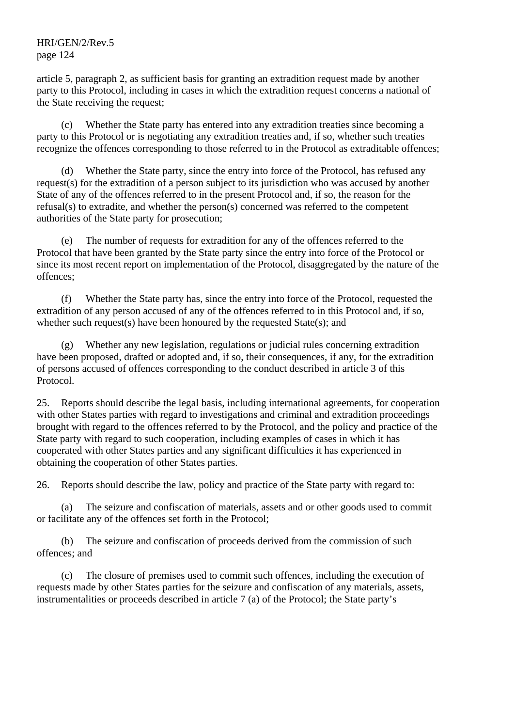article 5, paragraph 2, as sufficient basis for granting an extradition request made by another party to this Protocol, including in cases in which the extradition request concerns a national of the State receiving the request;

 (c) Whether the State party has entered into any extradition treaties since becoming a party to this Protocol or is negotiating any extradition treaties and, if so, whether such treaties recognize the offences corresponding to those referred to in the Protocol as extraditable offences;

 (d) Whether the State party, since the entry into force of the Protocol, has refused any request(s) for the extradition of a person subject to its jurisdiction who was accused by another State of any of the offences referred to in the present Protocol and, if so, the reason for the refusal(s) to extradite, and whether the person(s) concerned was referred to the competent authorities of the State party for prosecution;

 (e) The number of requests for extradition for any of the offences referred to the Protocol that have been granted by the State party since the entry into force of the Protocol or since its most recent report on implementation of the Protocol, disaggregated by the nature of the offences;

 (f) Whether the State party has, since the entry into force of the Protocol, requested the extradition of any person accused of any of the offences referred to in this Protocol and, if so, whether such request(s) have been honoured by the requested State(s); and

 (g) Whether any new legislation, regulations or judicial rules concerning extradition have been proposed, drafted or adopted and, if so, their consequences, if any, for the extradition of persons accused of offences corresponding to the conduct described in article 3 of this Protocol.

25. Reports should describe the legal basis, including international agreements, for cooperation with other States parties with regard to investigations and criminal and extradition proceedings brought with regard to the offences referred to by the Protocol, and the policy and practice of the State party with regard to such cooperation, including examples of cases in which it has cooperated with other States parties and any significant difficulties it has experienced in obtaining the cooperation of other States parties.

26. Reports should describe the law, policy and practice of the State party with regard to:

 (a) The seizure and confiscation of materials, assets and or other goods used to commit or facilitate any of the offences set forth in the Protocol;

 (b) The seizure and confiscation of proceeds derived from the commission of such offences; and

 (c) The closure of premises used to commit such offences, including the execution of requests made by other States parties for the seizure and confiscation of any materials, assets, instrumentalities or proceeds described in article 7 (a) of the Protocol; the State party's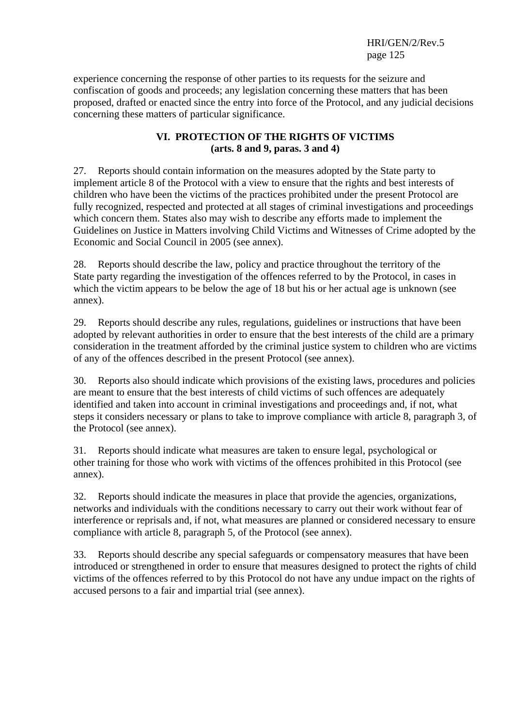experience concerning the response of other parties to its requests for the seizure and confiscation of goods and proceeds; any legislation concerning these matters that has been proposed, drafted or enacted since the entry into force of the Protocol, and any judicial decisions concerning these matters of particular significance.

# **VI. PROTECTION OF THE RIGHTS OF VICTIMS (arts. 8 and 9, paras. 3 and 4)**

27. Reports should contain information on the measures adopted by the State party to implement article 8 of the Protocol with a view to ensure that the rights and best interests of children who have been the victims of the practices prohibited under the present Protocol are fully recognized, respected and protected at all stages of criminal investigations and proceedings which concern them. States also may wish to describe any efforts made to implement the Guidelines on Justice in Matters involving Child Victims and Witnesses of Crime adopted by the Economic and Social Council in 2005 (see annex).

28. Reports should describe the law, policy and practice throughout the territory of the State party regarding the investigation of the offences referred to by the Protocol, in cases in which the victim appears to be below the age of 18 but his or her actual age is unknown (see annex).

29. Reports should describe any rules, regulations, guidelines or instructions that have been adopted by relevant authorities in order to ensure that the best interests of the child are a primary consideration in the treatment afforded by the criminal justice system to children who are victims of any of the offences described in the present Protocol (see annex).

30. Reports also should indicate which provisions of the existing laws, procedures and policies are meant to ensure that the best interests of child victims of such offences are adequately identified and taken into account in criminal investigations and proceedings and, if not, what steps it considers necessary or plans to take to improve compliance with article 8, paragraph 3, of the Protocol (see annex).

31. Reports should indicate what measures are taken to ensure legal, psychological or other training for those who work with victims of the offences prohibited in this Protocol (see annex).

32. Reports should indicate the measures in place that provide the agencies, organizations, networks and individuals with the conditions necessary to carry out their work without fear of interference or reprisals and, if not, what measures are planned or considered necessary to ensure compliance with article 8, paragraph 5, of the Protocol (see annex).

33. Reports should describe any special safeguards or compensatory measures that have been introduced or strengthened in order to ensure that measures designed to protect the rights of child victims of the offences referred to by this Protocol do not have any undue impact on the rights of accused persons to a fair and impartial trial (see annex).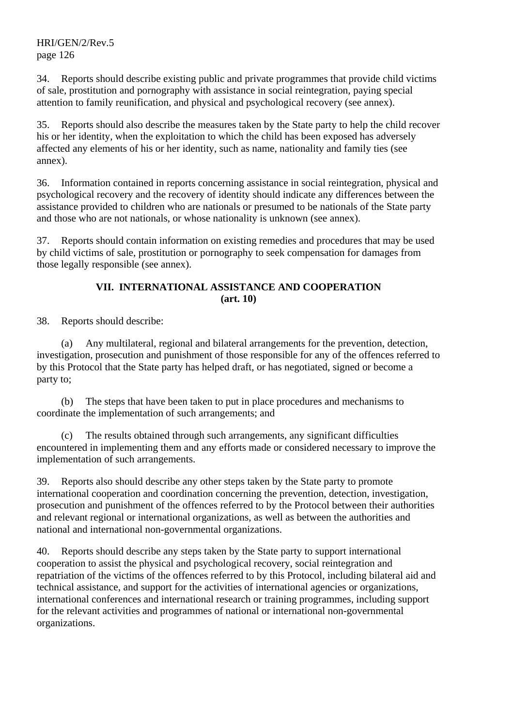34. Reports should describe existing public and private programmes that provide child victims of sale, prostitution and pornography with assistance in social reintegration, paying special attention to family reunification, and physical and psychological recovery (see annex).

35. Reports should also describe the measures taken by the State party to help the child recover his or her identity, when the exploitation to which the child has been exposed has adversely affected any elements of his or her identity, such as name, nationality and family ties (see annex).

36. Information contained in reports concerning assistance in social reintegration, physical and psychological recovery and the recovery of identity should indicate any differences between the assistance provided to children who are nationals or presumed to be nationals of the State party and those who are not nationals, or whose nationality is unknown (see annex).

37. Reports should contain information on existing remedies and procedures that may be used by child victims of sale, prostitution or pornography to seek compensation for damages from those legally responsible (see annex).

# **VII. INTERNATIONAL ASSISTANCE AND COOPERATION (art. 10)**

38. Reports should describe:

 (a) Any multilateral, regional and bilateral arrangements for the prevention, detection, investigation, prosecution and punishment of those responsible for any of the offences referred to by this Protocol that the State party has helped draft, or has negotiated, signed or become a party to;

 (b) The steps that have been taken to put in place procedures and mechanisms to coordinate the implementation of such arrangements; and

 (c) The results obtained through such arrangements, any significant difficulties encountered in implementing them and any efforts made or considered necessary to improve the implementation of such arrangements.

39. Reports also should describe any other steps taken by the State party to promote international cooperation and coordination concerning the prevention, detection, investigation, prosecution and punishment of the offences referred to by the Protocol between their authorities and relevant regional or international organizations, as well as between the authorities and national and international non-governmental organizations.

40. Reports should describe any steps taken by the State party to support international cooperation to assist the physical and psychological recovery, social reintegration and repatriation of the victims of the offences referred to by this Protocol, including bilateral aid and technical assistance, and support for the activities of international agencies or organizations, international conferences and international research or training programmes, including support for the relevant activities and programmes of national or international non-governmental organizations.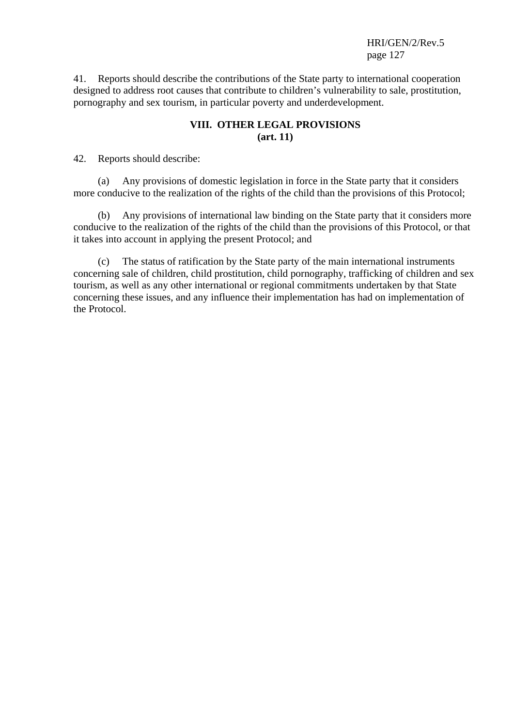41. Reports should describe the contributions of the State party to international cooperation designed to address root causes that contribute to children's vulnerability to sale, prostitution, pornography and sex tourism, in particular poverty and underdevelopment.

## **VIII. OTHER LEGAL PROVISIONS (art. 11)**

42. Reports should describe:

 (a) Any provisions of domestic legislation in force in the State party that it considers more conducive to the realization of the rights of the child than the provisions of this Protocol;

 (b) Any provisions of international law binding on the State party that it considers more conducive to the realization of the rights of the child than the provisions of this Protocol, or that it takes into account in applying the present Protocol; and

 (c) The status of ratification by the State party of the main international instruments concerning sale of children, child prostitution, child pornography, trafficking of children and sex tourism, as well as any other international or regional commitments undertaken by that State concerning these issues, and any influence their implementation has had on implementation of the Protocol.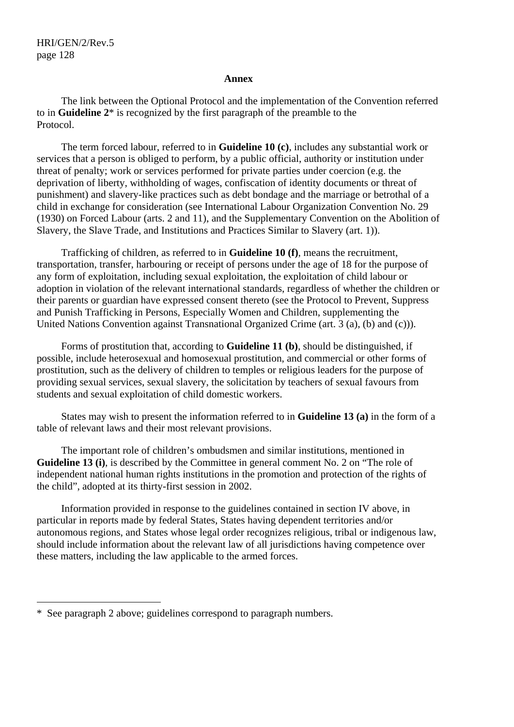$\overline{a}$ 

#### **Annex**

 The link between the Optional Protocol and the implementation of the Convention referred to in **Guideline 2**\* is recognized by the first paragraph of the preamble to the Protocol.

 The term forced labour, referred to in **Guideline 10 (c)**, includes any substantial work or services that a person is obliged to perform, by a public official, authority or institution under threat of penalty; work or services performed for private parties under coercion (e.g. the deprivation of liberty, withholding of wages, confiscation of identity documents or threat of punishment) and slavery-like practices such as debt bondage and the marriage or betrothal of a child in exchange for consideration (see International Labour Organization Convention No. 29 (1930) on Forced Labour (arts. 2 and 11), and the Supplementary Convention on the Abolition of Slavery, the Slave Trade, and Institutions and Practices Similar to Slavery (art. 1)).

 Trafficking of children, as referred to in **Guideline 10 (f)**, means the recruitment, transportation, transfer, harbouring or receipt of persons under the age of 18 for the purpose of any form of exploitation, including sexual exploitation, the exploitation of child labour or adoption in violation of the relevant international standards, regardless of whether the children or their parents or guardian have expressed consent thereto (see the Protocol to Prevent, Suppress and Punish Trafficking in Persons, Especially Women and Children, supplementing the United Nations Convention against Transnational Organized Crime (art. 3 (a), (b) and (c))).

 Forms of prostitution that, according to **Guideline 11 (b)**, should be distinguished, if possible, include heterosexual and homosexual prostitution, and commercial or other forms of prostitution, such as the delivery of children to temples or religious leaders for the purpose of providing sexual services, sexual slavery, the solicitation by teachers of sexual favours from students and sexual exploitation of child domestic workers.

 States may wish to present the information referred to in **Guideline 13 (a)** in the form of a table of relevant laws and their most relevant provisions.

 The important role of children's ombudsmen and similar institutions, mentioned in **Guideline 13 (i)**, is described by the Committee in general comment No. 2 on "The role of independent national human rights institutions in the promotion and protection of the rights of the child", adopted at its thirty-first session in 2002.

 Information provided in response to the guidelines contained in section IV above, in particular in reports made by federal States, States having dependent territories and/or autonomous regions, and States whose legal order recognizes religious, tribal or indigenous law, should include information about the relevant law of all jurisdictions having competence over these matters, including the law applicable to the armed forces.

<sup>\*</sup> See paragraph 2 above; guidelines correspond to paragraph numbers.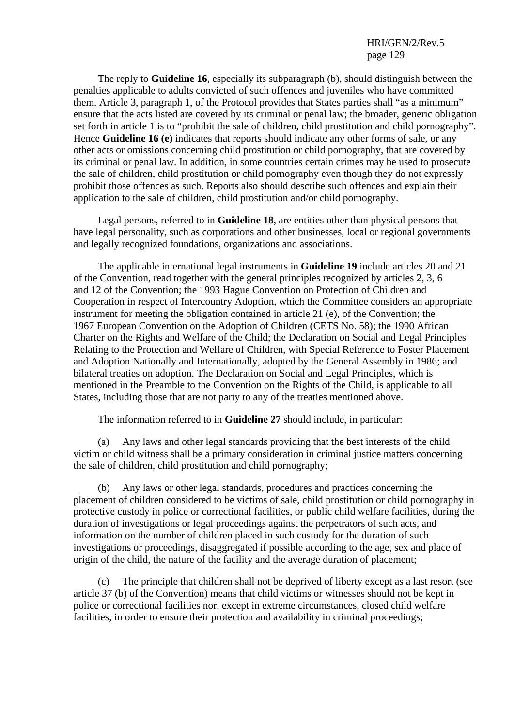The reply to **Guideline 16**, especially its subparagraph (b), should distinguish between the penalties applicable to adults convicted of such offences and juveniles who have committed them. Article 3, paragraph 1, of the Protocol provides that States parties shall "as a minimum" ensure that the acts listed are covered by its criminal or penal law; the broader, generic obligation set forth in article 1 is to "prohibit the sale of children, child prostitution and child pornography". Hence **Guideline 16 (e)** indicates that reports should indicate any other forms of sale, or any other acts or omissions concerning child prostitution or child pornography, that are covered by its criminal or penal law. In addition, in some countries certain crimes may be used to prosecute the sale of children, child prostitution or child pornography even though they do not expressly prohibit those offences as such. Reports also should describe such offences and explain their application to the sale of children, child prostitution and/or child pornography.

 Legal persons, referred to in **Guideline 18**, are entities other than physical persons that have legal personality, such as corporations and other businesses, local or regional governments and legally recognized foundations, organizations and associations.

 The applicable international legal instruments in **Guideline 19** include articles 20 and 21 of the Convention, read together with the general principles recognized by articles 2, 3, 6 and 12 of the Convention; the 1993 Hague Convention on Protection of Children and Cooperation in respect of Intercountry Adoption, which the Committee considers an appropriate instrument for meeting the obligation contained in article 21 (e), of the Convention; the 1967 European Convention on the Adoption of Children (CETS No. 58); the 1990 African Charter on the Rights and Welfare of the Child; the Declaration on Social and Legal Principles Relating to the Protection and Welfare of Children, with Special Reference to Foster Placement and Adoption Nationally and Internationally, adopted by the General Assembly in 1986; and bilateral treaties on adoption. The Declaration on Social and Legal Principles, which is mentioned in the Preamble to the Convention on the Rights of the Child, is applicable to all States, including those that are not party to any of the treaties mentioned above.

The information referred to in **Guideline 27** should include, in particular:

 (a) Any laws and other legal standards providing that the best interests of the child victim or child witness shall be a primary consideration in criminal justice matters concerning the sale of children, child prostitution and child pornography;

 (b) Any laws or other legal standards, procedures and practices concerning the placement of children considered to be victims of sale, child prostitution or child pornography in protective custody in police or correctional facilities, or public child welfare facilities, during the duration of investigations or legal proceedings against the perpetrators of such acts, and information on the number of children placed in such custody for the duration of such investigations or proceedings, disaggregated if possible according to the age, sex and place of origin of the child, the nature of the facility and the average duration of placement;

 (c) The principle that children shall not be deprived of liberty except as a last resort (see article 37 (b) of the Convention) means that child victims or witnesses should not be kept in police or correctional facilities nor, except in extreme circumstances, closed child welfare facilities, in order to ensure their protection and availability in criminal proceedings;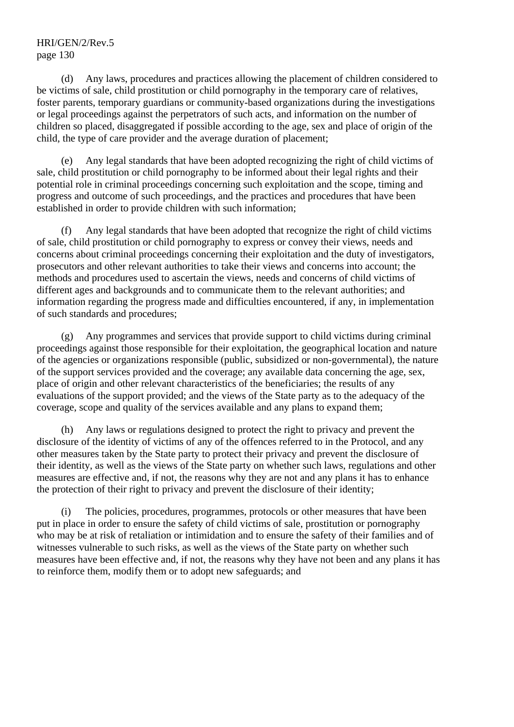(d) Any laws, procedures and practices allowing the placement of children considered to be victims of sale, child prostitution or child pornography in the temporary care of relatives, foster parents, temporary guardians or community-based organizations during the investigations or legal proceedings against the perpetrators of such acts, and information on the number of children so placed, disaggregated if possible according to the age, sex and place of origin of the child, the type of care provider and the average duration of placement;

 (e) Any legal standards that have been adopted recognizing the right of child victims of sale, child prostitution or child pornography to be informed about their legal rights and their potential role in criminal proceedings concerning such exploitation and the scope, timing and progress and outcome of such proceedings, and the practices and procedures that have been established in order to provide children with such information;

 (f) Any legal standards that have been adopted that recognize the right of child victims of sale, child prostitution or child pornography to express or convey their views, needs and concerns about criminal proceedings concerning their exploitation and the duty of investigators, prosecutors and other relevant authorities to take their views and concerns into account; the methods and procedures used to ascertain the views, needs and concerns of child victims of different ages and backgrounds and to communicate them to the relevant authorities; and information regarding the progress made and difficulties encountered, if any, in implementation of such standards and procedures;

 (g) Any programmes and services that provide support to child victims during criminal proceedings against those responsible for their exploitation, the geographical location and nature of the agencies or organizations responsible (public, subsidized or non-governmental), the nature of the support services provided and the coverage; any available data concerning the age, sex, place of origin and other relevant characteristics of the beneficiaries; the results of any evaluations of the support provided; and the views of the State party as to the adequacy of the coverage, scope and quality of the services available and any plans to expand them;

 (h) Any laws or regulations designed to protect the right to privacy and prevent the disclosure of the identity of victims of any of the offences referred to in the Protocol, and any other measures taken by the State party to protect their privacy and prevent the disclosure of their identity, as well as the views of the State party on whether such laws, regulations and other measures are effective and, if not, the reasons why they are not and any plans it has to enhance the protection of their right to privacy and prevent the disclosure of their identity;

 (i) The policies, procedures, programmes, protocols or other measures that have been put in place in order to ensure the safety of child victims of sale, prostitution or pornography who may be at risk of retaliation or intimidation and to ensure the safety of their families and of witnesses vulnerable to such risks, as well as the views of the State party on whether such measures have been effective and, if not, the reasons why they have not been and any plans it has to reinforce them, modify them or to adopt new safeguards; and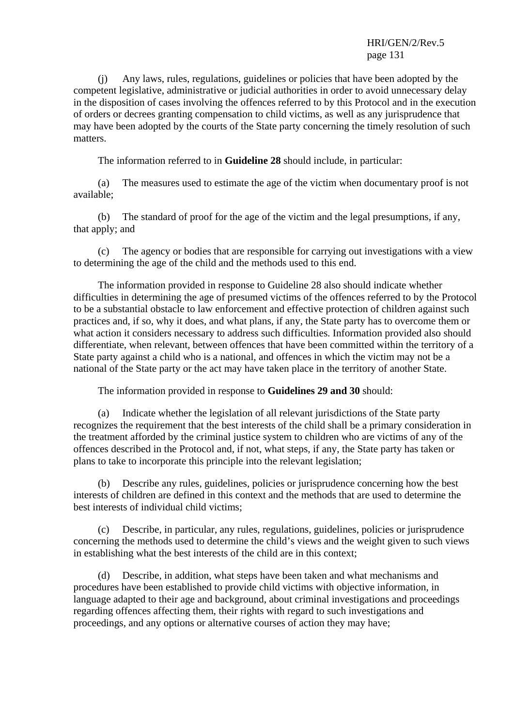(j) Any laws, rules, regulations, guidelines or policies that have been adopted by the competent legislative, administrative or judicial authorities in order to avoid unnecessary delay in the disposition of cases involving the offences referred to by this Protocol and in the execution of orders or decrees granting compensation to child victims, as well as any jurisprudence that may have been adopted by the courts of the State party concerning the timely resolution of such matters.

The information referred to in **Guideline 28** should include, in particular:

 (a) The measures used to estimate the age of the victim when documentary proof is not available;

 (b) The standard of proof for the age of the victim and the legal presumptions, if any, that apply; and

 (c) The agency or bodies that are responsible for carrying out investigations with a view to determining the age of the child and the methods used to this end.

 The information provided in response to Guideline 28 also should indicate whether difficulties in determining the age of presumed victims of the offences referred to by the Protocol to be a substantial obstacle to law enforcement and effective protection of children against such practices and, if so, why it does, and what plans, if any, the State party has to overcome them or what action it considers necessary to address such difficulties. Information provided also should differentiate, when relevant, between offences that have been committed within the territory of a State party against a child who is a national, and offences in which the victim may not be a national of the State party or the act may have taken place in the territory of another State.

The information provided in response to **Guidelines 29 and 30** should:

 (a) Indicate whether the legislation of all relevant jurisdictions of the State party recognizes the requirement that the best interests of the child shall be a primary consideration in the treatment afforded by the criminal justice system to children who are victims of any of the offences described in the Protocol and, if not, what steps, if any, the State party has taken or plans to take to incorporate this principle into the relevant legislation;

 (b) Describe any rules, guidelines, policies or jurisprudence concerning how the best interests of children are defined in this context and the methods that are used to determine the best interests of individual child victims;

 (c) Describe, in particular, any rules, regulations, guidelines, policies or jurisprudence concerning the methods used to determine the child's views and the weight given to such views in establishing what the best interests of the child are in this context;

 (d) Describe, in addition, what steps have been taken and what mechanisms and procedures have been established to provide child victims with objective information, in language adapted to their age and background, about criminal investigations and proceedings regarding offences affecting them, their rights with regard to such investigations and proceedings, and any options or alternative courses of action they may have;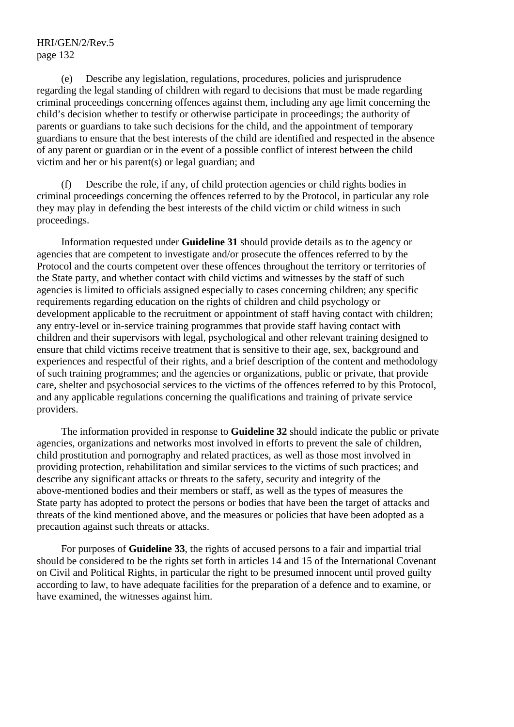(e) Describe any legislation, regulations, procedures, policies and jurisprudence regarding the legal standing of children with regard to decisions that must be made regarding criminal proceedings concerning offences against them, including any age limit concerning the child's decision whether to testify or otherwise participate in proceedings; the authority of parents or guardians to take such decisions for the child, and the appointment of temporary guardians to ensure that the best interests of the child are identified and respected in the absence of any parent or guardian or in the event of a possible conflict of interest between the child victim and her or his parent(s) or legal guardian; and

 (f) Describe the role, if any, of child protection agencies or child rights bodies in criminal proceedings concerning the offences referred to by the Protocol, in particular any role they may play in defending the best interests of the child victim or child witness in such proceedings.

 Information requested under **Guideline 31** should provide details as to the agency or agencies that are competent to investigate and/or prosecute the offences referred to by the Protocol and the courts competent over these offences throughout the territory or territories of the State party, and whether contact with child victims and witnesses by the staff of such agencies is limited to officials assigned especially to cases concerning children; any specific requirements regarding education on the rights of children and child psychology or development applicable to the recruitment or appointment of staff having contact with children; any entry-level or in-service training programmes that provide staff having contact with children and their supervisors with legal, psychological and other relevant training designed to ensure that child victims receive treatment that is sensitive to their age, sex, background and experiences and respectful of their rights, and a brief description of the content and methodology of such training programmes; and the agencies or organizations, public or private, that provide care, shelter and psychosocial services to the victims of the offences referred to by this Protocol, and any applicable regulations concerning the qualifications and training of private service providers.

 The information provided in response to **Guideline 32** should indicate the public or private agencies, organizations and networks most involved in efforts to prevent the sale of children, child prostitution and pornography and related practices, as well as those most involved in providing protection, rehabilitation and similar services to the victims of such practices; and describe any significant attacks or threats to the safety, security and integrity of the above-mentioned bodies and their members or staff, as well as the types of measures the State party has adopted to protect the persons or bodies that have been the target of attacks and threats of the kind mentioned above, and the measures or policies that have been adopted as a precaution against such threats or attacks.

 For purposes of **Guideline 33**, the rights of accused persons to a fair and impartial trial should be considered to be the rights set forth in articles 14 and 15 of the International Covenant on Civil and Political Rights, in particular the right to be presumed innocent until proved guilty according to law, to have adequate facilities for the preparation of a defence and to examine, or have examined, the witnesses against him.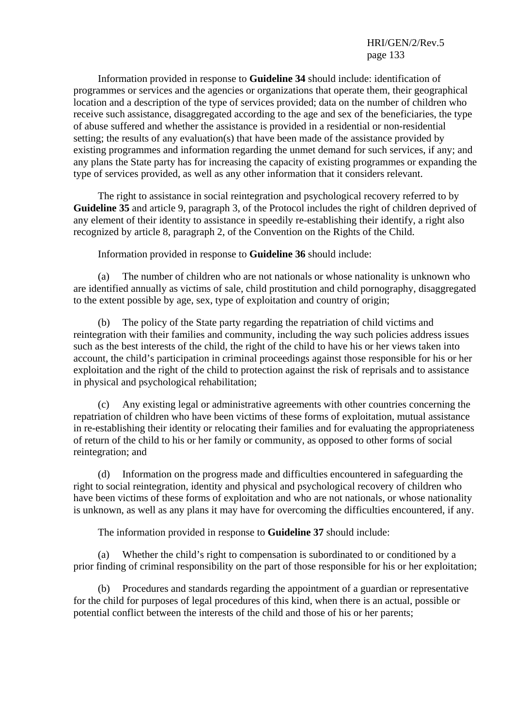Information provided in response to **Guideline 34** should include: identification of programmes or services and the agencies or organizations that operate them, their geographical location and a description of the type of services provided; data on the number of children who receive such assistance, disaggregated according to the age and sex of the beneficiaries, the type of abuse suffered and whether the assistance is provided in a residential or non-residential setting; the results of any evaluation(s) that have been made of the assistance provided by existing programmes and information regarding the unmet demand for such services, if any; and any plans the State party has for increasing the capacity of existing programmes or expanding the type of services provided, as well as any other information that it considers relevant.

 The right to assistance in social reintegration and psychological recovery referred to by **Guideline 35** and article 9, paragraph 3, of the Protocol includes the right of children deprived of any element of their identity to assistance in speedily re-establishing their identify, a right also recognized by article 8, paragraph 2, of the Convention on the Rights of the Child.

Information provided in response to **Guideline 36** should include:

 (a) The number of children who are not nationals or whose nationality is unknown who are identified annually as victims of sale, child prostitution and child pornography, disaggregated to the extent possible by age, sex, type of exploitation and country of origin;

 (b) The policy of the State party regarding the repatriation of child victims and reintegration with their families and community, including the way such policies address issues such as the best interests of the child, the right of the child to have his or her views taken into account, the child's participation in criminal proceedings against those responsible for his or her exploitation and the right of the child to protection against the risk of reprisals and to assistance in physical and psychological rehabilitation;

Any existing legal or administrative agreements with other countries concerning the repatriation of children who have been victims of these forms of exploitation, mutual assistance in re-establishing their identity or relocating their families and for evaluating the appropriateness of return of the child to his or her family or community, as opposed to other forms of social reintegration; and

 (d) Information on the progress made and difficulties encountered in safeguarding the right to social reintegration, identity and physical and psychological recovery of children who have been victims of these forms of exploitation and who are not nationals, or whose nationality is unknown, as well as any plans it may have for overcoming the difficulties encountered, if any.

The information provided in response to **Guideline 37** should include:

 (a) Whether the child's right to compensation is subordinated to or conditioned by a prior finding of criminal responsibility on the part of those responsible for his or her exploitation;

 (b) Procedures and standards regarding the appointment of a guardian or representative for the child for purposes of legal procedures of this kind, when there is an actual, possible or potential conflict between the interests of the child and those of his or her parents;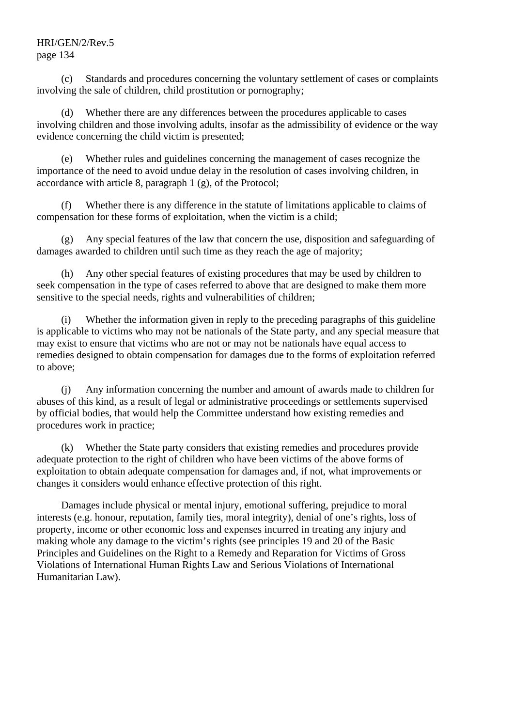(c) Standards and procedures concerning the voluntary settlement of cases or complaints involving the sale of children, child prostitution or pornography;

 (d) Whether there are any differences between the procedures applicable to cases involving children and those involving adults, insofar as the admissibility of evidence or the way evidence concerning the child victim is presented;

 (e) Whether rules and guidelines concerning the management of cases recognize the importance of the need to avoid undue delay in the resolution of cases involving children, in accordance with article 8, paragraph 1 (g), of the Protocol;

 (f) Whether there is any difference in the statute of limitations applicable to claims of compensation for these forms of exploitation, when the victim is a child;

 (g) Any special features of the law that concern the use, disposition and safeguarding of damages awarded to children until such time as they reach the age of majority;

 (h) Any other special features of existing procedures that may be used by children to seek compensation in the type of cases referred to above that are designed to make them more sensitive to the special needs, rights and vulnerabilities of children;

 (i) Whether the information given in reply to the preceding paragraphs of this guideline is applicable to victims who may not be nationals of the State party, and any special measure that may exist to ensure that victims who are not or may not be nationals have equal access to remedies designed to obtain compensation for damages due to the forms of exploitation referred to above;

 (j) Any information concerning the number and amount of awards made to children for abuses of this kind, as a result of legal or administrative proceedings or settlements supervised by official bodies, that would help the Committee understand how existing remedies and procedures work in practice;

 (k) Whether the State party considers that existing remedies and procedures provide adequate protection to the right of children who have been victims of the above forms of exploitation to obtain adequate compensation for damages and, if not, what improvements or changes it considers would enhance effective protection of this right.

 Damages include physical or mental injury, emotional suffering, prejudice to moral interests (e.g. honour, reputation, family ties, moral integrity), denial of one's rights, loss of property, income or other economic loss and expenses incurred in treating any injury and making whole any damage to the victim's rights (see principles 19 and 20 of the Basic Principles and Guidelines on the Right to a Remedy and Reparation for Victims of Gross Violations of International Human Rights Law and Serious Violations of International Humanitarian Law).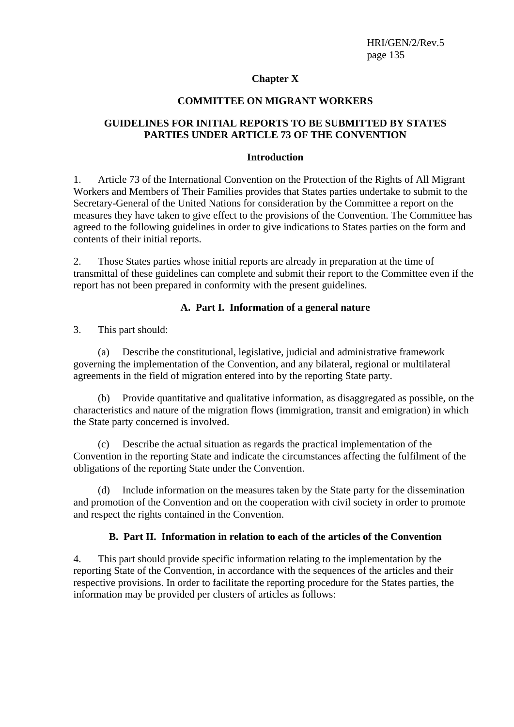#### **Chapter X**

#### **COMMITTEE ON MIGRANT WORKERS**

## **GUIDELINES FOR INITIAL REPORTS TO BE SUBMITTED BY STATES PARTIES UNDER ARTICLE 73 OF THE CONVENTION**

#### **Introduction**

1. Article 73 of the International Convention on the Protection of the Rights of All Migrant Workers and Members of Their Families provides that States parties undertake to submit to the Secretary-General of the United Nations for consideration by the Committee a report on the measures they have taken to give effect to the provisions of the Convention. The Committee has agreed to the following guidelines in order to give indications to States parties on the form and contents of their initial reports.

2. Those States parties whose initial reports are already in preparation at the time of transmittal of these guidelines can complete and submit their report to the Committee even if the report has not been prepared in conformity with the present guidelines.

#### **A. Part I. Information of a general nature**

3. This part should:

 (a) Describe the constitutional, legislative, judicial and administrative framework governing the implementation of the Convention, and any bilateral, regional or multilateral agreements in the field of migration entered into by the reporting State party.

 (b) Provide quantitative and qualitative information, as disaggregated as possible, on the characteristics and nature of the migration flows (immigration, transit and emigration) in which the State party concerned is involved.

 (c) Describe the actual situation as regards the practical implementation of the Convention in the reporting State and indicate the circumstances affecting the fulfilment of the obligations of the reporting State under the Convention.

 (d) Include information on the measures taken by the State party for the dissemination and promotion of the Convention and on the cooperation with civil society in order to promote and respect the rights contained in the Convention.

#### **B. Part II. Information in relation to each of the articles of the Convention**

4. This part should provide specific information relating to the implementation by the reporting State of the Convention, in accordance with the sequences of the articles and their respective provisions. In order to facilitate the reporting procedure for the States parties, the information may be provided per clusters of articles as follows: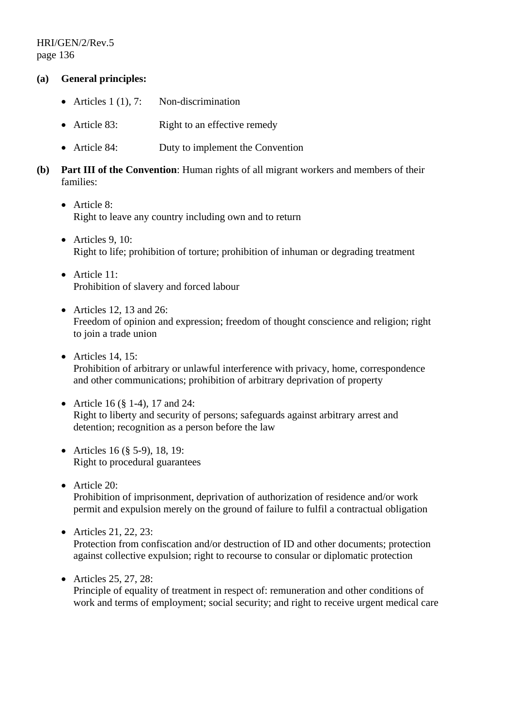## **(a) General principles:**

- Articles 1 (1), 7: Non-discrimination
- Article 83: Right to an effective remedy
- Article 84: Duty to implement the Convention
- **(b) Part III of the Convention**: Human rights of all migrant workers and members of their families:
	- Article 8: Right to leave any country including own and to return
	- Articles 9, 10: Right to life; prohibition of torture; prohibition of inhuman or degrading treatment
	- Article 11: Prohibition of slavery and forced labour
	- Articles 12, 13 and 26: Freedom of opinion and expression; freedom of thought conscience and religion; right to join a trade union
	- Articles 14, 15: Prohibition of arbitrary or unlawful interference with privacy, home, correspondence and other communications; prohibition of arbitrary deprivation of property
	- Article 16 (§ 1-4), 17 and 24: Right to liberty and security of persons; safeguards against arbitrary arrest and detention; recognition as a person before the law
	- Articles 16 (§ 5-9), 18, 19: Right to procedural guarantees
	- Article 20: Prohibition of imprisonment, deprivation of authorization of residence and/or work permit and expulsion merely on the ground of failure to fulfil a contractual obligation
	- Articles 21, 22, 23: Protection from confiscation and/or destruction of ID and other documents; protection against collective expulsion; right to recourse to consular or diplomatic protection
	- Articles 25, 27, 28:

Principle of equality of treatment in respect of: remuneration and other conditions of work and terms of employment; social security; and right to receive urgent medical care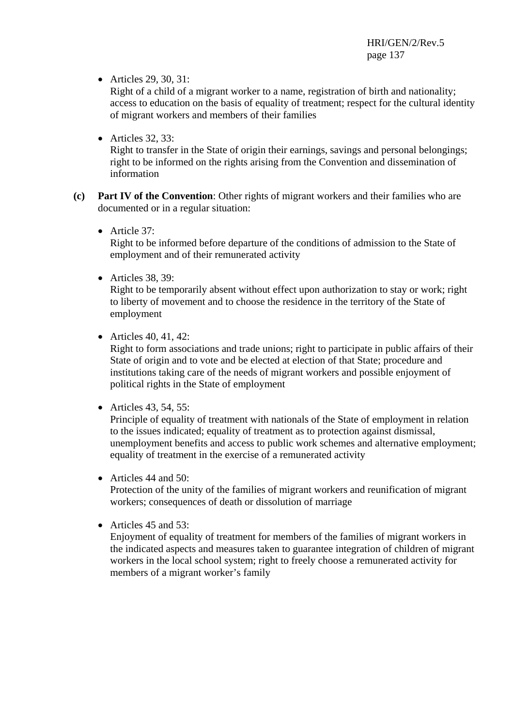• Articles 29, 30, 31:

Right of a child of a migrant worker to a name, registration of birth and nationality; access to education on the basis of equality of treatment; respect for the cultural identity of migrant workers and members of their families

• Articles 32, 33:

Right to transfer in the State of origin their earnings, savings and personal belongings; right to be informed on the rights arising from the Convention and dissemination of information

- **(c) Part IV of the Convention**: Other rights of migrant workers and their families who are documented or in a regular situation:
	- Article 37:

Right to be informed before departure of the conditions of admission to the State of employment and of their remunerated activity

• Articles 38, 39:

Right to be temporarily absent without effect upon authorization to stay or work; right to liberty of movement and to choose the residence in the territory of the State of employment

• Articles 40, 41, 42:

Right to form associations and trade unions; right to participate in public affairs of their State of origin and to vote and be elected at election of that State; procedure and institutions taking care of the needs of migrant workers and possible enjoyment of political rights in the State of employment

• Articles 43, 54, 55:

Principle of equality of treatment with nationals of the State of employment in relation to the issues indicated; equality of treatment as to protection against dismissal, unemployment benefits and access to public work schemes and alternative employment; equality of treatment in the exercise of a remunerated activity

• Articles 44 and 50:

Protection of the unity of the families of migrant workers and reunification of migrant workers; consequences of death or dissolution of marriage

• Articles 45 and 53:

Enjoyment of equality of treatment for members of the families of migrant workers in the indicated aspects and measures taken to guarantee integration of children of migrant workers in the local school system; right to freely choose a remunerated activity for members of a migrant worker's family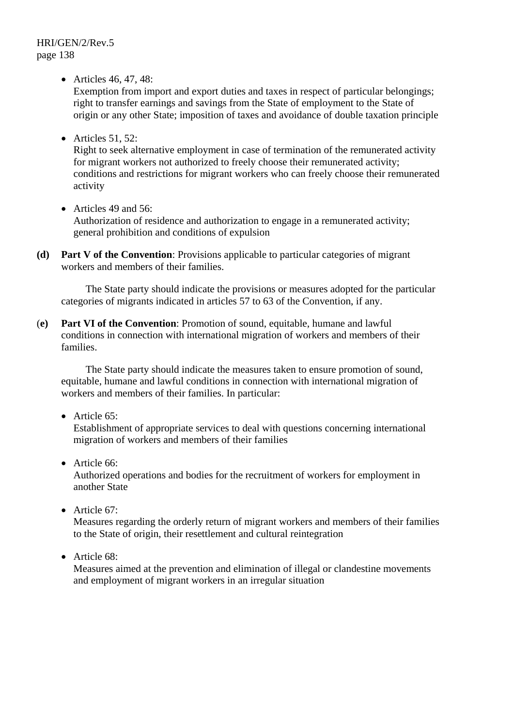• Articles 46, 47, 48:

Exemption from import and export duties and taxes in respect of particular belongings; right to transfer earnings and savings from the State of employment to the State of origin or any other State; imposition of taxes and avoidance of double taxation principle

• Articles  $51, 52$ :

Right to seek alternative employment in case of termination of the remunerated activity for migrant workers not authorized to freely choose their remunerated activity; conditions and restrictions for migrant workers who can freely choose their remunerated activity

• Articles 49 and 56:

Authorization of residence and authorization to engage in a remunerated activity; general prohibition and conditions of expulsion

**(d) Part V of the Convention**: Provisions applicable to particular categories of migrant workers and members of their families.

 The State party should indicate the provisions or measures adopted for the particular categories of migrants indicated in articles 57 to 63 of the Convention, if any.

(**e) Part VI of the Convention**: Promotion of sound, equitable, humane and lawful conditions in connection with international migration of workers and members of their families.

 The State party should indicate the measures taken to ensure promotion of sound, equitable, humane and lawful conditions in connection with international migration of workers and members of their families. In particular:

• Article 65:

Establishment of appropriate services to deal with questions concerning international migration of workers and members of their families

• Article 66:

Authorized operations and bodies for the recruitment of workers for employment in another State

• Article 67:

Measures regarding the orderly return of migrant workers and members of their families to the State of origin, their resettlement and cultural reintegration

• Article 68:

Measures aimed at the prevention and elimination of illegal or clandestine movements and employment of migrant workers in an irregular situation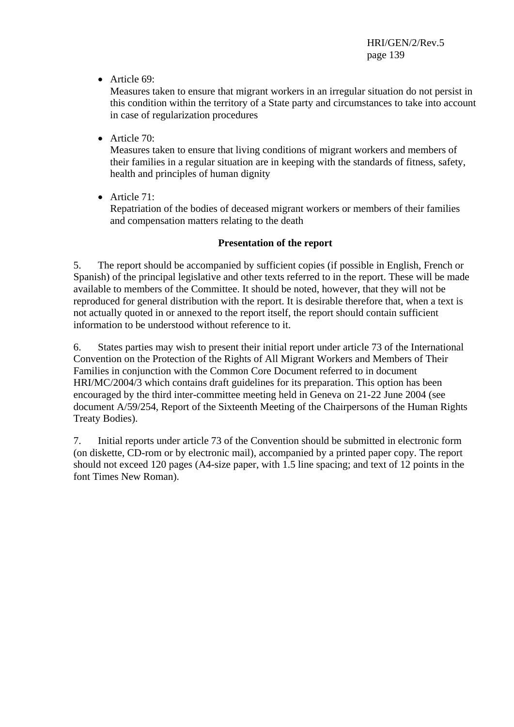• Article 69:

Measures taken to ensure that migrant workers in an irregular situation do not persist in this condition within the territory of a State party and circumstances to take into account in case of regularization procedures

• Article 70:

Measures taken to ensure that living conditions of migrant workers and members of their families in a regular situation are in keeping with the standards of fitness, safety, health and principles of human dignity

 $\bullet$  Article 71.

Repatriation of the bodies of deceased migrant workers or members of their families and compensation matters relating to the death

# **Presentation of the report**

5. The report should be accompanied by sufficient copies (if possible in English, French or Spanish) of the principal legislative and other texts referred to in the report. These will be made available to members of the Committee. It should be noted, however, that they will not be reproduced for general distribution with the report. It is desirable therefore that, when a text is not actually quoted in or annexed to the report itself, the report should contain sufficient information to be understood without reference to it.

6. States parties may wish to present their initial report under article 73 of the International Convention on the Protection of the Rights of All Migrant Workers and Members of Their Families in conjunction with the Common Core Document referred to in document HRI/MC/2004/3 which contains draft guidelines for its preparation. This option has been encouraged by the third inter-committee meeting held in Geneva on 21-22 June 2004 (see document A/59/254, Report of the Sixteenth Meeting of the Chairpersons of the Human Rights Treaty Bodies).

7. Initial reports under article 73 of the Convention should be submitted in electronic form (on diskette, CD-rom or by electronic mail), accompanied by a printed paper copy. The report should not exceed 120 pages (A4-size paper, with 1.5 line spacing; and text of 12 points in the font Times New Roman).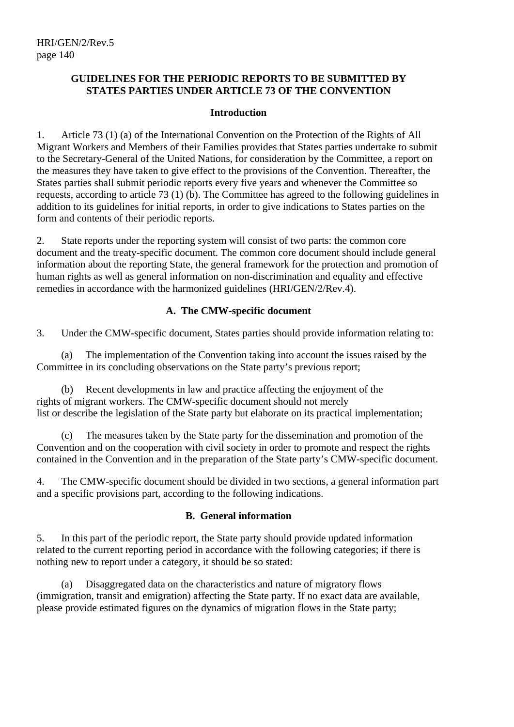# **GUIDELINES FOR THE PERIODIC REPORTS TO BE SUBMITTED BY STATES PARTIES UNDER ARTICLE 73 OF THE CONVENTION**

### **Introduction**

1. Article 73 (1) (a) of the International Convention on the Protection of the Rights of All Migrant Workers and Members of their Families provides that States parties undertake to submit to the Secretary-General of the United Nations, for consideration by the Committee, a report on the measures they have taken to give effect to the provisions of the Convention. Thereafter, the States parties shall submit periodic reports every five years and whenever the Committee so requests, according to article 73 (1) (b). The Committee has agreed to the following guidelines in addition to its guidelines for initial reports, in order to give indications to States parties on the form and contents of their periodic reports.

2. State reports under the reporting system will consist of two parts: the common core document and the treaty-specific document. The common core document should include general information about the reporting State, the general framework for the protection and promotion of human rights as well as general information on non-discrimination and equality and effective remedies in accordance with the harmonized guidelines (HRI/GEN/2/Rev.4).

# **A. The CMW-specific document**

3. Under the CMW-specific document, States parties should provide information relating to:

 (a) The implementation of the Convention taking into account the issues raised by the Committee in its concluding observations on the State party's previous report;

 (b) Recent developments in law and practice affecting the enjoyment of the rights of migrant workers. The CMW-specific document should not merely list or describe the legislation of the State party but elaborate on its practical implementation;

 (c) The measures taken by the State party for the dissemination and promotion of the Convention and on the cooperation with civil society in order to promote and respect the rights contained in the Convention and in the preparation of the State party's CMW-specific document.

4. The CMW-specific document should be divided in two sections, a general information part and a specific provisions part, according to the following indications.

# **B. General information**

5. In this part of the periodic report, the State party should provide updated information related to the current reporting period in accordance with the following categories; if there is nothing new to report under a category, it should be so stated:

(a) Disaggregated data on the characteristics and nature of migratory flows (immigration, transit and emigration) affecting the State party. If no exact data are available, please provide estimated figures on the dynamics of migration flows in the State party;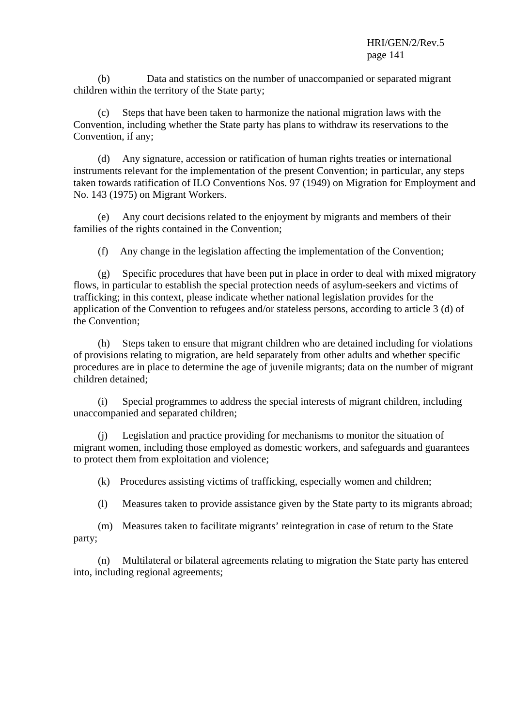(b) Data and statistics on the number of unaccompanied or separated migrant children within the territory of the State party;

(c) Steps that have been taken to harmonize the national migration laws with the Convention, including whether the State party has plans to withdraw its reservations to the Convention, if any;

(d) Any signature, accession or ratification of human rights treaties or international instruments relevant for the implementation of the present Convention; in particular, any steps taken towards ratification of ILO Conventions Nos. 97 (1949) on Migration for Employment and No. 143 (1975) on Migrant Workers.

(e) Any court decisions related to the enjoyment by migrants and members of their families of the rights contained in the Convention;

(f) Any change in the legislation affecting the implementation of the Convention;

(g) Specific procedures that have been put in place in order to deal with mixed migratory flows, in particular to establish the special protection needs of asylum-seekers and victims of trafficking; in this context, please indicate whether national legislation provides for the application of the Convention to refugees and/or stateless persons, according to article 3 (d) of the Convention;

(h) Steps taken to ensure that migrant children who are detained including for violations of provisions relating to migration, are held separately from other adults and whether specific procedures are in place to determine the age of juvenile migrants; data on the number of migrant children detained;

(i) Special programmes to address the special interests of migrant children, including unaccompanied and separated children;

(j) Legislation and practice providing for mechanisms to monitor the situation of migrant women, including those employed as domestic workers, and safeguards and guarantees to protect them from exploitation and violence;

(k) Procedures assisting victims of trafficking, especially women and children;

(l) Measures taken to provide assistance given by the State party to its migrants abroad;

(m) Measures taken to facilitate migrants' reintegration in case of return to the State party;

(n) Multilateral or bilateral agreements relating to migration the State party has entered into, including regional agreements;